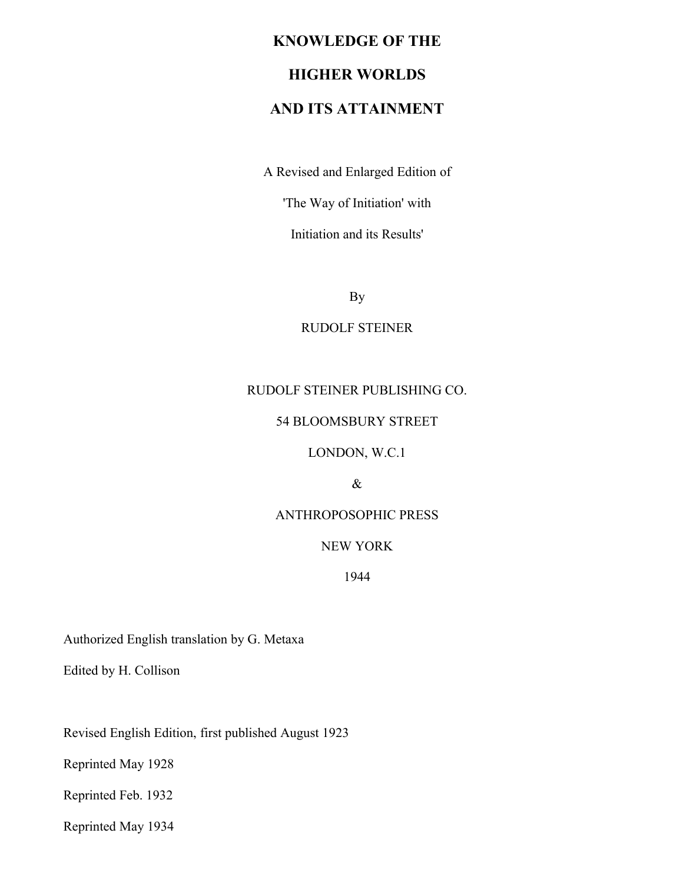# **KNOWLEDGE OF THE**

# **HIGHER WORLDS**

# **AND ITS ATTAINMENT**

A Revised and Enlarged Edition of

'The Way of Initiation' with

Initiation and its Results'

By

## RUDOLF STEINER

## RUDOLF STEINER PUBLISHING CO.

## 54 BLOOMSBURY STREET

## LONDON, W.C.1

### &

#### ANTHROPOSOPHIC PRESS

#### NEW YORK

#### 1944

Authorized English translation by G. Metaxa

Edited by H. Collison

Revised English Edition, first published August 1923

Reprinted May 1928

Reprinted Feb. 1932

Reprinted May 1934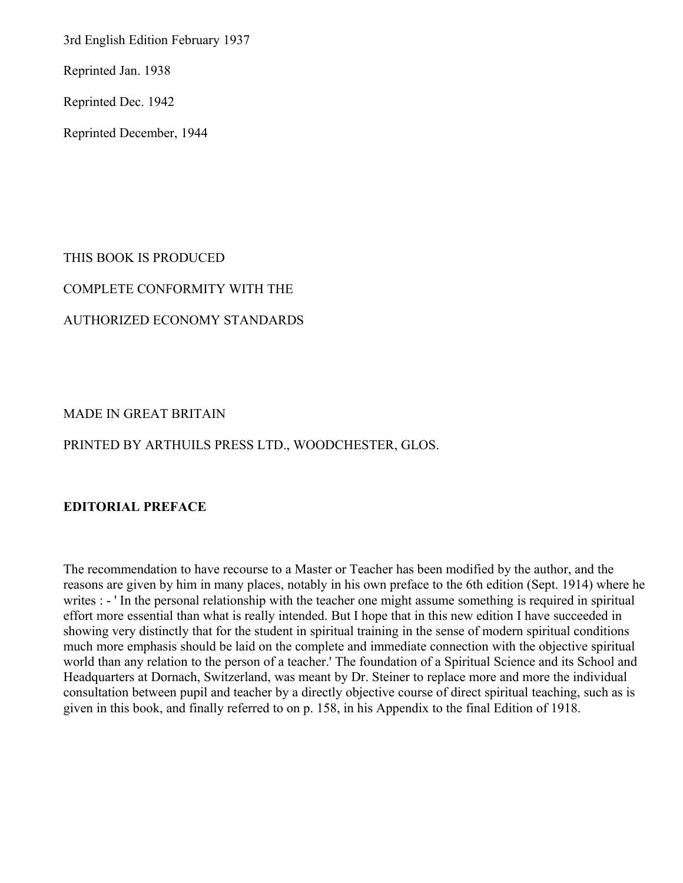3rd English Edition February 1937

Reprinted Jan. 1938

Reprinted Dec. 1942

Reprinted December, 1944

THIS BOOK IS PRODUCED

COMPLETE CONFORMITY WITH THE

# AUTHORIZED ECONOMY STANDARDS

# MADE IN GREAT BRITAIN

# PRINTED BY ARTHUILS PRESS LTD., WOODCHESTER, GLOS.

# **EDITORIAL PREFACE**

The recommendation to have recourse to a Master or Teacher has been modified by the author, and the reasons are given by him in many places, notably in his own preface to the 6th edition (Sept. 1914) where he writes : - ' In the personal relationship with the teacher one might assume something is required in spiritual effort more essential than what is really intended. But I hope that in this new edition I have succeeded in showing very distinctly that for the student in spiritual training in the sense of modern spiritual conditions much more emphasis should be laid on the complete and immediate connection with the objective spiritual world than any relation to the person of a teacher.' The foundation of a Spiritual Science and its School and Headquarters at Dornach, Switzerland, was meant by Dr. Steiner to replace more and more the individual consultation between pupil and teacher by a directly objective course of direct spiritual teaching, such as is given in this book, and finally referred to on p. 158, in his Appendix to the final Edition of 1918.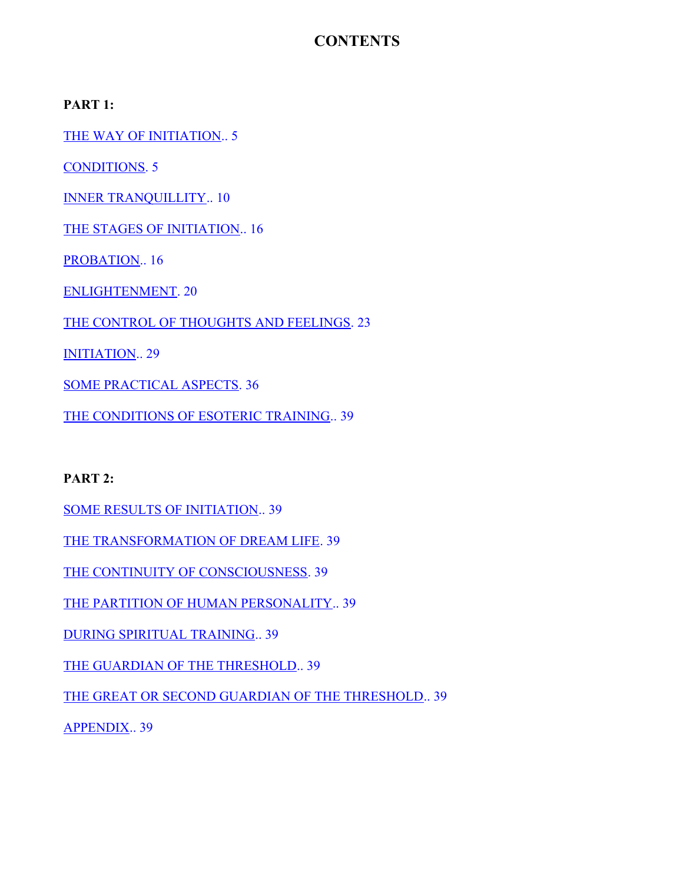# **CONTENTS**

# **PART 1:**

[THE WAY OF INITIATION.. 5](#page-3-0)

[CONDITIONS. 5](#page-3-1)

[INNER TRANQUILLITY.. 10](#page-6-0)

[THE STAGES OF INITIATION.. 16](#page-11-1)

[PROBATION.. 16](#page-11-0)

[ENLIGHTENMENT. 20](#page-14-0)

[THE CONTROL OF THOUGHTS AND FEELINGS. 23](#page-17-0)

[INITIATION.. 29](#page-21-0)

[SOME PRACTICAL ASPECTS. 36](#page-26-0)

[THE CONDITIONS OF ESOTERIC TRAINING.. 39](#page-30-0)

# **PART 2:**

[SOME RESULTS OF INITIATION.. 39](#page-33-0)

[THE TRANSFORMATION OF DREAM LIFE. 39](#page-47-0)

[THE CONTINUITY OF CONSCIOUSNESS. 39](#page-50-0)

[THE PARTITION OF HUMAN PERSONALITY.. 39](#page-52-1)

[DURING SPIRITUAL TRAINING.. 39](#page-52-0)

[THE GUARDIAN OF THE THRESHOLD.. 39](#page-56-0)

[THE GREAT OR SECOND GUARDIAN OF THE THRESHOLD.. 39](#page-59-0)

[APPENDIX.. 39](#page-63-0)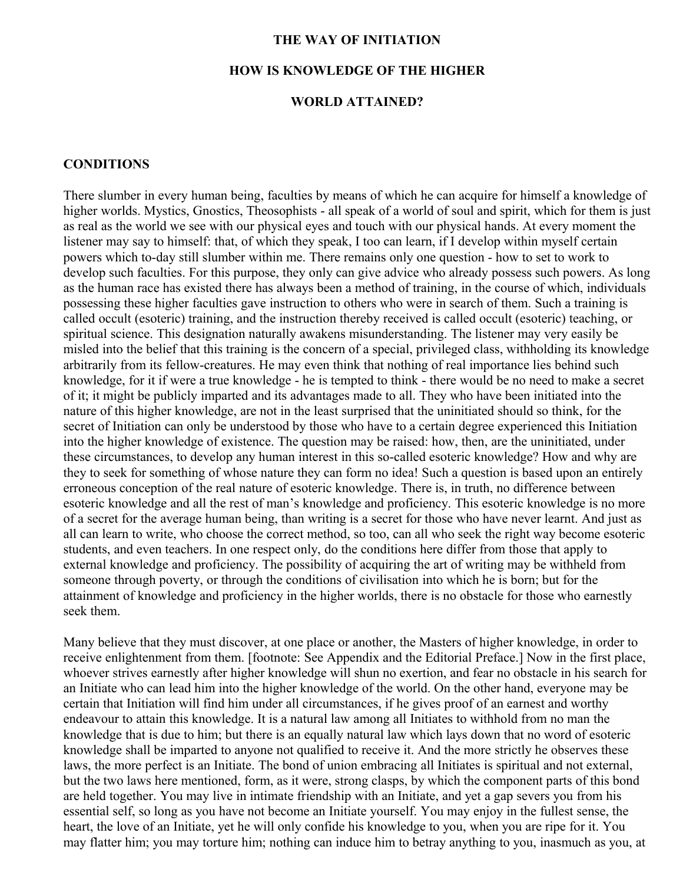#### <span id="page-3-0"></span>**THE WAY OF INITIATION**

### **HOW IS KNOWLEDGE OF THE HIGHER**

## **WORLD ATTAINED?**

#### <span id="page-3-1"></span>**CONDITIONS**

There slumber in every human being, faculties by means of which he can acquire for himself a knowledge of higher worlds. Mystics, Gnostics, Theosophists - all speak of a world of soul and spirit, which for them is just as real as the world we see with our physical eyes and touch with our physical hands. At every moment the listener may say to himself: that, of which they speak, I too can learn, if I develop within myself certain powers which to-day still slumber within me. There remains only one question - how to set to work to develop such faculties. For this purpose, they only can give advice who already possess such powers. As long as the human race has existed there has always been a method of training, in the course of which, individuals possessing these higher faculties gave instruction to others who were in search of them. Such a training is called occult (esoteric) training, and the instruction thereby received is called occult (esoteric) teaching, or spiritual science. This designation naturally awakens misunderstanding. The listener may very easily be misled into the belief that this training is the concern of a special, privileged class, withholding its knowledge arbitrarily from its fellow-creatures. He may even think that nothing of real importance lies behind such knowledge, for it if were a true knowledge - he is tempted to think - there would be no need to make a secret of it; it might be publicly imparted and its advantages made to all. They who have been initiated into the nature of this higher knowledge, are not in the least surprised that the uninitiated should so think, for the secret of Initiation can only be understood by those who have to a certain degree experienced this Initiation into the higher knowledge of existence. The question may be raised: how, then, are the uninitiated, under these circumstances, to develop any human interest in this so-called esoteric knowledge? How and why are they to seek for something of whose nature they can form no idea! Such a question is based upon an entirely erroneous conception of the real nature of esoteric knowledge. There is, in truth, no difference between esoteric knowledge and all the rest of man's knowledge and proficiency. This esoteric knowledge is no more of a secret for the average human being, than writing is a secret for those who have never learnt. And just as all can learn to write, who choose the correct method, so too, can all who seek the right way become esoteric students, and even teachers. In one respect only, do the conditions here differ from those that apply to external knowledge and proficiency. The possibility of acquiring the art of writing may be withheld from someone through poverty, or through the conditions of civilisation into which he is born; but for the attainment of knowledge and proficiency in the higher worlds, there is no obstacle for those who earnestly seek them.

Many believe that they must discover, at one place or another, the Masters of higher knowledge, in order to receive enlightenment from them. [footnote: See Appendix and the Editorial Preface.] Now in the first place, whoever strives earnestly after higher knowledge will shun no exertion, and fear no obstacle in his search for an Initiate who can lead him into the higher knowledge of the world. On the other hand, everyone may be certain that Initiation will find him under all circumstances, if he gives proof of an earnest and worthy endeavour to attain this knowledge. It is a natural law among all Initiates to withhold from no man the knowledge that is due to him; but there is an equally natural law which lays down that no word of esoteric knowledge shall be imparted to anyone not qualified to receive it. And the more strictly he observes these laws, the more perfect is an Initiate. The bond of union embracing all Initiates is spiritual and not external, but the two laws here mentioned, form, as it were, strong clasps, by which the component parts of this bond are held together. You may live in intimate friendship with an Initiate, and yet a gap severs you from his essential self, so long as you have not become an Initiate yourself. You may enjoy in the fullest sense, the heart, the love of an Initiate, yet he will only confide his knowledge to you, when you are ripe for it. You may flatter him; you may torture him; nothing can induce him to betray anything to you, inasmuch as you, at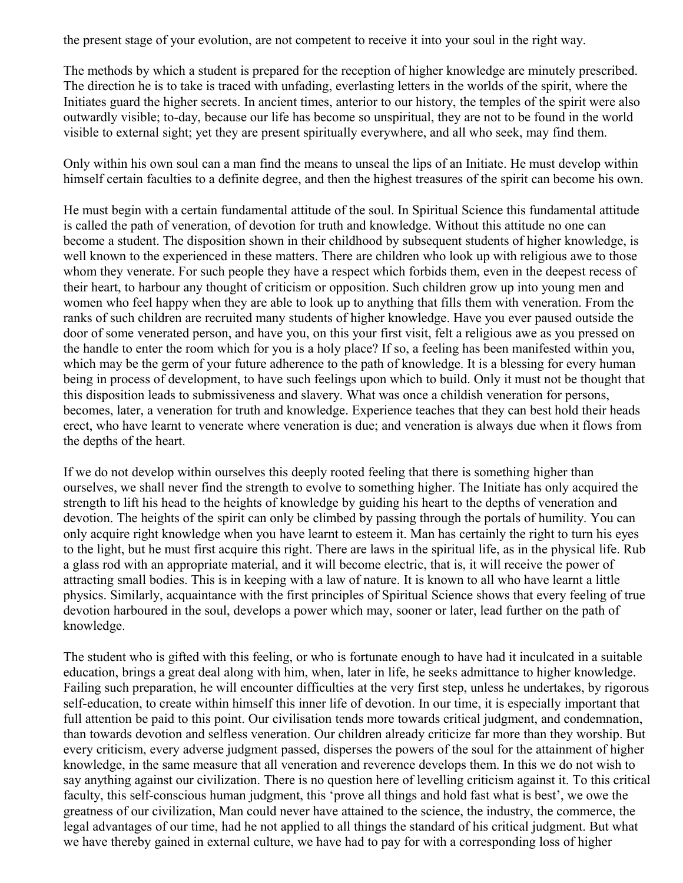the present stage of your evolution, are not competent to receive it into your soul in the right way.

The methods by which a student is prepared for the reception of higher knowledge are minutely prescribed. The direction he is to take is traced with unfading, everlasting letters in the worlds of the spirit, where the Initiates guard the higher secrets. In ancient times, anterior to our history, the temples of the spirit were also outwardly visible; to-day, because our life has become so unspiritual, they are not to be found in the world visible to external sight; yet they are present spiritually everywhere, and all who seek, may find them.

Only within his own soul can a man find the means to unseal the lips of an Initiate. He must develop within himself certain faculties to a definite degree, and then the highest treasures of the spirit can become his own.

He must begin with a certain fundamental attitude of the soul. In Spiritual Science this fundamental attitude is called the path of veneration, of devotion for truth and knowledge. Without this attitude no one can become a student. The disposition shown in their childhood by subsequent students of higher knowledge, is well known to the experienced in these matters. There are children who look up with religious awe to those whom they venerate. For such people they have a respect which forbids them, even in the deepest recess of their heart, to harbour any thought of criticism or opposition. Such children grow up into young men and women who feel happy when they are able to look up to anything that fills them with veneration. From the ranks of such children are recruited many students of higher knowledge. Have you ever paused outside the door of some venerated person, and have you, on this your first visit, felt a religious awe as you pressed on the handle to enter the room which for you is a holy place? If so, a feeling has been manifested within you, which may be the germ of your future adherence to the path of knowledge. It is a blessing for every human being in process of development, to have such feelings upon which to build. Only it must not be thought that this disposition leads to submissiveness and slavery. What was once a childish veneration for persons, becomes, later, a veneration for truth and knowledge. Experience teaches that they can best hold their heads erect, who have learnt to venerate where veneration is due; and veneration is always due when it flows from the depths of the heart.

If we do not develop within ourselves this deeply rooted feeling that there is something higher than ourselves, we shall never find the strength to evolve to something higher. The Initiate has only acquired the strength to lift his head to the heights of knowledge by guiding his heart to the depths of veneration and devotion. The heights of the spirit can only be climbed by passing through the portals of humility. You can only acquire right knowledge when you have learnt to esteem it. Man has certainly the right to turn his eyes to the light, but he must first acquire this right. There are laws in the spiritual life, as in the physical life. Rub a glass rod with an appropriate material, and it will become electric, that is, it will receive the power of attracting small bodies. This is in keeping with a law of nature. It is known to all who have learnt a little physics. Similarly, acquaintance with the first principles of Spiritual Science shows that every feeling of true devotion harboured in the soul, develops a power which may, sooner or later, lead further on the path of knowledge.

The student who is gifted with this feeling, or who is fortunate enough to have had it inculcated in a suitable education, brings a great deal along with him, when, later in life, he seeks admittance to higher knowledge. Failing such preparation, he will encounter difficulties at the very first step, unless he undertakes, by rigorous self-education, to create within himself this inner life of devotion. In our time, it is especially important that full attention be paid to this point. Our civilisation tends more towards critical judgment, and condemnation, than towards devotion and selfless veneration. Our children already criticize far more than they worship. But every criticism, every adverse judgment passed, disperses the powers of the soul for the attainment of higher knowledge, in the same measure that all veneration and reverence develops them. In this we do not wish to say anything against our civilization. There is no question here of levelling criticism against it. To this critical faculty, this self-conscious human judgment, this 'prove all things and hold fast what is best', we owe the greatness of our civilization, Man could never have attained to the science, the industry, the commerce, the legal advantages of our time, had he not applied to all things the standard of his critical judgment. But what we have thereby gained in external culture, we have had to pay for with a corresponding loss of higher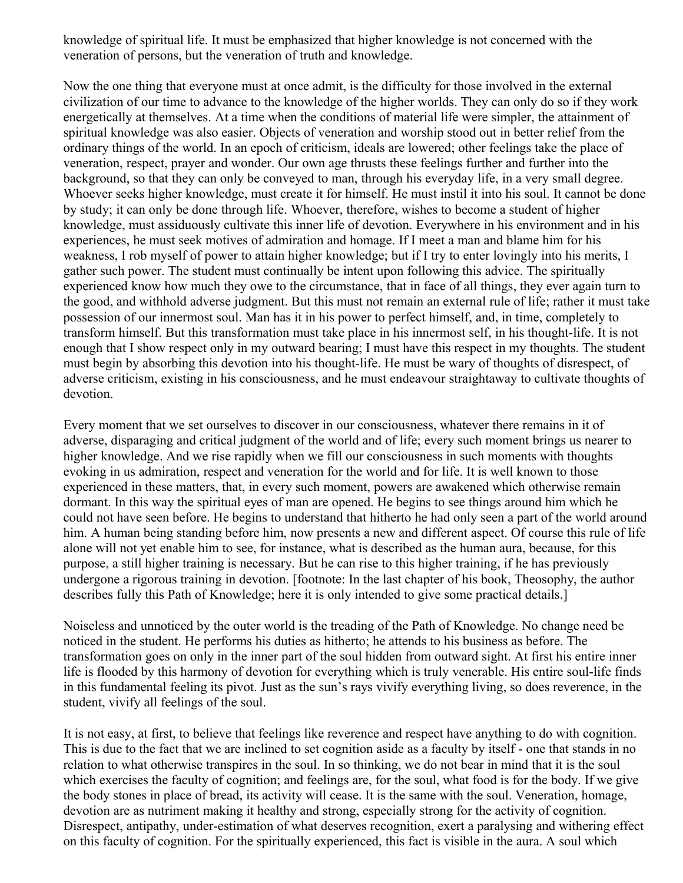knowledge of spiritual life. It must be emphasized that higher knowledge is not concerned with the veneration of persons, but the veneration of truth and knowledge.

Now the one thing that everyone must at once admit, is the difficulty for those involved in the external civilization of our time to advance to the knowledge of the higher worlds. They can only do so if they work energetically at themselves. At a time when the conditions of material life were simpler, the attainment of spiritual knowledge was also easier. Objects of veneration and worship stood out in better relief from the ordinary things of the world. In an epoch of criticism, ideals are lowered; other feelings take the place of veneration, respect, prayer and wonder. Our own age thrusts these feelings further and further into the background, so that they can only be conveyed to man, through his everyday life, in a very small degree. Whoever seeks higher knowledge, must create it for himself. He must instil it into his soul. It cannot be done by study; it can only be done through life. Whoever, therefore, wishes to become a student of higher knowledge, must assiduously cultivate this inner life of devotion. Everywhere in his environment and in his experiences, he must seek motives of admiration and homage. If I meet a man and blame him for his weakness, I rob myself of power to attain higher knowledge; but if I try to enter lovingly into his merits, I gather such power. The student must continually be intent upon following this advice. The spiritually experienced know how much they owe to the circumstance, that in face of all things, they ever again turn to the good, and withhold adverse judgment. But this must not remain an external rule of life; rather it must take possession of our innermost soul. Man has it in his power to perfect himself, and, in time, completely to transform himself. But this transformation must take place in his innermost self, in his thought-life. It is not enough that I show respect only in my outward bearing; I must have this respect in my thoughts. The student must begin by absorbing this devotion into his thought-life. He must be wary of thoughts of disrespect, of adverse criticism, existing in his consciousness, and he must endeavour straightaway to cultivate thoughts of devotion.

Every moment that we set ourselves to discover in our consciousness, whatever there remains in it of adverse, disparaging and critical judgment of the world and of life; every such moment brings us nearer to higher knowledge. And we rise rapidly when we fill our consciousness in such moments with thoughts evoking in us admiration, respect and veneration for the world and for life. It is well known to those experienced in these matters, that, in every such moment, powers are awakened which otherwise remain dormant. In this way the spiritual eyes of man are opened. He begins to see things around him which he could not have seen before. He begins to understand that hitherto he had only seen a part of the world around him. A human being standing before him, now presents a new and different aspect. Of course this rule of life alone will not yet enable him to see, for instance, what is described as the human aura, because, for this purpose, a still higher training is necessary. But he can rise to this higher training, if he has previously undergone a rigorous training in devotion. [footnote: In the last chapter of his book, Theosophy, the author describes fully this Path of Knowledge; here it is only intended to give some practical details.]

Noiseless and unnoticed by the outer world is the treading of the Path of Knowledge. No change need be noticed in the student. He performs his duties as hitherto; he attends to his business as before. The transformation goes on only in the inner part of the soul hidden from outward sight. At first his entire inner life is flooded by this harmony of devotion for everything which is truly venerable. His entire soul-life finds in this fundamental feeling its pivot. Just as the sun's rays vivify everything living, so does reverence, in the student, vivify all feelings of the soul.

It is not easy, at first, to believe that feelings like reverence and respect have anything to do with cognition. This is due to the fact that we are inclined to set cognition aside as a faculty by itself - one that stands in no relation to what otherwise transpires in the soul. In so thinking, we do not bear in mind that it is the soul which exercises the faculty of cognition; and feelings are, for the soul, what food is for the body. If we give the body stones in place of bread, its activity will cease. It is the same with the soul. Veneration, homage, devotion are as nutriment making it healthy and strong, especially strong for the activity of cognition. Disrespect, antipathy, under-estimation of what deserves recognition, exert a paralysing and withering effect on this faculty of cognition. For the spiritually experienced, this fact is visible in the aura. A soul which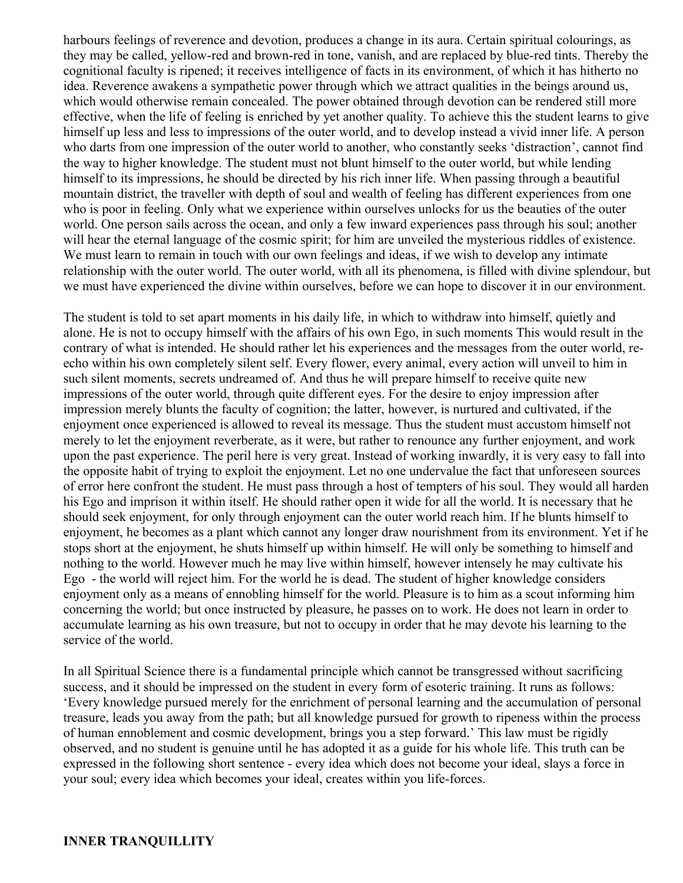harbours feelings of reverence and devotion, produces a change in its aura. Certain spiritual colourings, as they may be called, yellow-red and brown-red in tone, vanish, and are replaced by blue-red tints. Thereby the cognitional faculty is ripened; it receives intelligence of facts in its environment, of which it has hitherto no idea. Reverence awakens a sympathetic power through which we attract qualities in the beings around us, which would otherwise remain concealed. The power obtained through devotion can be rendered still more effective, when the life of feeling is enriched by yet another quality. To achieve this the student learns to give himself up less and less to impressions of the outer world, and to develop instead a vivid inner life. A person who darts from one impression of the outer world to another, who constantly seeks 'distraction', cannot find the way to higher knowledge. The student must not blunt himself to the outer world, but while lending himself to its impressions, he should be directed by his rich inner life. When passing through a beautiful mountain district, the traveller with depth of soul and wealth of feeling has different experiences from one who is poor in feeling. Only what we experience within ourselves unlocks for us the beauties of the outer world. One person sails across the ocean, and only a few inward experiences pass through his soul; another will hear the eternal language of the cosmic spirit; for him are unveiled the mysterious riddles of existence. We must learn to remain in touch with our own feelings and ideas, if we wish to develop any intimate relationship with the outer world. The outer world, with all its phenomena, is filled with divine splendour, but we must have experienced the divine within ourselves, before we can hope to discover it in our environment.

The student is told to set apart moments in his daily life, in which to withdraw into himself, quietly and alone. He is not to occupy himself with the affairs of his own Ego, in such moments This would result in the contrary of what is intended. He should rather let his experiences and the messages from the outer world, reecho within his own completely silent self. Every flower, every animal, every action will unveil to him in such silent moments, secrets undreamed of. And thus he will prepare himself to receive quite new impressions of the outer world, through quite different eyes. For the desire to enjoy impression after impression merely blunts the faculty of cognition; the latter, however, is nurtured and cultivated, if the enjoyment once experienced is allowed to reveal its message. Thus the student must accustom himself not merely to let the enjoyment reverberate, as it were, but rather to renounce any further enjoyment, and work upon the past experience. The peril here is very great. Instead of working inwardly, it is very easy to fall into the opposite habit of trying to exploit the enjoyment. Let no one undervalue the fact that unforeseen sources of error here confront the student. He must pass through a host of tempters of his soul. They would all harden his Ego and imprison it within itself. He should rather open it wide for all the world. It is necessary that he should seek enjoyment, for only through enjoyment can the outer world reach him. If he blunts himself to enjoyment, he becomes as a plant which cannot any longer draw nourishment from its environment. Yet if he stops short at the enjoyment, he shuts himself up within himself. He will only be something to himself and nothing to the world. However much he may live within himself, however intensely he may cultivate his Ego - the world will reject him. For the world he is dead. The student of higher knowledge considers enjoyment only as a means of ennobling himself for the world. Pleasure is to him as a scout informing him concerning the world; but once instructed by pleasure, he passes on to work. He does not learn in order to accumulate learning as his own treasure, but not to occupy in order that he may devote his learning to the service of the world.

<span id="page-6-0"></span>In all Spiritual Science there is a fundamental principle which cannot be transgressed without sacrificing success, and it should be impressed on the student in every form of esoteric training. It runs as follows: 'Every knowledge pursued merely for the enrichment of personal learning and the accumulation of personal treasure, leads you away from the path; but all knowledge pursued for growth to ripeness within the process of human ennoblement and cosmic development, brings you a step forward.' This law must be rigidly observed, and no student is genuine until he has adopted it as a guide for his whole life. This truth can be expressed in the following short sentence - every idea which does not become your ideal, slays a force in your soul; every idea which becomes your ideal, creates within you life-forces.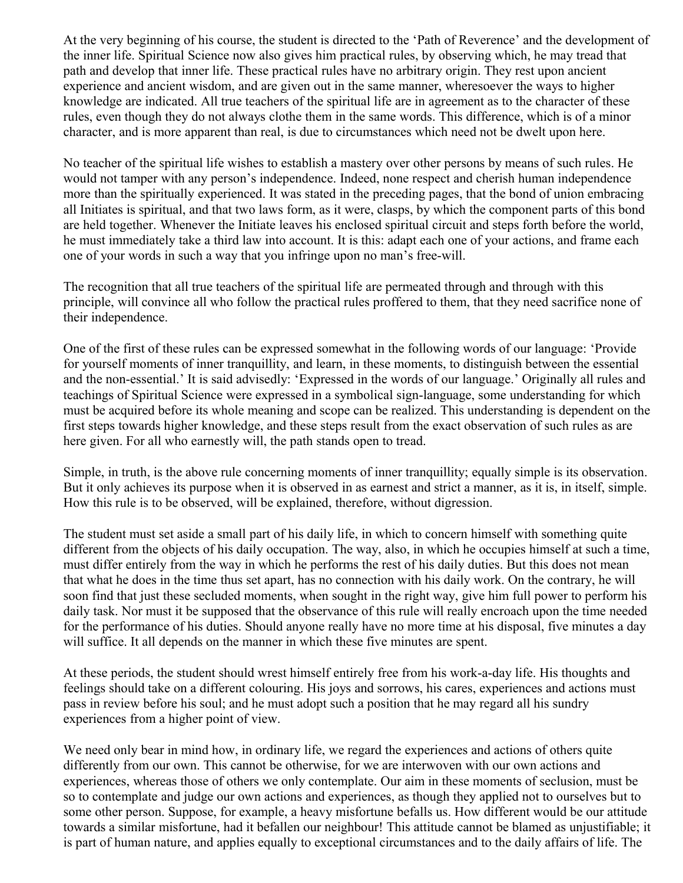At the very beginning of his course, the student is directed to the 'Path of Reverence' and the development of the inner life. Spiritual Science now also gives him practical rules, by observing which, he may tread that path and develop that inner life. These practical rules have no arbitrary origin. They rest upon ancient experience and ancient wisdom, and are given out in the same manner, wheresoever the ways to higher knowledge are indicated. All true teachers of the spiritual life are in agreement as to the character of these rules, even though they do not always clothe them in the same words. This difference, which is of a minor character, and is more apparent than real, is due to circumstances which need not be dwelt upon here.

No teacher of the spiritual life wishes to establish a mastery over other persons by means of such rules. He would not tamper with any person's independence. Indeed, none respect and cherish human independence more than the spiritually experienced. It was stated in the preceding pages, that the bond of union embracing all Initiates is spiritual, and that two laws form, as it were, clasps, by which the component parts of this bond are held together. Whenever the Initiate leaves his enclosed spiritual circuit and steps forth before the world, he must immediately take a third law into account. It is this: adapt each one of your actions, and frame each one of your words in such a way that you infringe upon no man's free-will.

The recognition that all true teachers of the spiritual life are permeated through and through with this principle, will convince all who follow the practical rules proffered to them, that they need sacrifice none of their independence.

One of the first of these rules can be expressed somewhat in the following words of our language: 'Provide for yourself moments of inner tranquillity, and learn, in these moments, to distinguish between the essential and the non-essential.' It is said advisedly: 'Expressed in the words of our language.' Originally all rules and teachings of Spiritual Science were expressed in a symbolical sign-language, some understanding for which must be acquired before its whole meaning and scope can be realized. This understanding is dependent on the first steps towards higher knowledge, and these steps result from the exact observation of such rules as are here given. For all who earnestly will, the path stands open to tread.

Simple, in truth, is the above rule concerning moments of inner tranquillity; equally simple is its observation. But it only achieves its purpose when it is observed in as earnest and strict a manner, as it is, in itself, simple. How this rule is to be observed, will be explained, therefore, without digression.

The student must set aside a small part of his daily life, in which to concern himself with something quite different from the objects of his daily occupation. The way, also, in which he occupies himself at such a time, must differ entirely from the way in which he performs the rest of his daily duties. But this does not mean that what he does in the time thus set apart, has no connection with his daily work. On the contrary, he will soon find that just these secluded moments, when sought in the right way, give him full power to perform his daily task. Nor must it be supposed that the observance of this rule will really encroach upon the time needed for the performance of his duties. Should anyone really have no more time at his disposal, five minutes a day will suffice. It all depends on the manner in which these five minutes are spent.

At these periods, the student should wrest himself entirely free from his work-a-day life. His thoughts and feelings should take on a different colouring. His joys and sorrows, his cares, experiences and actions must pass in review before his soul; and he must adopt such a position that he may regard all his sundry experiences from a higher point of view.

We need only bear in mind how, in ordinary life, we regard the experiences and actions of others quite differently from our own. This cannot be otherwise, for we are interwoven with our own actions and experiences, whereas those of others we only contemplate. Our aim in these moments of seclusion, must be so to contemplate and judge our own actions and experiences, as though they applied not to ourselves but to some other person. Suppose, for example, a heavy misfortune befalls us. How different would be our attitude towards a similar misfortune, had it befallen our neighbour! This attitude cannot be blamed as unjustifiable; it is part of human nature, and applies equally to exceptional circumstances and to the daily affairs of life. The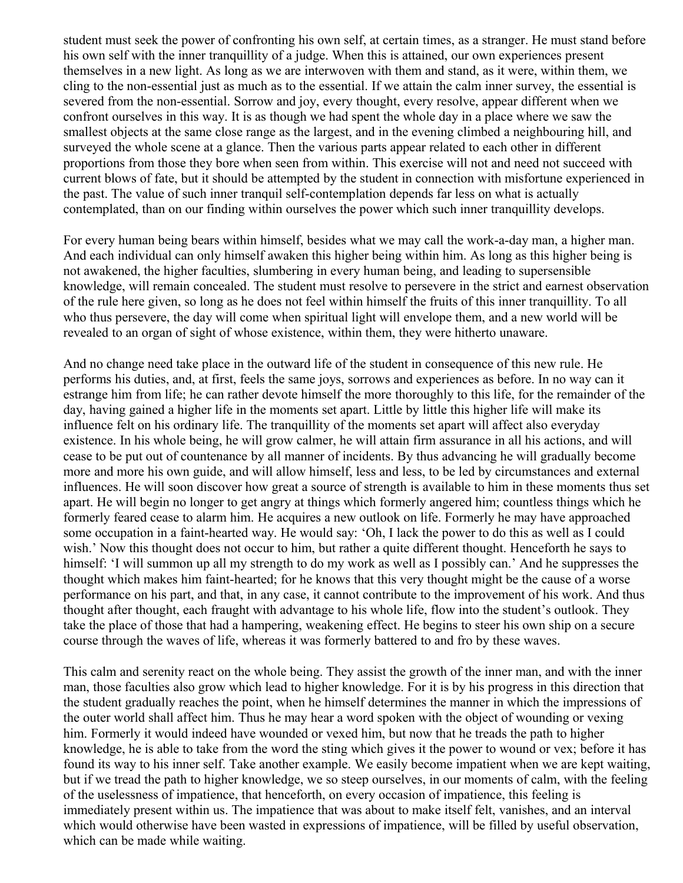student must seek the power of confronting his own self, at certain times, as a stranger. He must stand before his own self with the inner tranquillity of a judge. When this is attained, our own experiences present themselves in a new light. As long as we are interwoven with them and stand, as it were, within them, we cling to the non-essential just as much as to the essential. If we attain the calm inner survey, the essential is severed from the non-essential. Sorrow and joy, every thought, every resolve, appear different when we confront ourselves in this way. It is as though we had spent the whole day in a place where we saw the smallest objects at the same close range as the largest, and in the evening climbed a neighbouring hill, and surveyed the whole scene at a glance. Then the various parts appear related to each other in different proportions from those they bore when seen from within. This exercise will not and need not succeed with current blows of fate, but it should be attempted by the student in connection with misfortune experienced in the past. The value of such inner tranquil self-contemplation depends far less on what is actually contemplated, than on our finding within ourselves the power which such inner tranquillity develops.

For every human being bears within himself, besides what we may call the work-a-day man, a higher man. And each individual can only himself awaken this higher being within him. As long as this higher being is not awakened, the higher faculties, slumbering in every human being, and leading to supersensible knowledge, will remain concealed. The student must resolve to persevere in the strict and earnest observation of the rule here given, so long as he does not feel within himself the fruits of this inner tranquillity. To all who thus persevere, the day will come when spiritual light will envelope them, and a new world will be revealed to an organ of sight of whose existence, within them, they were hitherto unaware.

And no change need take place in the outward life of the student in consequence of this new rule. He performs his duties, and, at first, feels the same joys, sorrows and experiences as before. In no way can it estrange him from life; he can rather devote himself the more thoroughly to this life, for the remainder of the day, having gained a higher life in the moments set apart. Little by little this higher life will make its influence felt on his ordinary life. The tranquillity of the moments set apart will affect also everyday existence. In his whole being, he will grow calmer, he will attain firm assurance in all his actions, and will cease to be put out of countenance by all manner of incidents. By thus advancing he will gradually become more and more his own guide, and will allow himself, less and less, to be led by circumstances and external influences. He will soon discover how great a source of strength is available to him in these moments thus set apart. He will begin no longer to get angry at things which formerly angered him; countless things which he formerly feared cease to alarm him. He acquires a new outlook on life. Formerly he may have approached some occupation in a faint-hearted way. He would say: 'Oh, I lack the power to do this as well as I could wish.' Now this thought does not occur to him, but rather a quite different thought. Henceforth he says to himself: 'I will summon up all my strength to do my work as well as I possibly can.' And he suppresses the thought which makes him faint-hearted; for he knows that this very thought might be the cause of a worse performance on his part, and that, in any case, it cannot contribute to the improvement of his work. And thus thought after thought, each fraught with advantage to his whole life, flow into the student's outlook. They take the place of those that had a hampering, weakening effect. He begins to steer his own ship on a secure course through the waves of life, whereas it was formerly battered to and fro by these waves.

This calm and serenity react on the whole being. They assist the growth of the inner man, and with the inner man, those faculties also grow which lead to higher knowledge. For it is by his progress in this direction that the student gradually reaches the point, when he himself determines the manner in which the impressions of the outer world shall affect him. Thus he may hear a word spoken with the object of wounding or vexing him. Formerly it would indeed have wounded or vexed him, but now that he treads the path to higher knowledge, he is able to take from the word the sting which gives it the power to wound or vex; before it has found its way to his inner self. Take another example. We easily become impatient when we are kept waiting, but if we tread the path to higher knowledge, we so steep ourselves, in our moments of calm, with the feeling of the uselessness of impatience, that henceforth, on every occasion of impatience, this feeling is immediately present within us. The impatience that was about to make itself felt, vanishes, and an interval which would otherwise have been wasted in expressions of impatience, will be filled by useful observation, which can be made while waiting.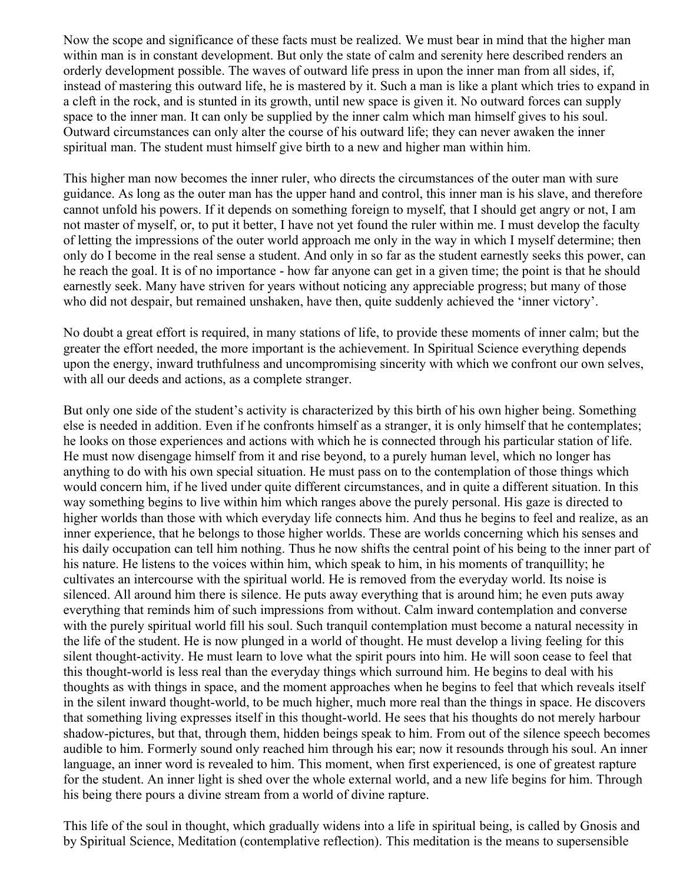Now the scope and significance of these facts must be realized. We must bear in mind that the higher man within man is in constant development. But only the state of calm and serenity here described renders an orderly development possible. The waves of outward life press in upon the inner man from all sides, if, instead of mastering this outward life, he is mastered by it. Such a man is like a plant which tries to expand in a cleft in the rock, and is stunted in its growth, until new space is given it. No outward forces can supply space to the inner man. It can only be supplied by the inner calm which man himself gives to his soul. Outward circumstances can only alter the course of his outward life; they can never awaken the inner spiritual man. The student must himself give birth to a new and higher man within him.

This higher man now becomes the inner ruler, who directs the circumstances of the outer man with sure guidance. As long as the outer man has the upper hand and control, this inner man is his slave, and therefore cannot unfold his powers. If it depends on something foreign to myself, that I should get angry or not, I am not master of myself, or, to put it better, I have not yet found the ruler within me. I must develop the faculty of letting the impressions of the outer world approach me only in the way in which I myself determine; then only do I become in the real sense a student. And only in so far as the student earnestly seeks this power, can he reach the goal. It is of no importance - how far anyone can get in a given time; the point is that he should earnestly seek. Many have striven for years without noticing any appreciable progress; but many of those who did not despair, but remained unshaken, have then, quite suddenly achieved the 'inner victory'.

No doubt a great effort is required, in many stations of life, to provide these moments of inner calm; but the greater the effort needed, the more important is the achievement. In Spiritual Science everything depends upon the energy, inward truthfulness and uncompromising sincerity with which we confront our own selves, with all our deeds and actions, as a complete stranger.

But only one side of the student's activity is characterized by this birth of his own higher being. Something else is needed in addition. Even if he confronts himself as a stranger, it is only himself that he contemplates; he looks on those experiences and actions with which he is connected through his particular station of life. He must now disengage himself from it and rise beyond, to a purely human level, which no longer has anything to do with his own special situation. He must pass on to the contemplation of those things which would concern him, if he lived under quite different circumstances, and in quite a different situation. In this way something begins to live within him which ranges above the purely personal. His gaze is directed to higher worlds than those with which everyday life connects him. And thus he begins to feel and realize, as an inner experience, that he belongs to those higher worlds. These are worlds concerning which his senses and his daily occupation can tell him nothing. Thus he now shifts the central point of his being to the inner part of his nature. He listens to the voices within him, which speak to him, in his moments of tranquillity; he cultivates an intercourse with the spiritual world. He is removed from the everyday world. Its noise is silenced. All around him there is silence. He puts away everything that is around him; he even puts away everything that reminds him of such impressions from without. Calm inward contemplation and converse with the purely spiritual world fill his soul. Such tranquil contemplation must become a natural necessity in the life of the student. He is now plunged in a world of thought. He must develop a living feeling for this silent thought-activity. He must learn to love what the spirit pours into him. He will soon cease to feel that this thought-world is less real than the everyday things which surround him. He begins to deal with his thoughts as with things in space, and the moment approaches when he begins to feel that which reveals itself in the silent inward thought-world, to be much higher, much more real than the things in space. He discovers that something living expresses itself in this thought-world. He sees that his thoughts do not merely harbour shadow-pictures, but that, through them, hidden beings speak to him. From out of the silence speech becomes audible to him. Formerly sound only reached him through his ear; now it resounds through his soul. An inner language, an inner word is revealed to him. This moment, when first experienced, is one of greatest rapture for the student. An inner light is shed over the whole external world, and a new life begins for him. Through his being there pours a divine stream from a world of divine rapture.

This life of the soul in thought, which gradually widens into a life in spiritual being, is called by Gnosis and by Spiritual Science, Meditation (contemplative reflection). This meditation is the means to supersensible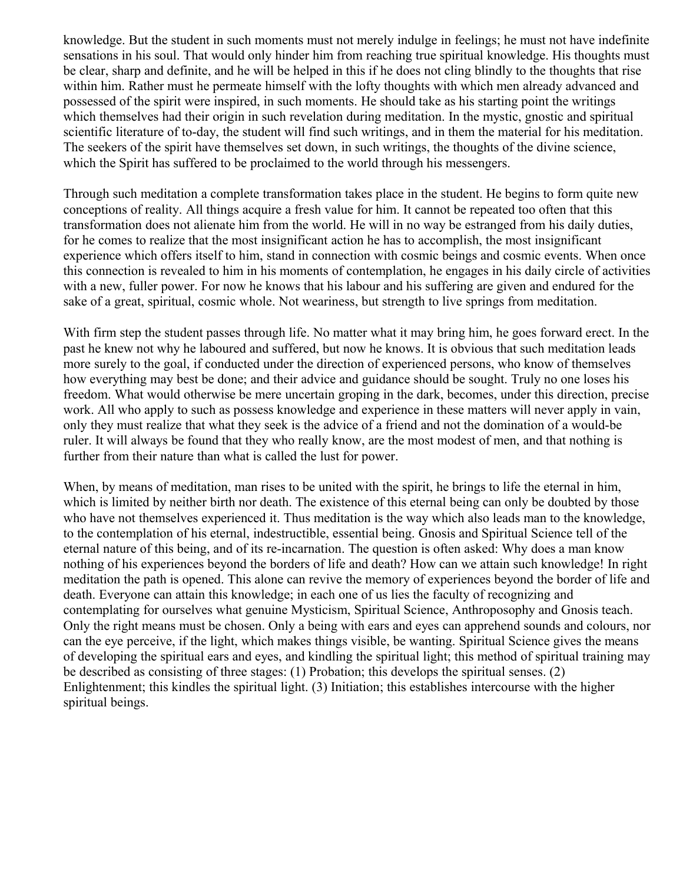knowledge. But the student in such moments must not merely indulge in feelings; he must not have indefinite sensations in his soul. That would only hinder him from reaching true spiritual knowledge. His thoughts must be clear, sharp and definite, and he will be helped in this if he does not cling blindly to the thoughts that rise within him. Rather must he permeate himself with the lofty thoughts with which men already advanced and possessed of the spirit were inspired, in such moments. He should take as his starting point the writings which themselves had their origin in such revelation during meditation. In the mystic, gnostic and spiritual scientific literature of to-day, the student will find such writings, and in them the material for his meditation. The seekers of the spirit have themselves set down, in such writings, the thoughts of the divine science, which the Spirit has suffered to be proclaimed to the world through his messengers.

Through such meditation a complete transformation takes place in the student. He begins to form quite new conceptions of reality. All things acquire a fresh value for him. It cannot be repeated too often that this transformation does not alienate him from the world. He will in no way be estranged from his daily duties, for he comes to realize that the most insignificant action he has to accomplish, the most insignificant experience which offers itself to him, stand in connection with cosmic beings and cosmic events. When once this connection is revealed to him in his moments of contemplation, he engages in his daily circle of activities with a new, fuller power. For now he knows that his labour and his suffering are given and endured for the sake of a great, spiritual, cosmic whole. Not weariness, but strength to live springs from meditation.

With firm step the student passes through life. No matter what it may bring him, he goes forward erect. In the past he knew not why he laboured and suffered, but now he knows. It is obvious that such meditation leads more surely to the goal, if conducted under the direction of experienced persons, who know of themselves how everything may best be done; and their advice and guidance should be sought. Truly no one loses his freedom. What would otherwise be mere uncertain groping in the dark, becomes, under this direction, precise work. All who apply to such as possess knowledge and experience in these matters will never apply in vain, only they must realize that what they seek is the advice of a friend and not the domination of a would-be ruler. It will always be found that they who really know, are the most modest of men, and that nothing is further from their nature than what is called the lust for power.

When, by means of meditation, man rises to be united with the spirit, he brings to life the eternal in him, which is limited by neither birth nor death. The existence of this eternal being can only be doubted by those who have not themselves experienced it. Thus meditation is the way which also leads man to the knowledge, to the contemplation of his eternal, indestructible, essential being. Gnosis and Spiritual Science tell of the eternal nature of this being, and of its re-incarnation. The question is often asked: Why does a man know nothing of his experiences beyond the borders of life and death? How can we attain such knowledge! In right meditation the path is opened. This alone can revive the memory of experiences beyond the border of life and death. Everyone can attain this knowledge; in each one of us lies the faculty of recognizing and contemplating for ourselves what genuine Mysticism, Spiritual Science, Anthroposophy and Gnosis teach. Only the right means must be chosen. Only a being with ears and eyes can apprehend sounds and colours, nor can the eye perceive, if the light, which makes things visible, be wanting. Spiritual Science gives the means of developing the spiritual ears and eyes, and kindling the spiritual light; this method of spiritual training may be described as consisting of three stages: (1) Probation; this develops the spiritual senses. (2) Enlightenment; this kindles the spiritual light. (3) Initiation; this establishes intercourse with the higher spiritual beings.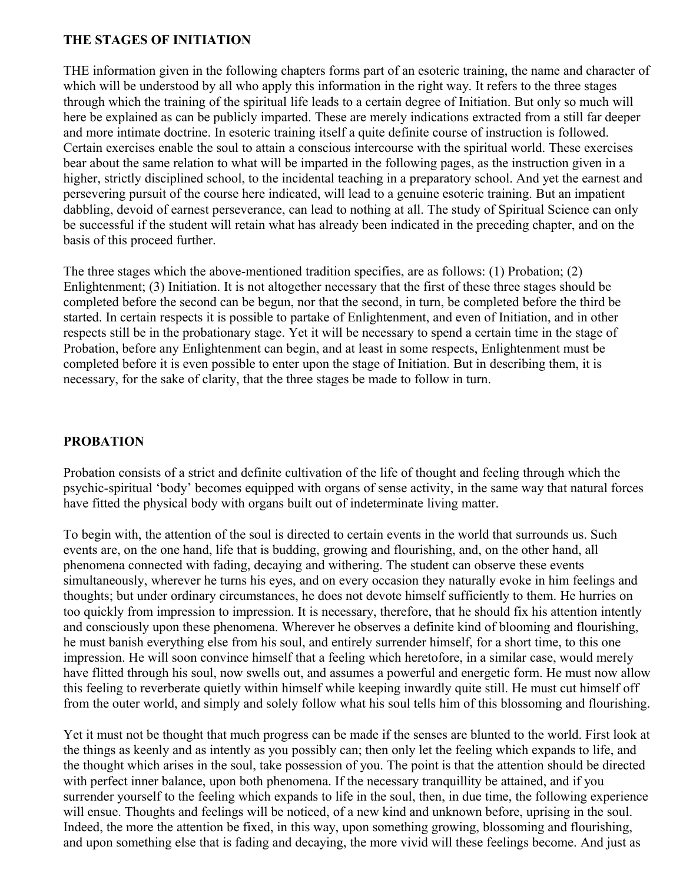# <span id="page-11-1"></span>**THE STAGES OF INITIATION**

THE information given in the following chapters forms part of an esoteric training, the name and character of which will be understood by all who apply this information in the right way. It refers to the three stages through which the training of the spiritual life leads to a certain degree of Initiation. But only so much will here be explained as can be publicly imparted. These are merely indications extracted from a still far deeper and more intimate doctrine. In esoteric training itself a quite definite course of instruction is followed. Certain exercises enable the soul to attain a conscious intercourse with the spiritual world. These exercises bear about the same relation to what will be imparted in the following pages, as the instruction given in a higher, strictly disciplined school, to the incidental teaching in a preparatory school. And yet the earnest and persevering pursuit of the course here indicated, will lead to a genuine esoteric training. But an impatient dabbling, devoid of earnest perseverance, can lead to nothing at all. The study of Spiritual Science can only be successful if the student will retain what has already been indicated in the preceding chapter, and on the basis of this proceed further.

The three stages which the above-mentioned tradition specifies, are as follows: (1) Probation; (2) Enlightenment; (3) Initiation. It is not altogether necessary that the first of these three stages should be completed before the second can be begun, nor that the second, in turn, be completed before the third be started. In certain respects it is possible to partake of Enlightenment, and even of Initiation, and in other respects still be in the probationary stage. Yet it will be necessary to spend a certain time in the stage of Probation, before any Enlightenment can begin, and at least in some respects, Enlightenment must be completed before it is even possible to enter upon the stage of Initiation. But in describing them, it is necessary, for the sake of clarity, that the three stages be made to follow in turn.

# <span id="page-11-0"></span>**PROBATION**

Probation consists of a strict and definite cultivation of the life of thought and feeling through which the psychic-spiritual 'body' becomes equipped with organs of sense activity, in the same way that natural forces have fitted the physical body with organs built out of indeterminate living matter.

To begin with, the attention of the soul is directed to certain events in the world that surrounds us. Such events are, on the one hand, life that is budding, growing and flourishing, and, on the other hand, all phenomena connected with fading, decaying and withering. The student can observe these events simultaneously, wherever he turns his eyes, and on every occasion they naturally evoke in him feelings and thoughts; but under ordinary circumstances, he does not devote himself sufficiently to them. He hurries on too quickly from impression to impression. It is necessary, therefore, that he should fix his attention intently and consciously upon these phenomena. Wherever he observes a definite kind of blooming and flourishing, he must banish everything else from his soul, and entirely surrender himself, for a short time, to this one impression. He will soon convince himself that a feeling which heretofore, in a similar case, would merely have flitted through his soul, now swells out, and assumes a powerful and energetic form. He must now allow this feeling to reverberate quietly within himself while keeping inwardly quite still. He must cut himself off from the outer world, and simply and solely follow what his soul tells him of this blossoming and flourishing.

Yet it must not be thought that much progress can be made if the senses are blunted to the world. First look at the things as keenly and as intently as you possibly can; then only let the feeling which expands to life, and the thought which arises in the soul, take possession of you. The point is that the attention should be directed with perfect inner balance, upon both phenomena. If the necessary tranquillity be attained, and if you surrender yourself to the feeling which expands to life in the soul, then, in due time, the following experience will ensue. Thoughts and feelings will be noticed, of a new kind and unknown before, uprising in the soul. Indeed, the more the attention be fixed, in this way, upon something growing, blossoming and flourishing, and upon something else that is fading and decaying, the more vivid will these feelings become. And just as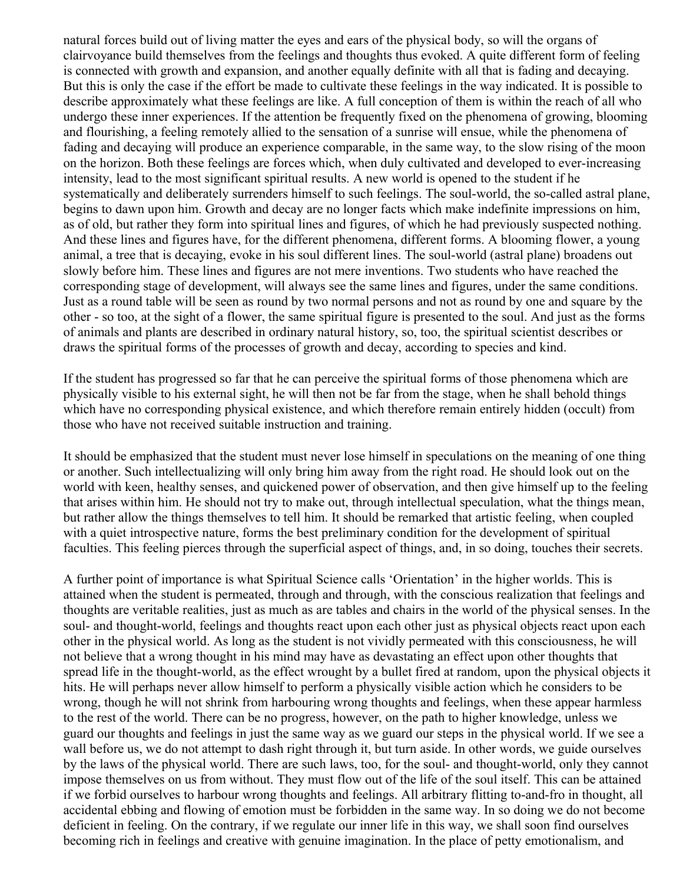natural forces build out of living matter the eyes and ears of the physical body, so will the organs of clairvoyance build themselves from the feelings and thoughts thus evoked. A quite different form of feeling is connected with growth and expansion, and another equally definite with all that is fading and decaying. But this is only the case if the effort be made to cultivate these feelings in the way indicated. It is possible to describe approximately what these feelings are like. A full conception of them is within the reach of all who undergo these inner experiences. If the attention be frequently fixed on the phenomena of growing, blooming and flourishing, a feeling remotely allied to the sensation of a sunrise will ensue, while the phenomena of fading and decaying will produce an experience comparable, in the same way, to the slow rising of the moon on the horizon. Both these feelings are forces which, when duly cultivated and developed to ever-increasing intensity, lead to the most significant spiritual results. A new world is opened to the student if he systematically and deliberately surrenders himself to such feelings. The soul-world, the so-called astral plane, begins to dawn upon him. Growth and decay are no longer facts which make indefinite impressions on him, as of old, but rather they form into spiritual lines and figures, of which he had previously suspected nothing. And these lines and figures have, for the different phenomena, different forms. A blooming flower, a young animal, a tree that is decaying, evoke in his soul different lines. The soul-world (astral plane) broadens out slowly before him. These lines and figures are not mere inventions. Two students who have reached the corresponding stage of development, will always see the same lines and figures, under the same conditions. Just as a round table will be seen as round by two normal persons and not as round by one and square by the other - so too, at the sight of a flower, the same spiritual figure is presented to the soul. And just as the forms of animals and plants are described in ordinary natural history, so, too, the spiritual scientist describes or draws the spiritual forms of the processes of growth and decay, according to species and kind.

If the student has progressed so far that he can perceive the spiritual forms of those phenomena which are physically visible to his external sight, he will then not be far from the stage, when he shall behold things which have no corresponding physical existence, and which therefore remain entirely hidden (occult) from those who have not received suitable instruction and training.

It should be emphasized that the student must never lose himself in speculations on the meaning of one thing or another. Such intellectualizing will only bring him away from the right road. He should look out on the world with keen, healthy senses, and quickened power of observation, and then give himself up to the feeling that arises within him. He should not try to make out, through intellectual speculation, what the things mean, but rather allow the things themselves to tell him. It should be remarked that artistic feeling, when coupled with a quiet introspective nature, forms the best preliminary condition for the development of spiritual faculties. This feeling pierces through the superficial aspect of things, and, in so doing, touches their secrets.

A further point of importance is what Spiritual Science calls 'Orientation' in the higher worlds. This is attained when the student is permeated, through and through, with the conscious realization that feelings and thoughts are veritable realities, just as much as are tables and chairs in the world of the physical senses. In the soul- and thought-world, feelings and thoughts react upon each other just as physical objects react upon each other in the physical world. As long as the student is not vividly permeated with this consciousness, he will not believe that a wrong thought in his mind may have as devastating an effect upon other thoughts that spread life in the thought-world, as the effect wrought by a bullet fired at random, upon the physical objects it hits. He will perhaps never allow himself to perform a physically visible action which he considers to be wrong, though he will not shrink from harbouring wrong thoughts and feelings, when these appear harmless to the rest of the world. There can be no progress, however, on the path to higher knowledge, unless we guard our thoughts and feelings in just the same way as we guard our steps in the physical world. If we see a wall before us, we do not attempt to dash right through it, but turn aside. In other words, we guide ourselves by the laws of the physical world. There are such laws, too, for the soul- and thought-world, only they cannot impose themselves on us from without. They must flow out of the life of the soul itself. This can be attained if we forbid ourselves to harbour wrong thoughts and feelings. All arbitrary flitting to-and-fro in thought, all accidental ebbing and flowing of emotion must be forbidden in the same way. In so doing we do not become deficient in feeling. On the contrary, if we regulate our inner life in this way, we shall soon find ourselves becoming rich in feelings and creative with genuine imagination. In the place of petty emotionalism, and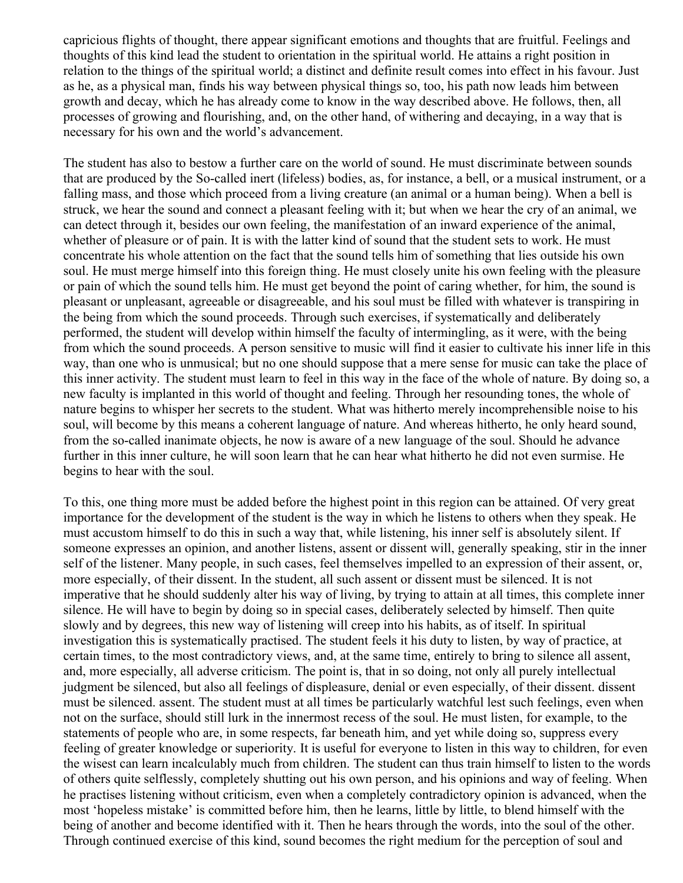capricious flights of thought, there appear significant emotions and thoughts that are fruitful. Feelings and thoughts of this kind lead the student to orientation in the spiritual world. He attains a right position in relation to the things of the spiritual world; a distinct and definite result comes into effect in his favour. Just as he, as a physical man, finds his way between physical things so, too, his path now leads him between growth and decay, which he has already come to know in the way described above. He follows, then, all processes of growing and flourishing, and, on the other hand, of withering and decaying, in a way that is necessary for his own and the world's advancement.

The student has also to bestow a further care on the world of sound. He must discriminate between sounds that are produced by the So-called inert (lifeless) bodies, as, for instance, a bell, or a musical instrument, or a falling mass, and those which proceed from a living creature (an animal or a human being). When a bell is struck, we hear the sound and connect a pleasant feeling with it; but when we hear the cry of an animal, we can detect through it, besides our own feeling, the manifestation of an inward experience of the animal, whether of pleasure or of pain. It is with the latter kind of sound that the student sets to work. He must concentrate his whole attention on the fact that the sound tells him of something that lies outside his own soul. He must merge himself into this foreign thing. He must closely unite his own feeling with the pleasure or pain of which the sound tells him. He must get beyond the point of caring whether, for him, the sound is pleasant or unpleasant, agreeable or disagreeable, and his soul must be filled with whatever is transpiring in the being from which the sound proceeds. Through such exercises, if systematically and deliberately performed, the student will develop within himself the faculty of intermingling, as it were, with the being from which the sound proceeds. A person sensitive to music will find it easier to cultivate his inner life in this way, than one who is unmusical; but no one should suppose that a mere sense for music can take the place of this inner activity. The student must learn to feel in this way in the face of the whole of nature. By doing so, a new faculty is implanted in this world of thought and feeling. Through her resounding tones, the whole of nature begins to whisper her secrets to the student. What was hitherto merely incomprehensible noise to his soul, will become by this means a coherent language of nature. And whereas hitherto, he only heard sound, from the so-called inanimate objects, he now is aware of a new language of the soul. Should he advance further in this inner culture, he will soon learn that he can hear what hitherto he did not even surmise. He begins to hear with the soul.

To this, one thing more must be added before the highest point in this region can be attained. Of very great importance for the development of the student is the way in which he listens to others when they speak. He must accustom himself to do this in such a way that, while listening, his inner self is absolutely silent. If someone expresses an opinion, and another listens, assent or dissent will, generally speaking, stir in the inner self of the listener. Many people, in such cases, feel themselves impelled to an expression of their assent, or, more especially, of their dissent. In the student, all such assent or dissent must be silenced. It is not imperative that he should suddenly alter his way of living, by trying to attain at all times, this complete inner silence. He will have to begin by doing so in special cases, deliberately selected by himself. Then quite slowly and by degrees, this new way of listening will creep into his habits, as of itself. In spiritual investigation this is systematically practised. The student feels it his duty to listen, by way of practice, at certain times, to the most contradictory views, and, at the same time, entirely to bring to silence all assent, and, more especially, all adverse criticism. The point is, that in so doing, not only all purely intellectual judgment be silenced, but also all feelings of displeasure, denial or even especially, of their dissent. dissent must be silenced. assent. The student must at all times be particularly watchful lest such feelings, even when not on the surface, should still lurk in the innermost recess of the soul. He must listen, for example, to the statements of people who are, in some respects, far beneath him, and yet while doing so, suppress every feeling of greater knowledge or superiority. It is useful for everyone to listen in this way to children, for even the wisest can learn incalculably much from children. The student can thus train himself to listen to the words of others quite selflessly, completely shutting out his own person, and his opinions and way of feeling. When he practises listening without criticism, even when a completely contradictory opinion is advanced, when the most 'hopeless mistake' is committed before him, then he learns, little by little, to blend himself with the being of another and become identified with it. Then he hears through the words, into the soul of the other. Through continued exercise of this kind, sound becomes the right medium for the perception of soul and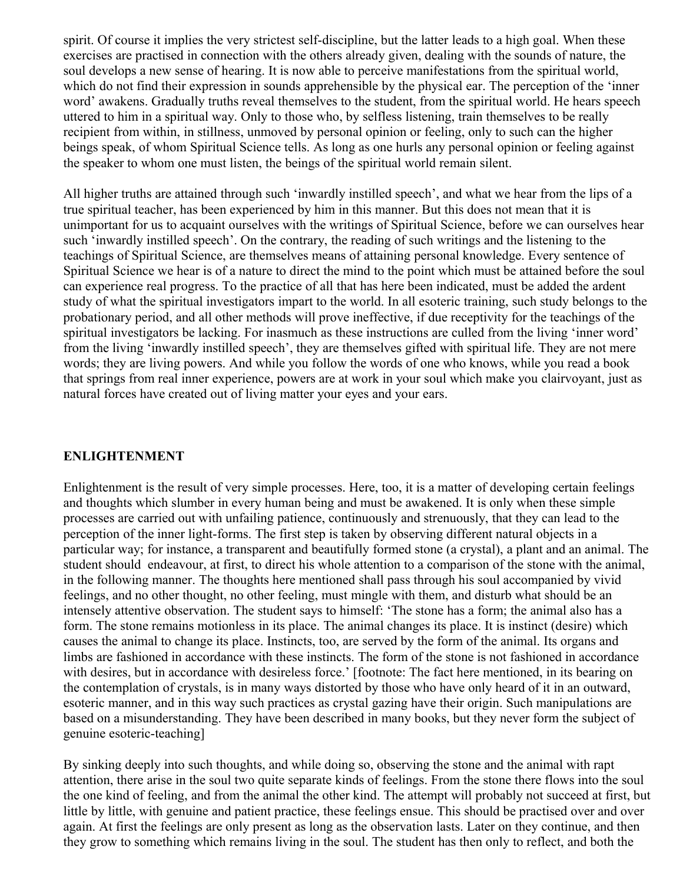spirit. Of course it implies the very strictest self-discipline, but the latter leads to a high goal. When these exercises are practised in connection with the others already given, dealing with the sounds of nature, the soul develops a new sense of hearing. It is now able to perceive manifestations from the spiritual world, which do not find their expression in sounds apprehensible by the physical ear. The perception of the 'inner word' awakens. Gradually truths reveal themselves to the student, from the spiritual world. He hears speech uttered to him in a spiritual way. Only to those who, by selfless listening, train themselves to be really recipient from within, in stillness, unmoved by personal opinion or feeling, only to such can the higher beings speak, of whom Spiritual Science tells. As long as one hurls any personal opinion or feeling against the speaker to whom one must listen, the beings of the spiritual world remain silent.

All higher truths are attained through such 'inwardly instilled speech', and what we hear from the lips of a true spiritual teacher, has been experienced by him in this manner. But this does not mean that it is unimportant for us to acquaint ourselves with the writings of Spiritual Science, before we can ourselves hear such 'inwardly instilled speech'. On the contrary, the reading of such writings and the listening to the teachings of Spiritual Science, are themselves means of attaining personal knowledge. Every sentence of Spiritual Science we hear is of a nature to direct the mind to the point which must be attained before the soul can experience real progress. To the practice of all that has here been indicated, must be added the ardent study of what the spiritual investigators impart to the world. In all esoteric training, such study belongs to the probationary period, and all other methods will prove ineffective, if due receptivity for the teachings of the spiritual investigators be lacking. For inasmuch as these instructions are culled from the living 'inner word' from the living 'inwardly instilled speech', they are themselves gifted with spiritual life. They are not mere words; they are living powers. And while you follow the words of one who knows, while you read a book that springs from real inner experience, powers are at work in your soul which make you clairvoyant, just as natural forces have created out of living matter your eyes and your ears.

# <span id="page-14-0"></span>**ENLIGHTENMENT**

Enlightenment is the result of very simple processes. Here, too, it is a matter of developing certain feelings and thoughts which slumber in every human being and must be awakened. It is only when these simple processes are carried out with unfailing patience, continuously and strenuously, that they can lead to the perception of the inner light-forms. The first step is taken by observing different natural objects in a particular way; for instance, a transparent and beautifully formed stone (a crystal), a plant and an animal. The student should endeavour, at first, to direct his whole attention to a comparison of the stone with the animal, in the following manner. The thoughts here mentioned shall pass through his soul accompanied by vivid feelings, and no other thought, no other feeling, must mingle with them, and disturb what should be an intensely attentive observation. The student says to himself: 'The stone has a form; the animal also has a form. The stone remains motionless in its place. The animal changes its place. It is instinct (desire) which causes the animal to change its place. Instincts, too, are served by the form of the animal. Its organs and limbs are fashioned in accordance with these instincts. The form of the stone is not fashioned in accordance with desires, but in accordance with desireless force.' [footnote: The fact here mentioned, in its bearing on the contemplation of crystals, is in many ways distorted by those who have only heard of it in an outward, esoteric manner, and in this way such practices as crystal gazing have their origin. Such manipulations are based on a misunderstanding. They have been described in many books, but they never form the subject of genuine esoteric-teaching]

By sinking deeply into such thoughts, and while doing so, observing the stone and the animal with rapt attention, there arise in the soul two quite separate kinds of feelings. From the stone there flows into the soul the one kind of feeling, and from the animal the other kind. The attempt will probably not succeed at first, but little by little, with genuine and patient practice, these feelings ensue. This should be practised over and over again. At first the feelings are only present as long as the observation lasts. Later on they continue, and then they grow to something which remains living in the soul. The student has then only to reflect, and both the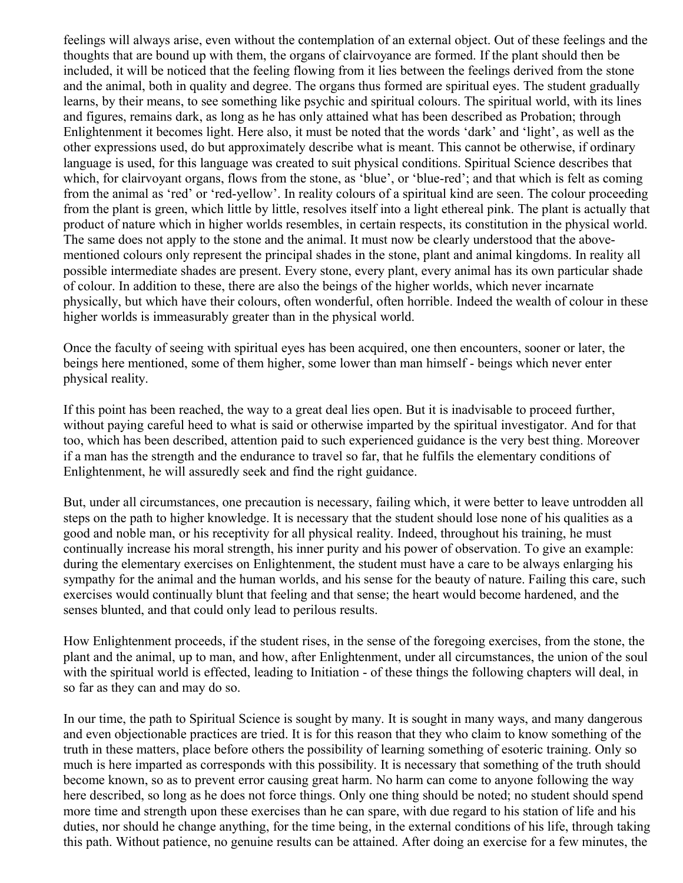feelings will always arise, even without the contemplation of an external object. Out of these feelings and the thoughts that are bound up with them, the organs of clairvoyance are formed. If the plant should then be included, it will be noticed that the feeling flowing from it lies between the feelings derived from the stone and the animal, both in quality and degree. The organs thus formed are spiritual eyes. The student gradually learns, by their means, to see something like psychic and spiritual colours. The spiritual world, with its lines and figures, remains dark, as long as he has only attained what has been described as Probation; through Enlightenment it becomes light. Here also, it must be noted that the words 'dark' and 'light', as well as the other expressions used, do but approximately describe what is meant. This cannot be otherwise, if ordinary language is used, for this language was created to suit physical conditions. Spiritual Science describes that which, for clairvoyant organs, flows from the stone, as 'blue', or 'blue-red'; and that which is felt as coming from the animal as 'red' or 'red-yellow'. In reality colours of a spiritual kind are seen. The colour proceeding from the plant is green, which little by little, resolves itself into a light ethereal pink. The plant is actually that product of nature which in higher worlds resembles, in certain respects, its constitution in the physical world. The same does not apply to the stone and the animal. It must now be clearly understood that the abovementioned colours only represent the principal shades in the stone, plant and animal kingdoms. In reality all possible intermediate shades are present. Every stone, every plant, every animal has its own particular shade of colour. In addition to these, there are also the beings of the higher worlds, which never incarnate physically, but which have their colours, often wonderful, often horrible. Indeed the wealth of colour in these higher worlds is immeasurably greater than in the physical world.

Once the faculty of seeing with spiritual eyes has been acquired, one then encounters, sooner or later, the beings here mentioned, some of them higher, some lower than man himself - beings which never enter physical reality.

If this point has been reached, the way to a great deal lies open. But it is inadvisable to proceed further, without paying careful heed to what is said or otherwise imparted by the spiritual investigator. And for that too, which has been described, attention paid to such experienced guidance is the very best thing. Moreover if a man has the strength and the endurance to travel so far, that he fulfils the elementary conditions of Enlightenment, he will assuredly seek and find the right guidance.

But, under all circumstances, one precaution is necessary, failing which, it were better to leave untrodden all steps on the path to higher knowledge. It is necessary that the student should lose none of his qualities as a good and noble man, or his receptivity for all physical reality. Indeed, throughout his training, he must continually increase his moral strength, his inner purity and his power of observation. To give an example: during the elementary exercises on Enlightenment, the student must have a care to be always enlarging his sympathy for the animal and the human worlds, and his sense for the beauty of nature. Failing this care, such exercises would continually blunt that feeling and that sense; the heart would become hardened, and the senses blunted, and that could only lead to perilous results.

How Enlightenment proceeds, if the student rises, in the sense of the foregoing exercises, from the stone, the plant and the animal, up to man, and how, after Enlightenment, under all circumstances, the union of the soul with the spiritual world is effected, leading to Initiation - of these things the following chapters will deal, in so far as they can and may do so.

In our time, the path to Spiritual Science is sought by many. It is sought in many ways, and many dangerous and even objectionable practices are tried. It is for this reason that they who claim to know something of the truth in these matters, place before others the possibility of learning something of esoteric training. Only so much is here imparted as corresponds with this possibility. It is necessary that something of the truth should become known, so as to prevent error causing great harm. No harm can come to anyone following the way here described, so long as he does not force things. Only one thing should be noted; no student should spend more time and strength upon these exercises than he can spare, with due regard to his station of life and his duties, nor should he change anything, for the time being, in the external conditions of his life, through taking this path. Without patience, no genuine results can be attained. After doing an exercise for a few minutes, the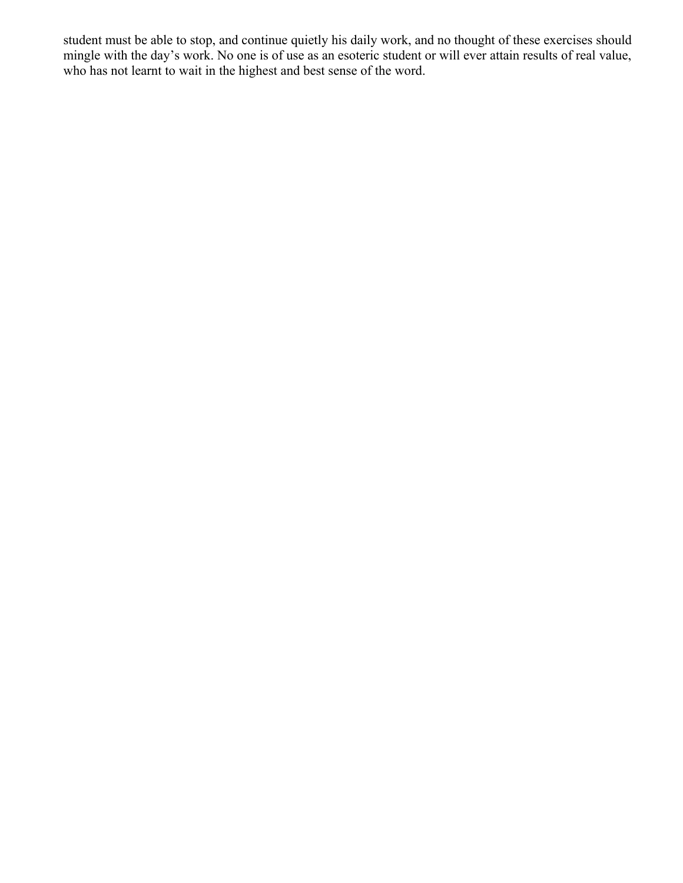student must be able to stop, and continue quietly his daily work, and no thought of these exercises should mingle with the day's work. No one is of use as an esoteric student or will ever attain results of real value, who has not learnt to wait in the highest and best sense of the word.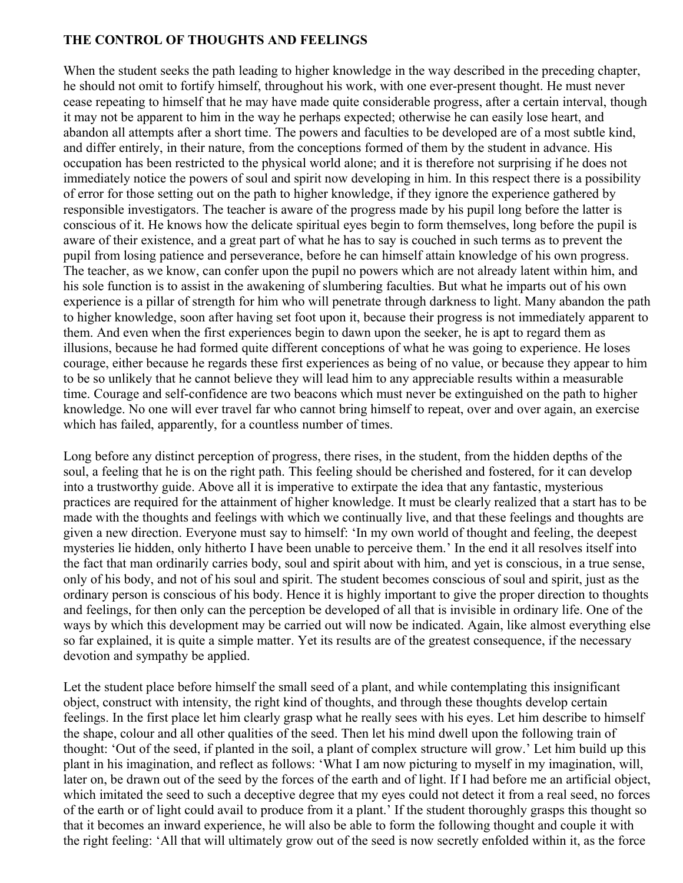# <span id="page-17-0"></span>**THE CONTROL OF THOUGHTS AND FEELINGS**

When the student seeks the path leading to higher knowledge in the way described in the preceding chapter, he should not omit to fortify himself, throughout his work, with one ever-present thought. He must never cease repeating to himself that he may have made quite considerable progress, after a certain interval, though it may not be apparent to him in the way he perhaps expected; otherwise he can easily lose heart, and abandon all attempts after a short time. The powers and faculties to be developed are of a most subtle kind, and differ entirely, in their nature, from the conceptions formed of them by the student in advance. His occupation has been restricted to the physical world alone; and it is therefore not surprising if he does not immediately notice the powers of soul and spirit now developing in him. In this respect there is a possibility of error for those setting out on the path to higher knowledge, if they ignore the experience gathered by responsible investigators. The teacher is aware of the progress made by his pupil long before the latter is conscious of it. He knows how the delicate spiritual eyes begin to form themselves, long before the pupil is aware of their existence, and a great part of what he has to say is couched in such terms as to prevent the pupil from losing patience and perseverance, before he can himself attain knowledge of his own progress. The teacher, as we know, can confer upon the pupil no powers which are not already latent within him, and his sole function is to assist in the awakening of slumbering faculties. But what he imparts out of his own experience is a pillar of strength for him who will penetrate through darkness to light. Many abandon the path to higher knowledge, soon after having set foot upon it, because their progress is not immediately apparent to them. And even when the first experiences begin to dawn upon the seeker, he is apt to regard them as illusions, because he had formed quite different conceptions of what he was going to experience. He loses courage, either because he regards these first experiences as being of no value, or because they appear to him to be so unlikely that he cannot believe they will lead him to any appreciable results within a measurable time. Courage and self-confidence are two beacons which must never be extinguished on the path to higher knowledge. No one will ever travel far who cannot bring himself to repeat, over and over again, an exercise which has failed, apparently, for a countless number of times.

Long before any distinct perception of progress, there rises, in the student, from the hidden depths of the soul, a feeling that he is on the right path. This feeling should be cherished and fostered, for it can develop into a trustworthy guide. Above all it is imperative to extirpate the idea that any fantastic, mysterious practices are required for the attainment of higher knowledge. It must be clearly realized that a start has to be made with the thoughts and feelings with which we continually live, and that these feelings and thoughts are given a new direction. Everyone must say to himself: 'In my own world of thought and feeling, the deepest mysteries lie hidden, only hitherto I have been unable to perceive them.' In the end it all resolves itself into the fact that man ordinarily carries body, soul and spirit about with him, and yet is conscious, in a true sense, only of his body, and not of his soul and spirit. The student becomes conscious of soul and spirit, just as the ordinary person is conscious of his body. Hence it is highly important to give the proper direction to thoughts and feelings, for then only can the perception be developed of all that is invisible in ordinary life. One of the ways by which this development may be carried out will now be indicated. Again, like almost everything else so far explained, it is quite a simple matter. Yet its results are of the greatest consequence, if the necessary devotion and sympathy be applied.

Let the student place before himself the small seed of a plant, and while contemplating this insignificant object, construct with intensity, the right kind of thoughts, and through these thoughts develop certain feelings. In the first place let him clearly grasp what he really sees with his eyes. Let him describe to himself the shape, colour and all other qualities of the seed. Then let his mind dwell upon the following train of thought: 'Out of the seed, if planted in the soil, a plant of complex structure will grow.' Let him build up this plant in his imagination, and reflect as follows: 'What I am now picturing to myself in my imagination, will, later on, be drawn out of the seed by the forces of the earth and of light. If I had before me an artificial object, which imitated the seed to such a deceptive degree that my eyes could not detect it from a real seed, no forces of the earth or of light could avail to produce from it a plant.' If the student thoroughly grasps this thought so that it becomes an inward experience, he will also be able to form the following thought and couple it with the right feeling: 'All that will ultimately grow out of the seed is now secretly enfolded within it, as the force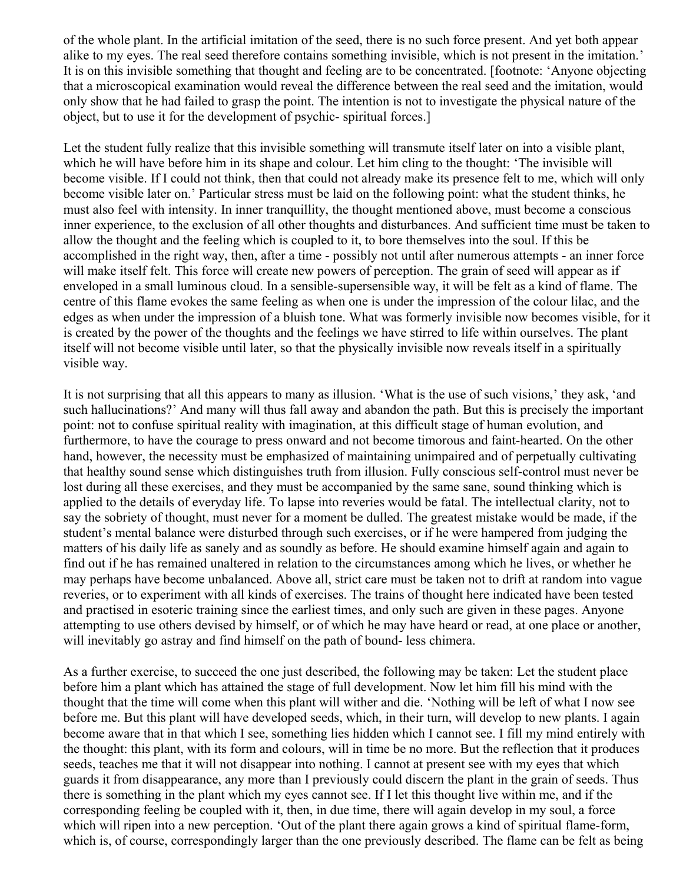of the whole plant. In the artificial imitation of the seed, there is no such force present. And yet both appear alike to my eyes. The real seed therefore contains something invisible, which is not present in the imitation.' It is on this invisible something that thought and feeling are to be concentrated. [footnote: 'Anyone objecting that a microscopical examination would reveal the difference between the real seed and the imitation, would only show that he had failed to grasp the point. The intention is not to investigate the physical nature of the object, but to use it for the development of psychic- spiritual forces.]

Let the student fully realize that this invisible something will transmute itself later on into a visible plant, which he will have before him in its shape and colour. Let him cling to the thought: 'The invisible will become visible. If I could not think, then that could not already make its presence felt to me, which will only become visible later on.' Particular stress must be laid on the following point: what the student thinks, he must also feel with intensity. In inner tranquillity, the thought mentioned above, must become a conscious inner experience, to the exclusion of all other thoughts and disturbances. And sufficient time must be taken to allow the thought and the feeling which is coupled to it, to bore themselves into the soul. If this be accomplished in the right way, then, after a time - possibly not until after numerous attempts - an inner force will make itself felt. This force will create new powers of perception. The grain of seed will appear as if enveloped in a small luminous cloud. In a sensible-supersensible way, it will be felt as a kind of flame. The centre of this flame evokes the same feeling as when one is under the impression of the colour lilac, and the edges as when under the impression of a bluish tone. What was formerly invisible now becomes visible, for it is created by the power of the thoughts and the feelings we have stirred to life within ourselves. The plant itself will not become visible until later, so that the physically invisible now reveals itself in a spiritually visible way.

It is not surprising that all this appears to many as illusion. 'What is the use of such visions,' they ask, 'and such hallucinations?' And many will thus fall away and abandon the path. But this is precisely the important point: not to confuse spiritual reality with imagination, at this difficult stage of human evolution, and furthermore, to have the courage to press onward and not become timorous and faint-hearted. On the other hand, however, the necessity must be emphasized of maintaining unimpaired and of perpetually cultivating that healthy sound sense which distinguishes truth from illusion. Fully conscious self-control must never be lost during all these exercises, and they must be accompanied by the same sane, sound thinking which is applied to the details of everyday life. To lapse into reveries would be fatal. The intellectual clarity, not to say the sobriety of thought, must never for a moment be dulled. The greatest mistake would be made, if the student's mental balance were disturbed through such exercises, or if he were hampered from judging the matters of his daily life as sanely and as soundly as before. He should examine himself again and again to find out if he has remained unaltered in relation to the circumstances among which he lives, or whether he may perhaps have become unbalanced. Above all, strict care must be taken not to drift at random into vague reveries, or to experiment with all kinds of exercises. The trains of thought here indicated have been tested and practised in esoteric training since the earliest times, and only such are given in these pages. Anyone attempting to use others devised by himself, or of which he may have heard or read, at one place or another, will inevitably go astray and find himself on the path of bound- less chimera.

As a further exercise, to succeed the one just described, the following may be taken: Let the student place before him a plant which has attained the stage of full development. Now let him fill his mind with the thought that the time will come when this plant will wither and die. 'Nothing will be left of what I now see before me. But this plant will have developed seeds, which, in their turn, will develop to new plants. I again become aware that in that which I see, something lies hidden which I cannot see. I fill my mind entirely with the thought: this plant, with its form and colours, will in time be no more. But the reflection that it produces seeds, teaches me that it will not disappear into nothing. I cannot at present see with my eyes that which guards it from disappearance, any more than I previously could discern the plant in the grain of seeds. Thus there is something in the plant which my eyes cannot see. If I let this thought live within me, and if the corresponding feeling be coupled with it, then, in due time, there will again develop in my soul, a force which will ripen into a new perception. 'Out of the plant there again grows a kind of spiritual flame-form, which is, of course, correspondingly larger than the one previously described. The flame can be felt as being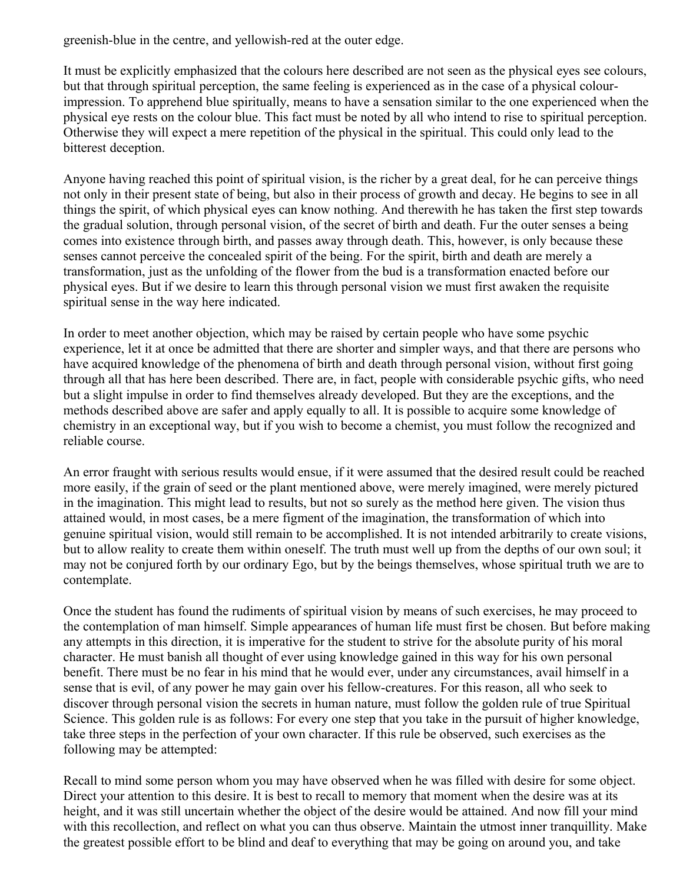greenish-blue in the centre, and yellowish-red at the outer edge.

It must be explicitly emphasized that the colours here described are not seen as the physical eyes see colours, but that through spiritual perception, the same feeling is experienced as in the case of a physical colourimpression. To apprehend blue spiritually, means to have a sensation similar to the one experienced when the physical eye rests on the colour blue. This fact must be noted by all who intend to rise to spiritual perception. Otherwise they will expect a mere repetition of the physical in the spiritual. This could only lead to the bitterest deception.

Anyone having reached this point of spiritual vision, is the richer by a great deal, for he can perceive things not only in their present state of being, but also in their process of growth and decay. He begins to see in all things the spirit, of which physical eyes can know nothing. And therewith he has taken the first step towards the gradual solution, through personal vision, of the secret of birth and death. Fur the outer senses a being comes into existence through birth, and passes away through death. This, however, is only because these senses cannot perceive the concealed spirit of the being. For the spirit, birth and death are merely a transformation, just as the unfolding of the flower from the bud is a transformation enacted before our physical eyes. But if we desire to learn this through personal vision we must first awaken the requisite spiritual sense in the way here indicated.

In order to meet another objection, which may be raised by certain people who have some psychic experience, let it at once be admitted that there are shorter and simpler ways, and that there are persons who have acquired knowledge of the phenomena of birth and death through personal vision, without first going through all that has here been described. There are, in fact, people with considerable psychic gifts, who need but a slight impulse in order to find themselves already developed. But they are the exceptions, and the methods described above are safer and apply equally to all. It is possible to acquire some knowledge of chemistry in an exceptional way, but if you wish to become a chemist, you must follow the recognized and reliable course.

An error fraught with serious results would ensue, if it were assumed that the desired result could be reached more easily, if the grain of seed or the plant mentioned above, were merely imagined, were merely pictured in the imagination. This might lead to results, but not so surely as the method here given. The vision thus attained would, in most cases, be a mere figment of the imagination, the transformation of which into genuine spiritual vision, would still remain to be accomplished. It is not intended arbitrarily to create visions, but to allow reality to create them within oneself. The truth must well up from the depths of our own soul; it may not be conjured forth by our ordinary Ego, but by the beings themselves, whose spiritual truth we are to contemplate.

Once the student has found the rudiments of spiritual vision by means of such exercises, he may proceed to the contemplation of man himself. Simple appearances of human life must first be chosen. But before making any attempts in this direction, it is imperative for the student to strive for the absolute purity of his moral character. He must banish all thought of ever using knowledge gained in this way for his own personal benefit. There must be no fear in his mind that he would ever, under any circumstances, avail himself in a sense that is evil, of any power he may gain over his fellow-creatures. For this reason, all who seek to discover through personal vision the secrets in human nature, must follow the golden rule of true Spiritual Science. This golden rule is as follows: For every one step that you take in the pursuit of higher knowledge, take three steps in the perfection of your own character. If this rule be observed, such exercises as the following may be attempted:

Recall to mind some person whom you may have observed when he was filled with desire for some object. Direct your attention to this desire. It is best to recall to memory that moment when the desire was at its height, and it was still uncertain whether the object of the desire would be attained. And now fill your mind with this recollection, and reflect on what you can thus observe. Maintain the utmost inner tranquillity. Make the greatest possible effort to be blind and deaf to everything that may be going on around you, and take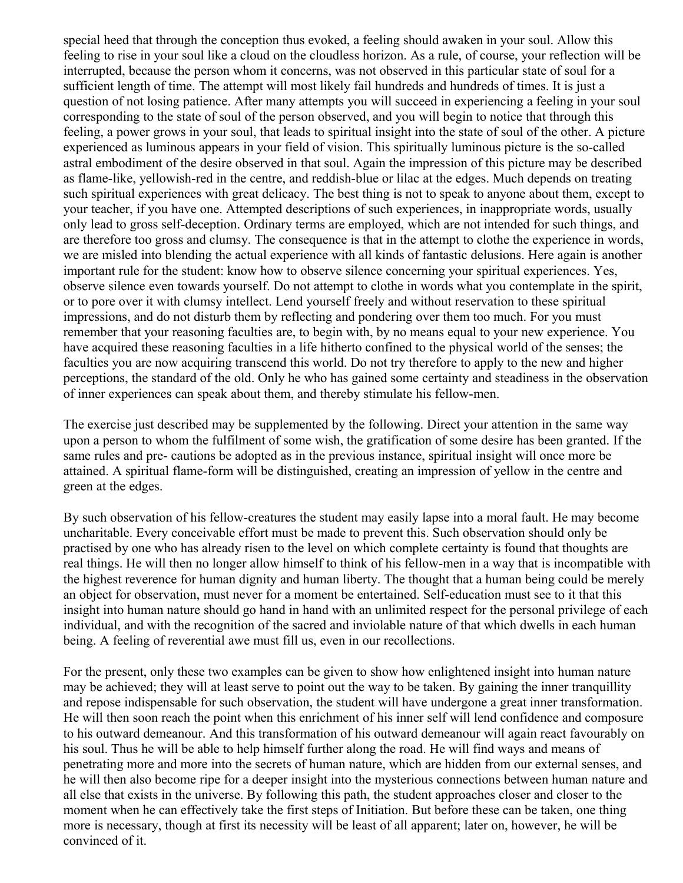special heed that through the conception thus evoked, a feeling should awaken in your soul. Allow this feeling to rise in your soul like a cloud on the cloudless horizon. As a rule, of course, your reflection will be interrupted, because the person whom it concerns, was not observed in this particular state of soul for a sufficient length of time. The attempt will most likely fail hundreds and hundreds of times. It is just a question of not losing patience. After many attempts you will succeed in experiencing a feeling in your soul corresponding to the state of soul of the person observed, and you will begin to notice that through this feeling, a power grows in your soul, that leads to spiritual insight into the state of soul of the other. A picture experienced as luminous appears in your field of vision. This spiritually luminous picture is the so-called astral embodiment of the desire observed in that soul. Again the impression of this picture may be described as flame-like, yellowish-red in the centre, and reddish-blue or lilac at the edges. Much depends on treating such spiritual experiences with great delicacy. The best thing is not to speak to anyone about them, except to your teacher, if you have one. Attempted descriptions of such experiences, in inappropriate words, usually only lead to gross self-deception. Ordinary terms are employed, which are not intended for such things, and are therefore too gross and clumsy. The consequence is that in the attempt to clothe the experience in words, we are misled into blending the actual experience with all kinds of fantastic delusions. Here again is another important rule for the student: know how to observe silence concerning your spiritual experiences. Yes, observe silence even towards yourself. Do not attempt to clothe in words what you contemplate in the spirit, or to pore over it with clumsy intellect. Lend yourself freely and without reservation to these spiritual impressions, and do not disturb them by reflecting and pondering over them too much. For you must remember that your reasoning faculties are, to begin with, by no means equal to your new experience. You have acquired these reasoning faculties in a life hitherto confined to the physical world of the senses; the faculties you are now acquiring transcend this world. Do not try therefore to apply to the new and higher perceptions, the standard of the old. Only he who has gained some certainty and steadiness in the observation of inner experiences can speak about them, and thereby stimulate his fellow-men.

The exercise just described may be supplemented by the following. Direct your attention in the same way upon a person to whom the fulfilment of some wish, the gratification of some desire has been granted. If the same rules and pre- cautions be adopted as in the previous instance, spiritual insight will once more be attained. A spiritual flame-form will be distinguished, creating an impression of yellow in the centre and green at the edges.

By such observation of his fellow-creatures the student may easily lapse into a moral fault. He may become uncharitable. Every conceivable effort must be made to prevent this. Such observation should only be practised by one who has already risen to the level on which complete certainty is found that thoughts are real things. He will then no longer allow himself to think of his fellow-men in a way that is incompatible with the highest reverence for human dignity and human liberty. The thought that a human being could be merely an object for observation, must never for a moment be entertained. Self-education must see to it that this insight into human nature should go hand in hand with an unlimited respect for the personal privilege of each individual, and with the recognition of the sacred and inviolable nature of that which dwells in each human being. A feeling of reverential awe must fill us, even in our recollections.

For the present, only these two examples can be given to show how enlightened insight into human nature may be achieved; they will at least serve to point out the way to be taken. By gaining the inner tranquillity and repose indispensable for such observation, the student will have undergone a great inner transformation. He will then soon reach the point when this enrichment of his inner self will lend confidence and composure to his outward demeanour. And this transformation of his outward demeanour will again react favourably on his soul. Thus he will be able to help himself further along the road. He will find ways and means of penetrating more and more into the secrets of human nature, which are hidden from our external senses, and he will then also become ripe for a deeper insight into the mysterious connections between human nature and all else that exists in the universe. By following this path, the student approaches closer and closer to the moment when he can effectively take the first steps of Initiation. But before these can be taken, one thing more is necessary, though at first its necessity will be least of all apparent; later on, however, he will be convinced of it.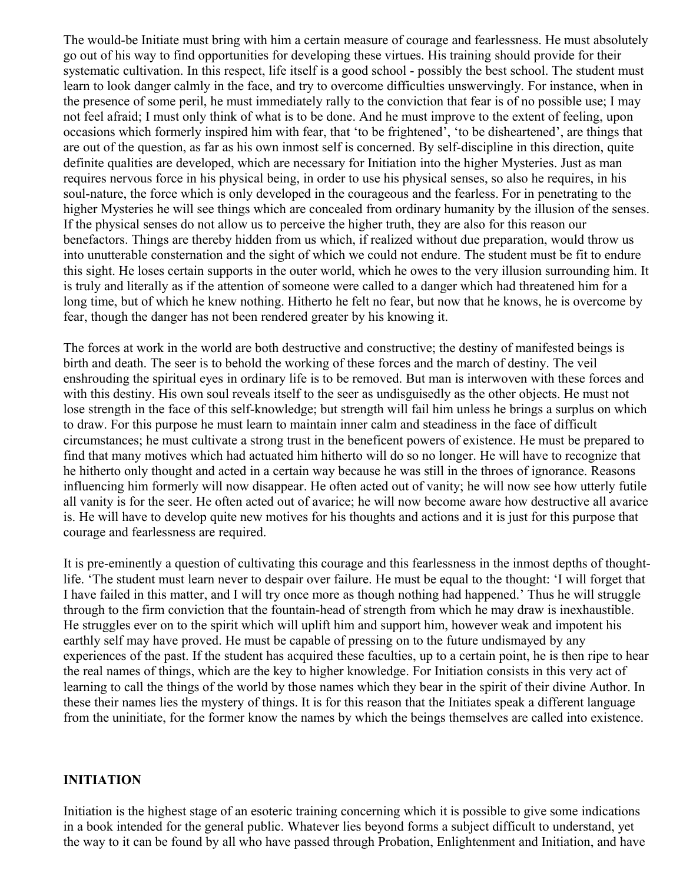The would-be Initiate must bring with him a certain measure of courage and fearlessness. He must absolutely go out of his way to find opportunities for developing these virtues. His training should provide for their systematic cultivation. In this respect, life itself is a good school - possibly the best school. The student must learn to look danger calmly in the face, and try to overcome difficulties unswervingly. For instance, when in the presence of some peril, he must immediately rally to the conviction that fear is of no possible use; I may not feel afraid; I must only think of what is to be done. And he must improve to the extent of feeling, upon occasions which formerly inspired him with fear, that 'to be frightened', 'to be disheartened', are things that are out of the question, as far as his own inmost self is concerned. By self-discipline in this direction, quite definite qualities are developed, which are necessary for Initiation into the higher Mysteries. Just as man requires nervous force in his physical being, in order to use his physical senses, so also he requires, in his soul-nature, the force which is only developed in the courageous and the fearless. For in penetrating to the higher Mysteries he will see things which are concealed from ordinary humanity by the illusion of the senses. If the physical senses do not allow us to perceive the higher truth, they are also for this reason our benefactors. Things are thereby hidden from us which, if realized without due preparation, would throw us into unutterable consternation and the sight of which we could not endure. The student must be fit to endure this sight. He loses certain supports in the outer world, which he owes to the very illusion surrounding him. It is truly and literally as if the attention of someone were called to a danger which had threatened him for a long time, but of which he knew nothing. Hitherto he felt no fear, but now that he knows, he is overcome by fear, though the danger has not been rendered greater by his knowing it.

The forces at work in the world are both destructive and constructive; the destiny of manifested beings is birth and death. The seer is to behold the working of these forces and the march of destiny. The veil enshrouding the spiritual eyes in ordinary life is to be removed. But man is interwoven with these forces and with this destiny. His own soul reveals itself to the seer as undisguisedly as the other objects. He must not lose strength in the face of this self-knowledge; but strength will fail him unless he brings a surplus on which to draw. For this purpose he must learn to maintain inner calm and steadiness in the face of difficult circumstances; he must cultivate a strong trust in the beneficent powers of existence. He must be prepared to find that many motives which had actuated him hitherto will do so no longer. He will have to recognize that he hitherto only thought and acted in a certain way because he was still in the throes of ignorance. Reasons influencing him formerly will now disappear. He often acted out of vanity; he will now see how utterly futile all vanity is for the seer. He often acted out of avarice; he will now become aware how destructive all avarice is. He will have to develop quite new motives for his thoughts and actions and it is just for this purpose that courage and fearlessness are required.

It is pre-eminently a question of cultivating this courage and this fearlessness in the inmost depths of thoughtlife. 'The student must learn never to despair over failure. He must be equal to the thought: 'I will forget that I have failed in this matter, and I will try once more as though nothing had happened.' Thus he will struggle through to the firm conviction that the fountain-head of strength from which he may draw is inexhaustible. He struggles ever on to the spirit which will uplift him and support him, however weak and impotent his earthly self may have proved. He must be capable of pressing on to the future undismayed by any experiences of the past. If the student has acquired these faculties, up to a certain point, he is then ripe to hear the real names of things, which are the key to higher knowledge. For Initiation consists in this very act of learning to call the things of the world by those names which they bear in the spirit of their divine Author. In these their names lies the mystery of things. It is for this reason that the Initiates speak a different language from the uninitiate, for the former know the names by which the beings themselves are called into existence.

#### <span id="page-21-0"></span>**INITIATION**

Initiation is the highest stage of an esoteric training concerning which it is possible to give some indications in a book intended for the general public. Whatever lies beyond forms a subject difficult to understand, yet the way to it can be found by all who have passed through Probation, Enlightenment and Initiation, and have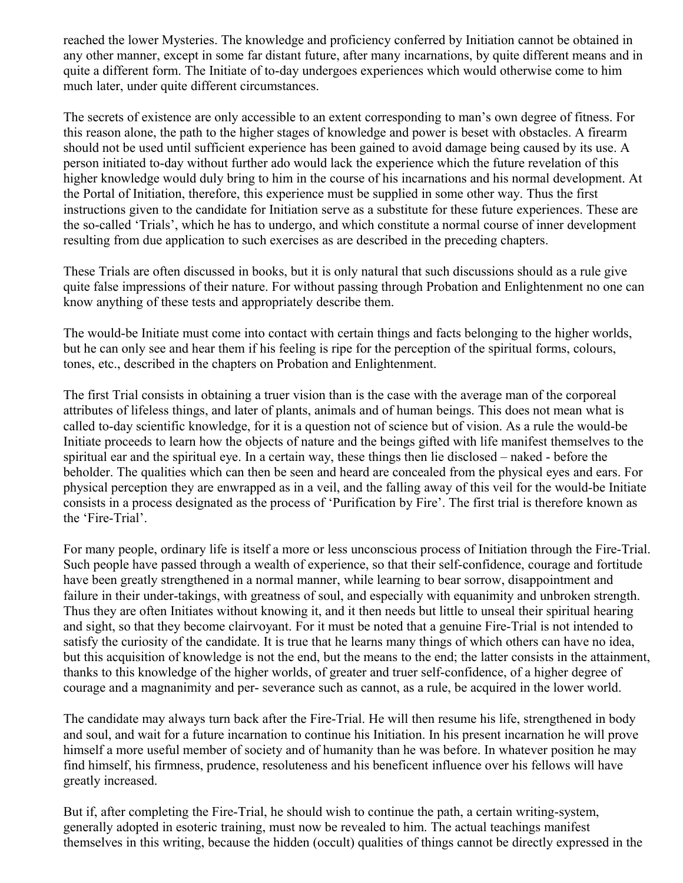reached the lower Mysteries. The knowledge and proficiency conferred by Initiation cannot be obtained in any other manner, except in some far distant future, after many incarnations, by quite different means and in quite a different form. The Initiate of to-day undergoes experiences which would otherwise come to him much later, under quite different circumstances.

The secrets of existence are only accessible to an extent corresponding to man's own degree of fitness. For this reason alone, the path to the higher stages of knowledge and power is beset with obstacles. A firearm should not be used until sufficient experience has been gained to avoid damage being caused by its use. A person initiated to-day without further ado would lack the experience which the future revelation of this higher knowledge would duly bring to him in the course of his incarnations and his normal development. At the Portal of Initiation, therefore, this experience must be supplied in some other way. Thus the first instructions given to the candidate for Initiation serve as a substitute for these future experiences. These are the so-called 'Trials', which he has to undergo, and which constitute a normal course of inner development resulting from due application to such exercises as are described in the preceding chapters.

These Trials are often discussed in books, but it is only natural that such discussions should as a rule give quite false impressions of their nature. For without passing through Probation and Enlightenment no one can know anything of these tests and appropriately describe them.

The would-be Initiate must come into contact with certain things and facts belonging to the higher worlds, but he can only see and hear them if his feeling is ripe for the perception of the spiritual forms, colours, tones, etc., described in the chapters on Probation and Enlightenment.

The first Trial consists in obtaining a truer vision than is the case with the average man of the corporeal attributes of lifeless things, and later of plants, animals and of human beings. This does not mean what is called to-day scientific knowledge, for it is a question not of science but of vision. As a rule the would-be Initiate proceeds to learn how the objects of nature and the beings gifted with life manifest themselves to the spiritual ear and the spiritual eye. In a certain way, these things then lie disclosed – naked - before the beholder. The qualities which can then be seen and heard are concealed from the physical eyes and ears. For physical perception they are enwrapped as in a veil, and the falling away of this veil for the would-be Initiate consists in a process designated as the process of 'Purification by Fire'. The first trial is therefore known as the 'Fire-Trial'.

For many people, ordinary life is itself a more or less unconscious process of Initiation through the Fire-Trial. Such people have passed through a wealth of experience, so that their self-confidence, courage and fortitude have been greatly strengthened in a normal manner, while learning to bear sorrow, disappointment and failure in their under-takings, with greatness of soul, and especially with equanimity and unbroken strength. Thus they are often Initiates without knowing it, and it then needs but little to unseal their spiritual hearing and sight, so that they become clairvoyant. For it must be noted that a genuine Fire-Trial is not intended to satisfy the curiosity of the candidate. It is true that he learns many things of which others can have no idea, but this acquisition of knowledge is not the end, but the means to the end; the latter consists in the attainment, thanks to this knowledge of the higher worlds, of greater and truer self-confidence, of a higher degree of courage and a magnanimity and per- severance such as cannot, as a rule, be acquired in the lower world.

The candidate may always turn back after the Fire-Trial. He will then resume his life, strengthened in body and soul, and wait for a future incarnation to continue his Initiation. In his present incarnation he will prove himself a more useful member of society and of humanity than he was before. In whatever position he may find himself, his firmness, prudence, resoluteness and his beneficent influence over his fellows will have greatly increased.

But if, after completing the Fire-Trial, he should wish to continue the path, a certain writing-system, generally adopted in esoteric training, must now be revealed to him. The actual teachings manifest themselves in this writing, because the hidden (occult) qualities of things cannot be directly expressed in the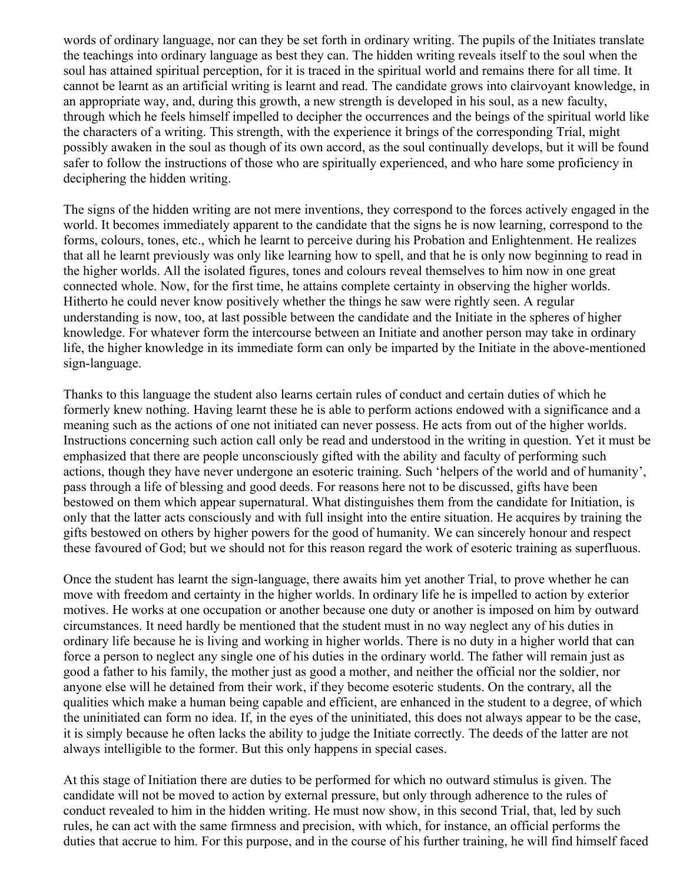words of ordinary language, nor can they be set forth in ordinary writing. The pupils of the Initiates translate the teachings into ordinary language as best they can. The hidden writing reveals itself to the soul when the soul has attained spiritual perception, for it is traced in the spiritual world and remains there for all time. It cannot be learnt as an artificial writing is learnt and read. The candidate grows into clairvoyant knowledge, in an appropriate way, and, during this growth, a new strength is developed in his soul, as a new faculty, through which he feels himself impelled to decipher the occurrences and the beings of the spiritual world like the characters of a writing. This strength, with the experience it brings of the corresponding Trial, might possibly awaken in the soul as though of its own accord, as the soul continually develops, but it will be found safer to follow the instructions of those who are spiritually experienced, and who hare some proficiency in deciphering the hidden writing.

The signs of the hidden writing are not mere inventions, they correspond to the forces actively engaged in the world. It becomes immediately apparent to the candidate that the signs he is now learning, correspond to the forms, colours, tones, etc., which he learnt to perceive during his Probation and Enlightenment. He realizes that all he learnt previously was only like learning how to spell, and that he is only now beginning to read in the higher worlds. All the isolated figures, tones and colours reveal themselves to him now in one great connected whole. Now, for the first time, he attains complete certainty in observing the higher worlds. Hitherto he could never know positively whether the things he saw were rightly seen. A regular understanding is now, too, at last possible between the candidate and the Initiate in the spheres of higher knowledge. For whatever form the intercourse between an Initiate and another person may take in ordinary life, the higher knowledge in its immediate form can only be imparted by the Initiate in the above-mentioned sign-language.

Thanks to this language the student also learns certain rules of conduct and certain duties of which he formerly knew nothing. Having learnt these he is able to perform actions endowed with a significance and a meaning such as the actions of one not initiated can never possess. He acts from out of the higher worlds. Instructions concerning such action call only be read and understood in the writing in question. Yet it must be emphasized that there are people unconsciously gifted with the ability and faculty of performing such actions, though they have never undergone an esoteric training. Such 'helpers of the world and of humanity', pass through a life of blessing and good deeds. For reasons here not to be discussed, gifts have been bestowed on them which appear supernatural. What distinguishes them from the candidate for Initiation, is only that the latter acts consciously and with full insight into the entire situation. He acquires by training the gifts bestowed on others by higher powers for the good of humanity. We can sincerely honour and respect these favoured of God; but we should not for this reason regard the work of esoteric training as superfluous.

Once the student has learnt the sign-language, there awaits him yet another Trial, to prove whether he can move with freedom and certainty in the higher worlds. In ordinary life he is impelled to action by exterior motives. He works at one occupation or another because one duty or another is imposed on him by outward circumstances. It need hardly be mentioned that the student must in no way neglect any of his duties in ordinary life because he is living and working in higher worlds. There is no duty in a higher world that can force a person to neglect any single one of his duties in the ordinary world. The father will remain just as good a father to his family, the mother just as good a mother, and neither the official nor the soldier, nor anyone else will he detained from their work, if they become esoteric students. On the contrary, all the qualities which make a human being capable and efficient, are enhanced in the student to a degree, of which the uninitiated can form no idea. If, in the eyes of the uninitiated, this does not always appear to be the case, it is simply because he often lacks the ability to judge the Initiate correctly. The deeds of the latter are not always intelligible to the former. But this only happens in special cases.

At this stage of Initiation there are duties to be performed for which no outward stimulus is given. The candidate will not be moved to action by external pressure, but only through adherence to the rules of conduct revealed to him in the hidden writing. He must now show, in this second Trial, that, led by such rules, he can act with the same firmness and precision, with which, for instance, an official performs the duties that accrue to him. For this purpose, and in the course of his further training, he will find himself faced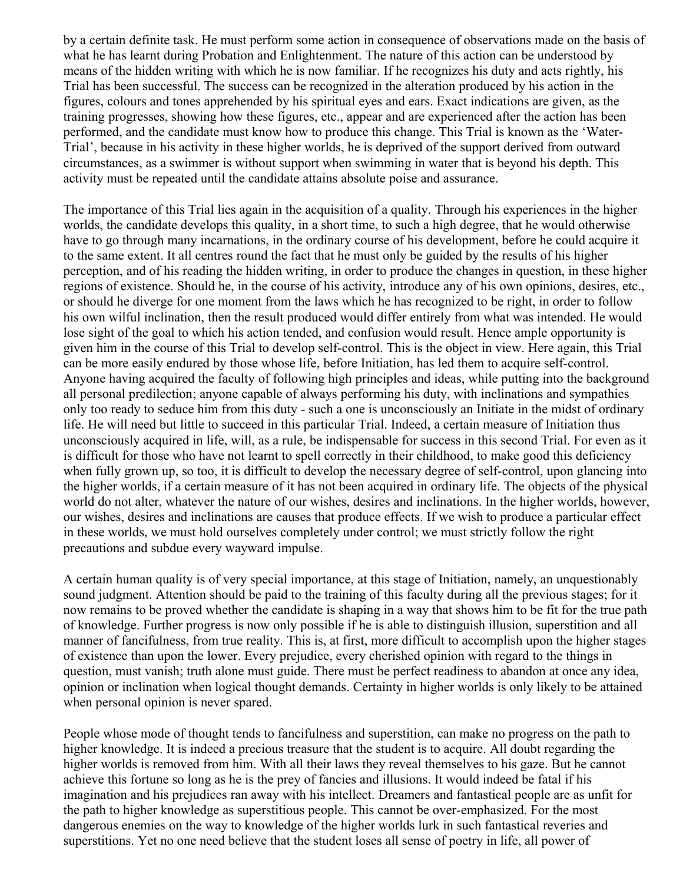by a certain definite task. He must perform some action in consequence of observations made on the basis of what he has learnt during Probation and Enlightenment. The nature of this action can be understood by means of the hidden writing with which he is now familiar. If he recognizes his duty and acts rightly, his Trial has been successful. The success can be recognized in the alteration produced by his action in the figures, colours and tones apprehended by his spiritual eyes and ears. Exact indications are given, as the training progresses, showing how these figures, etc., appear and are experienced after the action has been performed, and the candidate must know how to produce this change. This Trial is known as the 'Water-Trial', because in his activity in these higher worlds, he is deprived of the support derived from outward circumstances, as a swimmer is without support when swimming in water that is beyond his depth. This activity must be repeated until the candidate attains absolute poise and assurance.

The importance of this Trial lies again in the acquisition of a quality. Through his experiences in the higher worlds, the candidate develops this quality, in a short time, to such a high degree, that he would otherwise have to go through many incarnations, in the ordinary course of his development, before he could acquire it to the same extent. It all centres round the fact that he must only be guided by the results of his higher perception, and of his reading the hidden writing, in order to produce the changes in question, in these higher regions of existence. Should he, in the course of his activity, introduce any of his own opinions, desires, etc., or should he diverge for one moment from the laws which he has recognized to be right, in order to follow his own wilful inclination, then the result produced would differ entirely from what was intended. He would lose sight of the goal to which his action tended, and confusion would result. Hence ample opportunity is given him in the course of this Trial to develop self-control. This is the object in view. Here again, this Trial can be more easily endured by those whose life, before Initiation, has led them to acquire self-control. Anyone having acquired the faculty of following high principles and ideas, while putting into the background all personal predilection; anyone capable of always performing his duty, with inclinations and sympathies only too ready to seduce him from this duty - such a one is unconsciously an Initiate in the midst of ordinary life. He will need but little to succeed in this particular Trial. Indeed, a certain measure of Initiation thus unconsciously acquired in life, will, as a rule, be indispensable for success in this second Trial. For even as it is difficult for those who have not learnt to spell correctly in their childhood, to make good this deficiency when fully grown up, so too, it is difficult to develop the necessary degree of self-control, upon glancing into the higher worlds, if a certain measure of it has not been acquired in ordinary life. The objects of the physical world do not alter, whatever the nature of our wishes, desires and inclinations. In the higher worlds, however, our wishes, desires and inclinations are causes that produce effects. If we wish to produce a particular effect in these worlds, we must hold ourselves completely under control; we must strictly follow the right precautions and subdue every wayward impulse.

A certain human quality is of very special importance, at this stage of Initiation, namely, an unquestionably sound judgment. Attention should be paid to the training of this faculty during all the previous stages; for it now remains to be proved whether the candidate is shaping in a way that shows him to be fit for the true path of knowledge. Further progress is now only possible if he is able to distinguish illusion, superstition and all manner of fancifulness, from true reality. This is, at first, more difficult to accomplish upon the higher stages of existence than upon the lower. Every prejudice, every cherished opinion with regard to the things in question, must vanish; truth alone must guide. There must be perfect readiness to abandon at once any idea, opinion or inclination when logical thought demands. Certainty in higher worlds is only likely to be attained when personal opinion is never spared.

People whose mode of thought tends to fancifulness and superstition, can make no progress on the path to higher knowledge. It is indeed a precious treasure that the student is to acquire. All doubt regarding the higher worlds is removed from him. With all their laws they reveal themselves to his gaze. But he cannot achieve this fortune so long as he is the prey of fancies and illusions. It would indeed be fatal if his imagination and his prejudices ran away with his intellect. Dreamers and fantastical people are as unfit for the path to higher knowledge as superstitious people. This cannot be over-emphasized. For the most dangerous enemies on the way to knowledge of the higher worlds lurk in such fantastical reveries and superstitions. Yet no one need believe that the student loses all sense of poetry in life, all power of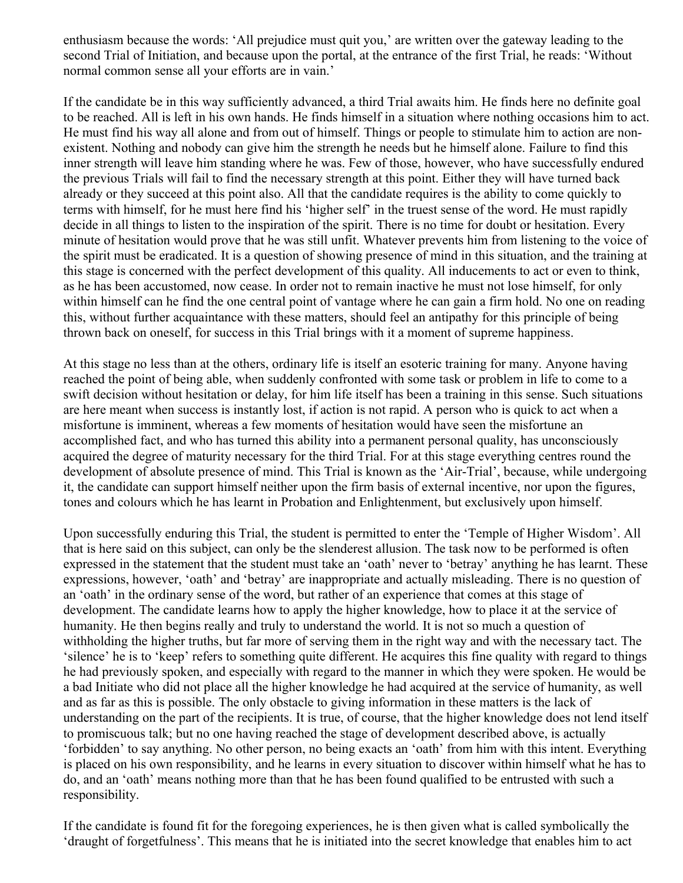enthusiasm because the words: 'All prejudice must quit you,' are written over the gateway leading to the second Trial of Initiation, and because upon the portal, at the entrance of the first Trial, he reads: 'Without normal common sense all your efforts are in vain.'

If the candidate be in this way sufficiently advanced, a third Trial awaits him. He finds here no definite goal to be reached. All is left in his own hands. He finds himself in a situation where nothing occasions him to act. He must find his way all alone and from out of himself. Things or people to stimulate him to action are nonexistent. Nothing and nobody can give him the strength he needs but he himself alone. Failure to find this inner strength will leave him standing where he was. Few of those, however, who have successfully endured the previous Trials will fail to find the necessary strength at this point. Either they will have turned back already or they succeed at this point also. All that the candidate requires is the ability to come quickly to terms with himself, for he must here find his 'higher self' in the truest sense of the word. He must rapidly decide in all things to listen to the inspiration of the spirit. There is no time for doubt or hesitation. Every minute of hesitation would prove that he was still unfit. Whatever prevents him from listening to the voice of the spirit must be eradicated. It is a question of showing presence of mind in this situation, and the training at this stage is concerned with the perfect development of this quality. All inducements to act or even to think, as he has been accustomed, now cease. In order not to remain inactive he must not lose himself, for only within himself can he find the one central point of vantage where he can gain a firm hold. No one on reading this, without further acquaintance with these matters, should feel an antipathy for this principle of being thrown back on oneself, for success in this Trial brings with it a moment of supreme happiness.

At this stage no less than at the others, ordinary life is itself an esoteric training for many. Anyone having reached the point of being able, when suddenly confronted with some task or problem in life to come to a swift decision without hesitation or delay, for him life itself has been a training in this sense. Such situations are here meant when success is instantly lost, if action is not rapid. A person who is quick to act when a misfortune is imminent, whereas a few moments of hesitation would have seen the misfortune an accomplished fact, and who has turned this ability into a permanent personal quality, has unconsciously acquired the degree of maturity necessary for the third Trial. For at this stage everything centres round the development of absolute presence of mind. This Trial is known as the 'Air-Trial', because, while undergoing it, the candidate can support himself neither upon the firm basis of external incentive, nor upon the figures, tones and colours which he has learnt in Probation and Enlightenment, but exclusively upon himself.

Upon successfully enduring this Trial, the student is permitted to enter the 'Temple of Higher Wisdom'. All that is here said on this subject, can only be the slenderest allusion. The task now to be performed is often expressed in the statement that the student must take an 'oath' never to 'betray' anything he has learnt. These expressions, however, 'oath' and 'betray' are inappropriate and actually misleading. There is no question of an 'oath' in the ordinary sense of the word, but rather of an experience that comes at this stage of development. The candidate learns how to apply the higher knowledge, how to place it at the service of humanity. He then begins really and truly to understand the world. It is not so much a question of withholding the higher truths, but far more of serving them in the right way and with the necessary tact. The 'silence' he is to 'keep' refers to something quite different. He acquires this fine quality with regard to things he had previously spoken, and especially with regard to the manner in which they were spoken. He would be a bad Initiate who did not place all the higher knowledge he had acquired at the service of humanity, as well and as far as this is possible. The only obstacle to giving information in these matters is the lack of understanding on the part of the recipients. It is true, of course, that the higher knowledge does not lend itself to promiscuous talk; but no one having reached the stage of development described above, is actually 'forbidden' to say anything. No other person, no being exacts an 'oath' from him with this intent. Everything is placed on his own responsibility, and he learns in every situation to discover within himself what he has to do, and an 'oath' means nothing more than that he has been found qualified to be entrusted with such a responsibility.

If the candidate is found fit for the foregoing experiences, he is then given what is called symbolically the 'draught of forgetfulness'. This means that he is initiated into the secret knowledge that enables him to act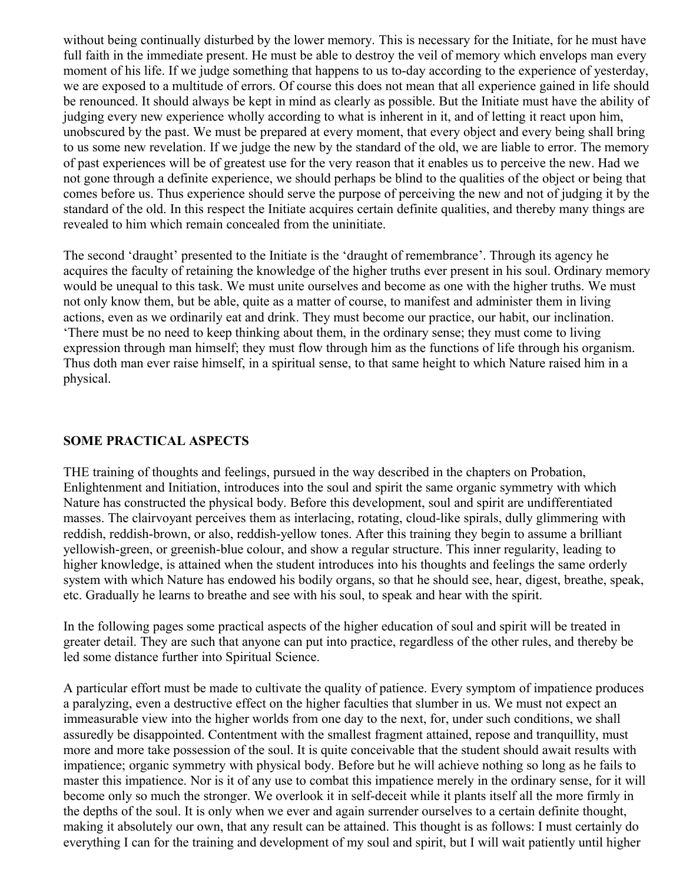without being continually disturbed by the lower memory. This is necessary for the Initiate, for he must have full faith in the immediate present. He must be able to destroy the veil of memory which envelops man every moment of his life. If we judge something that happens to us to-day according to the experience of yesterday, we are exposed to a multitude of errors. Of course this does not mean that all experience gained in life should be renounced. It should always be kept in mind as clearly as possible. But the Initiate must have the ability of judging every new experience wholly according to what is inherent in it, and of letting it react upon him, unobscured by the past. We must be prepared at every moment, that every object and every being shall bring to us some new revelation. If we judge the new by the standard of the old, we are liable to error. The memory of past experiences will be of greatest use for the very reason that it enables us to perceive the new. Had we not gone through a definite experience, we should perhaps be blind to the qualities of the object or being that comes before us. Thus experience should serve the purpose of perceiving the new and not of judging it by the standard of the old. In this respect the Initiate acquires certain definite qualities, and thereby many things are revealed to him which remain concealed from the uninitiate.

The second 'draught' presented to the Initiate is the 'draught of remembrance'. Through its agency he acquires the faculty of retaining the knowledge of the higher truths ever present in his soul. Ordinary memory would be unequal to this task. We must unite ourselves and become as one with the higher truths. We must not only know them, but be able, quite as a matter of course, to manifest and administer them in living actions, even as we ordinarily eat and drink. They must become our practice, our habit, our inclination. 'There must be no need to keep thinking about them, in the ordinary sense; they must come to living expression through man himself; they must flow through him as the functions of life through his organism. Thus doth man ever raise himself, in a spiritual sense, to that same height to which Nature raised him in a physical.

## <span id="page-26-0"></span>**SOME PRACTICAL ASPECTS**

THE training of thoughts and feelings, pursued in the way described in the chapters on Probation, Enlightenment and Initiation, introduces into the soul and spirit the same organic symmetry with which Nature has constructed the physical body. Before this development, soul and spirit are undifferentiated masses. The clairvoyant perceives them as interlacing, rotating, cloud-like spirals, dully glimmering with reddish, reddish-brown, or also, reddish-yellow tones. After this training they begin to assume a brilliant yellowish-green, or greenish-blue colour, and show a regular structure. This inner regularity, leading to higher knowledge, is attained when the student introduces into his thoughts and feelings the same orderly system with which Nature has endowed his bodily organs, so that he should see, hear, digest, breathe, speak, etc. Gradually he learns to breathe and see with his soul, to speak and hear with the spirit.

In the following pages some practical aspects of the higher education of soul and spirit will be treated in greater detail. They are such that anyone can put into practice, regardless of the other rules, and thereby be led some distance further into Spiritual Science.

A particular effort must be made to cultivate the quality of patience. Every symptom of impatience produces a paralyzing, even a destructive effect on the higher faculties that slumber in us. We must not expect an immeasurable view into the higher worlds from one day to the next, for, under such conditions, we shall assuredly be disappointed. Contentment with the smallest fragment attained, repose and tranquillity, must more and more take possession of the soul. It is quite conceivable that the student should await results with impatience; organic symmetry with physical body. Before but he will achieve nothing so long as he fails to master this impatience. Nor is it of any use to combat this impatience merely in the ordinary sense, for it will become only so much the stronger. We overlook it in self-deceit while it plants itself all the more firmly in the depths of the soul. It is only when we ever and again surrender ourselves to a certain definite thought, making it absolutely our own, that any result can be attained. This thought is as follows: I must certainly do everything I can for the training and development of my soul and spirit, but I will wait patiently until higher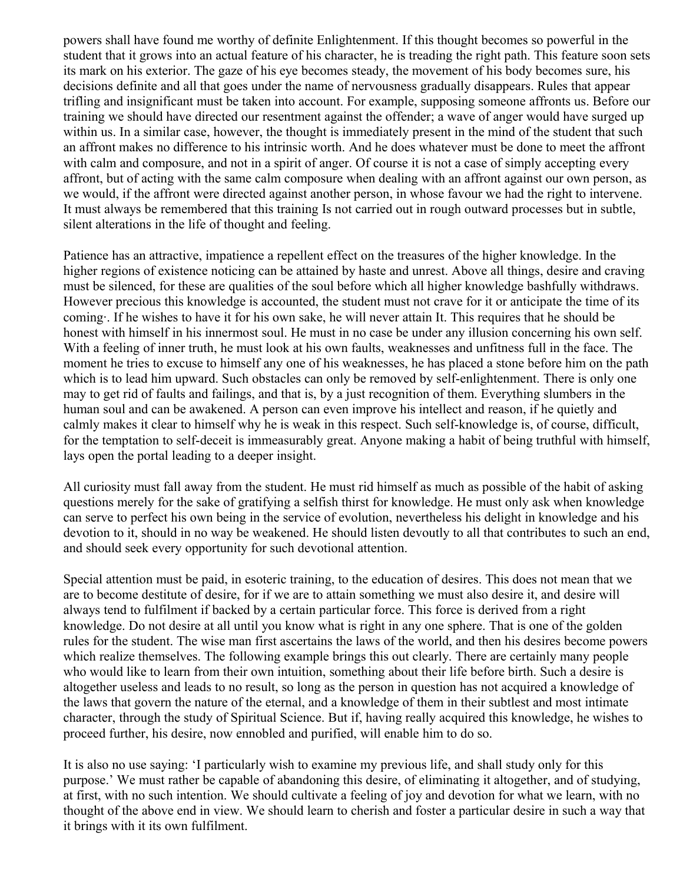powers shall have found me worthy of definite Enlightenment. If this thought becomes so powerful in the student that it grows into an actual feature of his character, he is treading the right path. This feature soon sets its mark on his exterior. The gaze of his eye becomes steady, the movement of his body becomes sure, his decisions definite and all that goes under the name of nervousness gradually disappears. Rules that appear trifling and insignificant must be taken into account. For example, supposing someone affronts us. Before our training we should have directed our resentment against the offender; a wave of anger would have surged up within us. In a similar case, however, the thought is immediately present in the mind of the student that such an affront makes no difference to his intrinsic worth. And he does whatever must be done to meet the affront with calm and composure, and not in a spirit of anger. Of course it is not a case of simply accepting every affront, but of acting with the same calm composure when dealing with an affront against our own person, as we would, if the affront were directed against another person, in whose favour we had the right to intervene. It must always be remembered that this training Is not carried out in rough outward processes but in subtle, silent alterations in the life of thought and feeling.

Patience has an attractive, impatience a repellent effect on the treasures of the higher knowledge. In the higher regions of existence noticing can be attained by haste and unrest. Above all things, desire and craving must be silenced, for these are qualities of the soul before which all higher knowledge bashfully withdraws. However precious this knowledge is accounted, the student must not crave for it or anticipate the time of its coming·. If he wishes to have it for his own sake, he will never attain It. This requires that he should be honest with himself in his innermost soul. He must in no case be under any illusion concerning his own self. With a feeling of inner truth, he must look at his own faults, weaknesses and unfitness full in the face. The moment he tries to excuse to himself any one of his weaknesses, he has placed a stone before him on the path which is to lead him upward. Such obstacles can only be removed by self-enlightenment. There is only one may to get rid of faults and failings, and that is, by a just recognition of them. Everything slumbers in the human soul and can be awakened. A person can even improve his intellect and reason, if he quietly and calmly makes it clear to himself why he is weak in this respect. Such self-knowledge is, of course, difficult, for the temptation to self-deceit is immeasurably great. Anyone making a habit of being truthful with himself, lays open the portal leading to a deeper insight.

All curiosity must fall away from the student. He must rid himself as much as possible of the habit of asking questions merely for the sake of gratifying a selfish thirst for knowledge. He must only ask when knowledge can serve to perfect his own being in the service of evolution, nevertheless his delight in knowledge and his devotion to it, should in no way be weakened. He should listen devoutly to all that contributes to such an end, and should seek every opportunity for such devotional attention.

Special attention must be paid, in esoteric training, to the education of desires. This does not mean that we are to become destitute of desire, for if we are to attain something we must also desire it, and desire will always tend to fulfilment if backed by a certain particular force. This force is derived from a right knowledge. Do not desire at all until you know what is right in any one sphere. That is one of the golden rules for the student. The wise man first ascertains the laws of the world, and then his desires become powers which realize themselves. The following example brings this out clearly. There are certainly many people who would like to learn from their own intuition, something about their life before birth. Such a desire is altogether useless and leads to no result, so long as the person in question has not acquired a knowledge of the laws that govern the nature of the eternal, and a knowledge of them in their subtlest and most intimate character, through the study of Spiritual Science. But if, having really acquired this knowledge, he wishes to proceed further, his desire, now ennobled and purified, will enable him to do so.

It is also no use saying: 'I particularly wish to examine my previous life, and shall study only for this purpose.' We must rather be capable of abandoning this desire, of eliminating it altogether, and of studying, at first, with no such intention. We should cultivate a feeling of joy and devotion for what we learn, with no thought of the above end in view. We should learn to cherish and foster a particular desire in such a way that it brings with it its own fulfilment.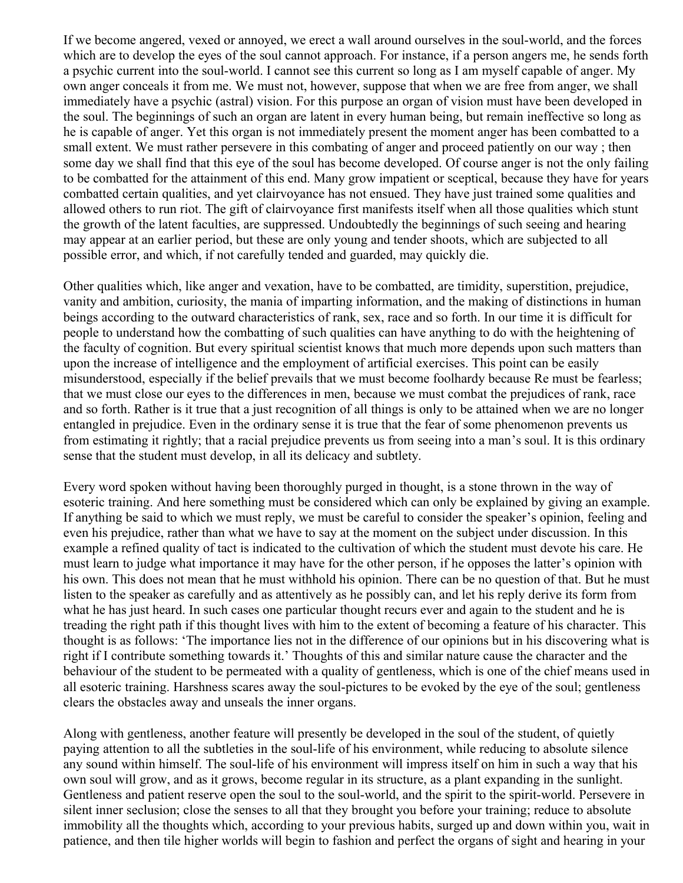If we become angered, vexed or annoyed, we erect a wall around ourselves in the soul-world, and the forces which are to develop the eyes of the soul cannot approach. For instance, if a person angers me, he sends forth a psychic current into the soul-world. I cannot see this current so long as I am myself capable of anger. My own anger conceals it from me. We must not, however, suppose that when we are free from anger, we shall immediately have a psychic (astral) vision. For this purpose an organ of vision must have been developed in the soul. The beginnings of such an organ are latent in every human being, but remain ineffective so long as he is capable of anger. Yet this organ is not immediately present the moment anger has been combatted to a small extent. We must rather persevere in this combating of anger and proceed patiently on our way ; then some day we shall find that this eye of the soul has become developed. Of course anger is not the only failing to be combatted for the attainment of this end. Many grow impatient or sceptical, because they have for years combatted certain qualities, and yet clairvoyance has not ensued. They have just trained some qualities and allowed others to run riot. The gift of clairvoyance first manifests itself when all those qualities which stunt the growth of the latent faculties, are suppressed. Undoubtedly the beginnings of such seeing and hearing may appear at an earlier period, but these are only young and tender shoots, which are subjected to all possible error, and which, if not carefully tended and guarded, may quickly die.

Other qualities which, like anger and vexation, have to be combatted, are timidity, superstition, prejudice, vanity and ambition, curiosity, the mania of imparting information, and the making of distinctions in human beings according to the outward characteristics of rank, sex, race and so forth. In our time it is difficult for people to understand how the combatting of such qualities can have anything to do with the heightening of the faculty of cognition. But every spiritual scientist knows that much more depends upon such matters than upon the increase of intelligence and the employment of artificial exercises. This point can be easily misunderstood, especially if the belief prevails that we must become foolhardy because Re must be fearless; that we must close our eyes to the differences in men, because we must combat the prejudices of rank, race and so forth. Rather is it true that a just recognition of all things is only to be attained when we are no longer entangled in prejudice. Even in the ordinary sense it is true that the fear of some phenomenon prevents us from estimating it rightly; that a racial prejudice prevents us from seeing into a man's soul. It is this ordinary sense that the student must develop, in all its delicacy and subtlety.

Every word spoken without having been thoroughly purged in thought, is a stone thrown in the way of esoteric training. And here something must be considered which can only be explained by giving an example. If anything be said to which we must reply, we must be careful to consider the speaker's opinion, feeling and even his prejudice, rather than what we have to say at the moment on the subject under discussion. In this example a refined quality of tact is indicated to the cultivation of which the student must devote his care. He must learn to judge what importance it may have for the other person, if he opposes the latter's opinion with his own. This does not mean that he must withhold his opinion. There can be no question of that. But he must listen to the speaker as carefully and as attentively as he possibly can, and let his reply derive its form from what he has just heard. In such cases one particular thought recurs ever and again to the student and he is treading the right path if this thought lives with him to the extent of becoming a feature of his character. This thought is as follows: 'The importance lies not in the difference of our opinions but in his discovering what is right if I contribute something towards it.' Thoughts of this and similar nature cause the character and the behaviour of the student to be permeated with a quality of gentleness, which is one of the chief means used in all esoteric training. Harshness scares away the soul-pictures to be evoked by the eye of the soul; gentleness clears the obstacles away and unseals the inner organs.

Along with gentleness, another feature will presently be developed in the soul of the student, of quietly paying attention to all the subtleties in the soul-life of his environment, while reducing to absolute silence any sound within himself. The soul-life of his environment will impress itself on him in such a way that his own soul will grow, and as it grows, become regular in its structure, as a plant expanding in the sunlight. Gentleness and patient reserve open the soul to the soul-world, and the spirit to the spirit-world. Persevere in silent inner seclusion; close the senses to all that they brought you before your training; reduce to absolute immobility all the thoughts which, according to your previous habits, surged up and down within you, wait in patience, and then tile higher worlds will begin to fashion and perfect the organs of sight and hearing in your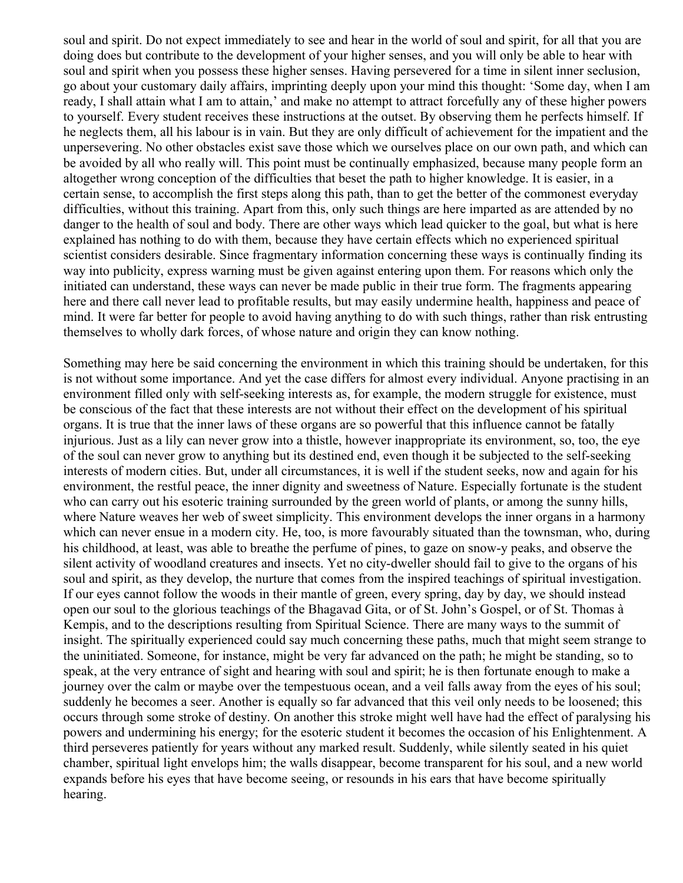soul and spirit. Do not expect immediately to see and hear in the world of soul and spirit, for all that you are doing does but contribute to the development of your higher senses, and you will only be able to hear with soul and spirit when you possess these higher senses. Having persevered for a time in silent inner seclusion, go about your customary daily affairs, imprinting deeply upon your mind this thought: 'Some day, when I am ready, I shall attain what I am to attain,' and make no attempt to attract forcefully any of these higher powers to yourself. Every student receives these instructions at the outset. By observing them he perfects himself. If he neglects them, all his labour is in vain. But they are only difficult of achievement for the impatient and the unpersevering. No other obstacles exist save those which we ourselves place on our own path, and which can be avoided by all who really will. This point must be continually emphasized, because many people form an altogether wrong conception of the difficulties that beset the path to higher knowledge. It is easier, in a certain sense, to accomplish the first steps along this path, than to get the better of the commonest everyday difficulties, without this training. Apart from this, only such things are here imparted as are attended by no danger to the health of soul and body. There are other ways which lead quicker to the goal, but what is here explained has nothing to do with them, because they have certain effects which no experienced spiritual scientist considers desirable. Since fragmentary information concerning these ways is continually finding its way into publicity, express warning must be given against entering upon them. For reasons which only the initiated can understand, these ways can never be made public in their true form. The fragments appearing here and there call never lead to profitable results, but may easily undermine health, happiness and peace of mind. It were far better for people to avoid having anything to do with such things, rather than risk entrusting themselves to wholly dark forces, of whose nature and origin they can know nothing.

Something may here be said concerning the environment in which this training should be undertaken, for this is not without some importance. And yet the case differs for almost every individual. Anyone practising in an environment filled only with self-seeking interests as, for example, the modern struggle for existence, must be conscious of the fact that these interests are not without their effect on the development of his spiritual organs. It is true that the inner laws of these organs are so powerful that this influence cannot be fatally injurious. Just as a lily can never grow into a thistle, however inappropriate its environment, so, too, the eye of the soul can never grow to anything but its destined end, even though it be subjected to the self-seeking interests of modern cities. But, under all circumstances, it is well if the student seeks, now and again for his environment, the restful peace, the inner dignity and sweetness of Nature. Especially fortunate is the student who can carry out his esoteric training surrounded by the green world of plants, or among the sunny hills, where Nature weaves her web of sweet simplicity. This environment develops the inner organs in a harmony which can never ensue in a modern city. He, too, is more favourably situated than the townsman, who, during his childhood, at least, was able to breathe the perfume of pines, to gaze on snow-y peaks, and observe the silent activity of woodland creatures and insects. Yet no city-dweller should fail to give to the organs of his soul and spirit, as they develop, the nurture that comes from the inspired teachings of spiritual investigation. If our eyes cannot follow the woods in their mantle of green, every spring, day by day, we should instead open our soul to the glorious teachings of the Bhagavad Gita, or of St. John's Gospel, or of St. Thomas à Kempis, and to the descriptions resulting from Spiritual Science. There are many ways to the summit of insight. The spiritually experienced could say much concerning these paths, much that might seem strange to the uninitiated. Someone, for instance, might be very far advanced on the path; he might be standing, so to speak, at the very entrance of sight and hearing with soul and spirit; he is then fortunate enough to make a journey over the calm or maybe over the tempestuous ocean, and a veil falls away from the eyes of his soul; suddenly he becomes a seer. Another is equally so far advanced that this veil only needs to be loosened; this occurs through some stroke of destiny. On another this stroke might well have had the effect of paralysing his powers and undermining his energy; for the esoteric student it becomes the occasion of his Enlightenment. A third perseveres patiently for years without any marked result. Suddenly, while silently seated in his quiet chamber, spiritual light envelops him; the walls disappear, become transparent for his soul, and a new world expands before his eyes that have become seeing, or resounds in his ears that have become spiritually hearing.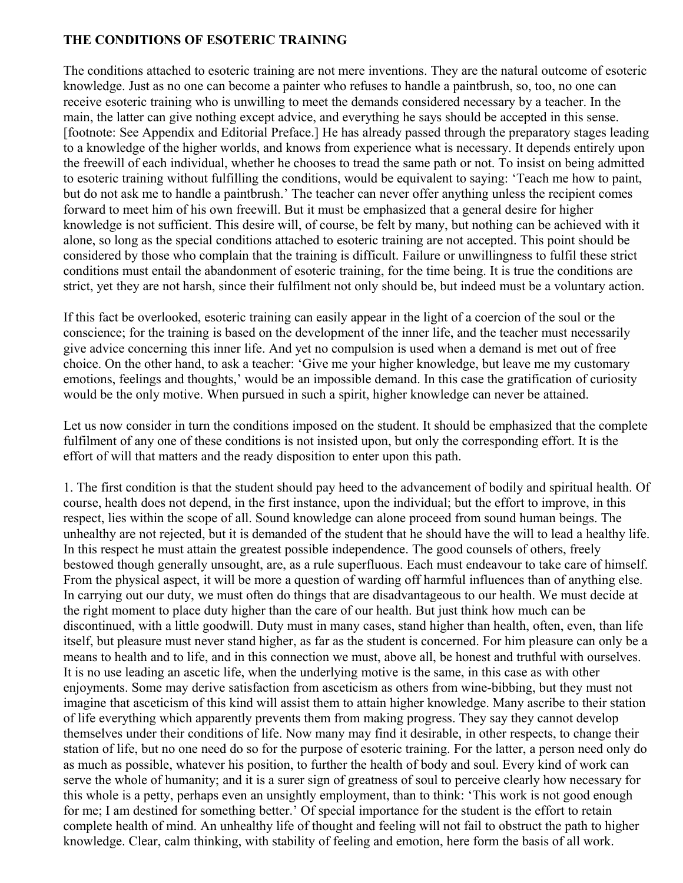# <span id="page-30-0"></span>**THE CONDITIONS OF ESOTERIC TRAINING**

The conditions attached to esoteric training are not mere inventions. They are the natural outcome of esoteric knowledge. Just as no one can become a painter who refuses to handle a paintbrush, so, too, no one can receive esoteric training who is unwilling to meet the demands considered necessary by a teacher. In the main, the latter can give nothing except advice, and everything he says should be accepted in this sense. [footnote: See Appendix and Editorial Preface.] He has already passed through the preparatory stages leading to a knowledge of the higher worlds, and knows from experience what is necessary. It depends entirely upon the freewill of each individual, whether he chooses to tread the same path or not. To insist on being admitted to esoteric training without fulfilling the conditions, would be equivalent to saying: 'Teach me how to paint, but do not ask me to handle a paintbrush.' The teacher can never offer anything unless the recipient comes forward to meet him of his own freewill. But it must be emphasized that a general desire for higher knowledge is not sufficient. This desire will, of course, be felt by many, but nothing can be achieved with it alone, so long as the special conditions attached to esoteric training are not accepted. This point should be considered by those who complain that the training is difficult. Failure or unwillingness to fulfil these strict conditions must entail the abandonment of esoteric training, for the time being. It is true the conditions are strict, yet they are not harsh, since their fulfilment not only should be, but indeed must be a voluntary action.

If this fact be overlooked, esoteric training can easily appear in the light of a coercion of the soul or the conscience; for the training is based on the development of the inner life, and the teacher must necessarily give advice concerning this inner life. And yet no compulsion is used when a demand is met out of free choice. On the other hand, to ask a teacher: 'Give me your higher knowledge, but leave me my customary emotions, feelings and thoughts,' would be an impossible demand. In this case the gratification of curiosity would be the only motive. When pursued in such a spirit, higher knowledge can never be attained.

Let us now consider in turn the conditions imposed on the student. It should be emphasized that the complete fulfilment of any one of these conditions is not insisted upon, but only the corresponding effort. It is the effort of will that matters and the ready disposition to enter upon this path.

1. The first condition is that the student should pay heed to the advancement of bodily and spiritual health. Of course, health does not depend, in the first instance, upon the individual; but the effort to improve, in this respect, lies within the scope of all. Sound knowledge can alone proceed from sound human beings. The unhealthy are not rejected, but it is demanded of the student that he should have the will to lead a healthy life. In this respect he must attain the greatest possible independence. The good counsels of others, freely bestowed though generally unsought, are, as a rule superfluous. Each must endeavour to take care of himself. From the physical aspect, it will be more a question of warding off harmful influences than of anything else. In carrying out our duty, we must often do things that are disadvantageous to our health. We must decide at the right moment to place duty higher than the care of our health. But just think how much can be discontinued, with a little goodwill. Duty must in many cases, stand higher than health, often, even, than life itself, but pleasure must never stand higher, as far as the student is concerned. For him pleasure can only be a means to health and to life, and in this connection we must, above all, be honest and truthful with ourselves. It is no use leading an ascetic life, when the underlying motive is the same, in this case as with other enjoyments. Some may derive satisfaction from asceticism as others from wine-bibbing, but they must not imagine that asceticism of this kind will assist them to attain higher knowledge. Many ascribe to their station of life everything which apparently prevents them from making progress. They say they cannot develop themselves under their conditions of life. Now many may find it desirable, in other respects, to change their station of life, but no one need do so for the purpose of esoteric training. For the latter, a person need only do as much as possible, whatever his position, to further the health of body and soul. Every kind of work can serve the whole of humanity; and it is a surer sign of greatness of soul to perceive clearly how necessary for this whole is a petty, perhaps even an unsightly employment, than to think: 'This work is not good enough for me; I am destined for something better.' Of special importance for the student is the effort to retain complete health of mind. An unhealthy life of thought and feeling will not fail to obstruct the path to higher knowledge. Clear, calm thinking, with stability of feeling and emotion, here form the basis of all work.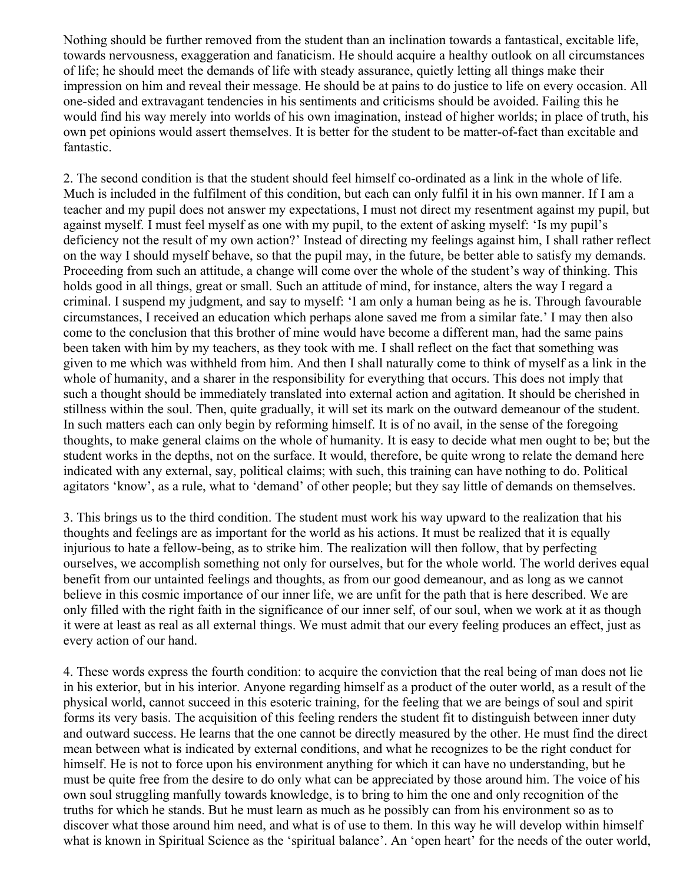Nothing should be further removed from the student than an inclination towards a fantastical, excitable life, towards nervousness, exaggeration and fanaticism. He should acquire a healthy outlook on all circumstances of life; he should meet the demands of life with steady assurance, quietly letting all things make their impression on him and reveal their message. He should be at pains to do justice to life on every occasion. All one-sided and extravagant tendencies in his sentiments and criticisms should be avoided. Failing this he would find his way merely into worlds of his own imagination, instead of higher worlds; in place of truth, his own pet opinions would assert themselves. It is better for the student to be matter-of-fact than excitable and fantastic.

2. The second condition is that the student should feel himself co-ordinated as a link in the whole of life. Much is included in the fulfilment of this condition, but each can only fulfil it in his own manner. If I am a teacher and my pupil does not answer my expectations, I must not direct my resentment against my pupil, but against myself. I must feel myself as one with my pupil, to the extent of asking myself: 'Is my pupil's deficiency not the result of my own action?' Instead of directing my feelings against him, I shall rather reflect on the way I should myself behave, so that the pupil may, in the future, be better able to satisfy my demands. Proceeding from such an attitude, a change will come over the whole of the student's way of thinking. This holds good in all things, great or small. Such an attitude of mind, for instance, alters the way I regard a criminal. I suspend my judgment, and say to myself: 'I am only a human being as he is. Through favourable circumstances, I received an education which perhaps alone saved me from a similar fate.' I may then also come to the conclusion that this brother of mine would have become a different man, had the same pains been taken with him by my teachers, as they took with me. I shall reflect on the fact that something was given to me which was withheld from him. And then I shall naturally come to think of myself as a link in the whole of humanity, and a sharer in the responsibility for everything that occurs. This does not imply that such a thought should be immediately translated into external action and agitation. It should be cherished in stillness within the soul. Then, quite gradually, it will set its mark on the outward demeanour of the student. In such matters each can only begin by reforming himself. It is of no avail, in the sense of the foregoing thoughts, to make general claims on the whole of humanity. It is easy to decide what men ought to be; but the student works in the depths, not on the surface. It would, therefore, be quite wrong to relate the demand here indicated with any external, say, political claims; with such, this training can have nothing to do. Political agitators 'know', as a rule, what to 'demand' of other people; but they say little of demands on themselves.

3. This brings us to the third condition. The student must work his way upward to the realization that his thoughts and feelings are as important for the world as his actions. It must be realized that it is equally injurious to hate a fellow-being, as to strike him. The realization will then follow, that by perfecting ourselves, we accomplish something not only for ourselves, but for the whole world. The world derives equal benefit from our untainted feelings and thoughts, as from our good demeanour, and as long as we cannot believe in this cosmic importance of our inner life, we are unfit for the path that is here described. We are only filled with the right faith in the significance of our inner self, of our soul, when we work at it as though it were at least as real as all external things. We must admit that our every feeling produces an effect, just as every action of our hand.

4. These words express the fourth condition: to acquire the conviction that the real being of man does not lie in his exterior, but in his interior. Anyone regarding himself as a product of the outer world, as a result of the physical world, cannot succeed in this esoteric training, for the feeling that we are beings of soul and spirit forms its very basis. The acquisition of this feeling renders the student fit to distinguish between inner duty and outward success. He learns that the one cannot be directly measured by the other. He must find the direct mean between what is indicated by external conditions, and what he recognizes to be the right conduct for himself. He is not to force upon his environment anything for which it can have no understanding, but he must be quite free from the desire to do only what can be appreciated by those around him. The voice of his own soul struggling manfully towards knowledge, is to bring to him the one and only recognition of the truths for which he stands. But he must learn as much as he possibly can from his environment so as to discover what those around him need, and what is of use to them. In this way he will develop within himself what is known in Spiritual Science as the 'spiritual balance'. An 'open heart' for the needs of the outer world,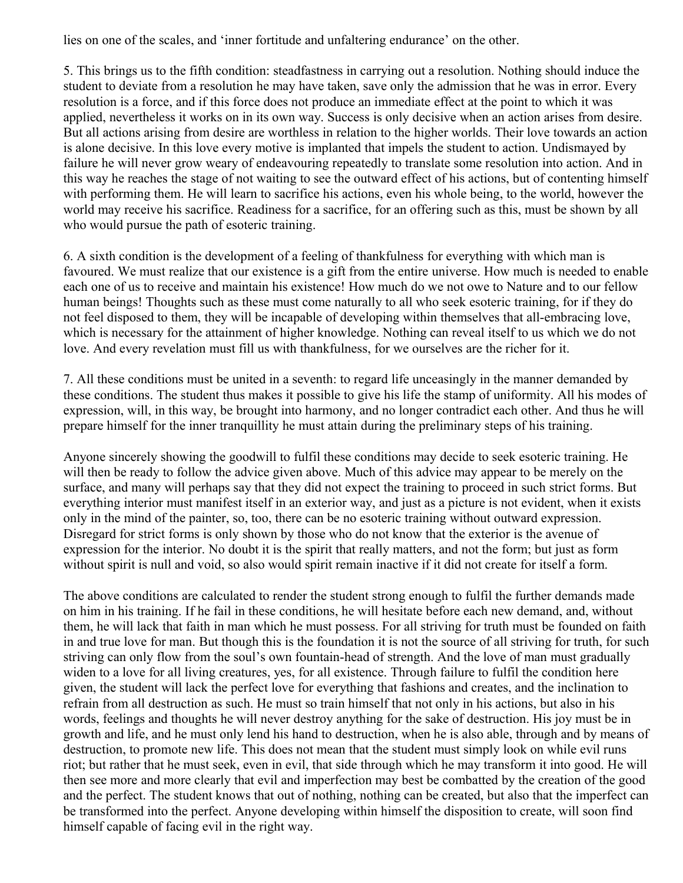lies on one of the scales, and 'inner fortitude and unfaltering endurance' on the other.

5. This brings us to the fifth condition: steadfastness in carrying out a resolution. Nothing should induce the student to deviate from a resolution he may have taken, save only the admission that he was in error. Every resolution is a force, and if this force does not produce an immediate effect at the point to which it was applied, nevertheless it works on in its own way. Success is only decisive when an action arises from desire. But all actions arising from desire are worthless in relation to the higher worlds. Their love towards an action is alone decisive. In this love every motive is implanted that impels the student to action. Undismayed by failure he will never grow weary of endeavouring repeatedly to translate some resolution into action. And in this way he reaches the stage of not waiting to see the outward effect of his actions, but of contenting himself with performing them. He will learn to sacrifice his actions, even his whole being, to the world, however the world may receive his sacrifice. Readiness for a sacrifice, for an offering such as this, must be shown by all who would pursue the path of esoteric training.

6. A sixth condition is the development of a feeling of thankfulness for everything with which man is favoured. We must realize that our existence is a gift from the entire universe. How much is needed to enable each one of us to receive and maintain his existence! How much do we not owe to Nature and to our fellow human beings! Thoughts such as these must come naturally to all who seek esoteric training, for if they do not feel disposed to them, they will be incapable of developing within themselves that all-embracing love, which is necessary for the attainment of higher knowledge. Nothing can reveal itself to us which we do not love. And every revelation must fill us with thankfulness, for we ourselves are the richer for it.

7. All these conditions must be united in a seventh: to regard life unceasingly in the manner demanded by these conditions. The student thus makes it possible to give his life the stamp of uniformity. All his modes of expression, will, in this way, be brought into harmony, and no longer contradict each other. And thus he will prepare himself for the inner tranquillity he must attain during the preliminary steps of his training.

Anyone sincerely showing the goodwill to fulfil these conditions may decide to seek esoteric training. He will then be ready to follow the advice given above. Much of this advice may appear to be merely on the surface, and many will perhaps say that they did not expect the training to proceed in such strict forms. But everything interior must manifest itself in an exterior way, and just as a picture is not evident, when it exists only in the mind of the painter, so, too, there can be no esoteric training without outward expression. Disregard for strict forms is only shown by those who do not know that the exterior is the avenue of expression for the interior. No doubt it is the spirit that really matters, and not the form; but just as form without spirit is null and void, so also would spirit remain inactive if it did not create for itself a form.

The above conditions are calculated to render the student strong enough to fulfil the further demands made on him in his training. If he fail in these conditions, he will hesitate before each new demand, and, without them, he will lack that faith in man which he must possess. For all striving for truth must be founded on faith in and true love for man. But though this is the foundation it is not the source of all striving for truth, for such striving can only flow from the soul's own fountain-head of strength. And the love of man must gradually widen to a love for all living creatures, yes, for all existence. Through failure to fulfil the condition here given, the student will lack the perfect love for everything that fashions and creates, and the inclination to refrain from all destruction as such. He must so train himself that not only in his actions, but also in his words, feelings and thoughts he will never destroy anything for the sake of destruction. His joy must be in growth and life, and he must only lend his hand to destruction, when he is also able, through and by means of destruction, to promote new life. This does not mean that the student must simply look on while evil runs riot; but rather that he must seek, even in evil, that side through which he may transform it into good. He will then see more and more clearly that evil and imperfection may best be combatted by the creation of the good and the perfect. The student knows that out of nothing, nothing can be created, but also that the imperfect can be transformed into the perfect. Anyone developing within himself the disposition to create, will soon find himself capable of facing evil in the right way.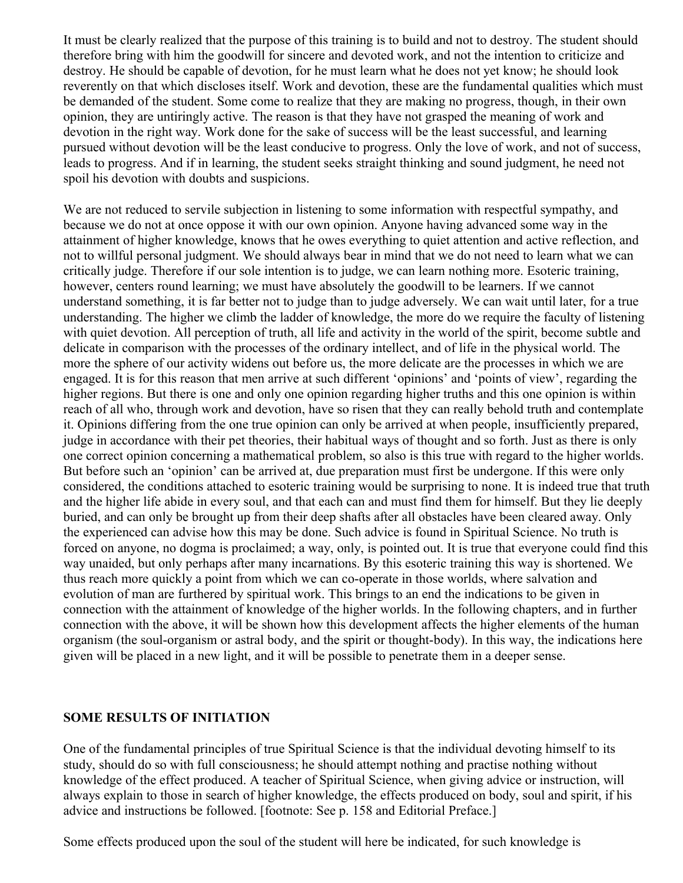It must be clearly realized that the purpose of this training is to build and not to destroy. The student should therefore bring with him the goodwill for sincere and devoted work, and not the intention to criticize and destroy. He should be capable of devotion, for he must learn what he does not yet know; he should look reverently on that which discloses itself. Work and devotion, these are the fundamental qualities which must be demanded of the student. Some come to realize that they are making no progress, though, in their own opinion, they are untiringly active. The reason is that they have not grasped the meaning of work and devotion in the right way. Work done for the sake of success will be the least successful, and learning pursued without devotion will be the least conducive to progress. Only the love of work, and not of success, leads to progress. And if in learning, the student seeks straight thinking and sound judgment, he need not spoil his devotion with doubts and suspicions.

We are not reduced to servile subjection in listening to some information with respectful sympathy, and because we do not at once oppose it with our own opinion. Anyone having advanced some way in the attainment of higher knowledge, knows that he owes everything to quiet attention and active reflection, and not to willful personal judgment. We should always bear in mind that we do not need to learn what we can critically judge. Therefore if our sole intention is to judge, we can learn nothing more. Esoteric training, however, centers round learning; we must have absolutely the goodwill to be learners. If we cannot understand something, it is far better not to judge than to judge adversely. We can wait until later, for a true understanding. The higher we climb the ladder of knowledge, the more do we require the faculty of listening with quiet devotion. All perception of truth, all life and activity in the world of the spirit, become subtle and delicate in comparison with the processes of the ordinary intellect, and of life in the physical world. The more the sphere of our activity widens out before us, the more delicate are the processes in which we are engaged. It is for this reason that men arrive at such different 'opinions' and 'points of view', regarding the higher regions. But there is one and only one opinion regarding higher truths and this one opinion is within reach of all who, through work and devotion, have so risen that they can really behold truth and contemplate it. Opinions differing from the one true opinion can only be arrived at when people, insufficiently prepared, judge in accordance with their pet theories, their habitual ways of thought and so forth. Just as there is only one correct opinion concerning a mathematical problem, so also is this true with regard to the higher worlds. But before such an 'opinion' can be arrived at, due preparation must first be undergone. If this were only considered, the conditions attached to esoteric training would be surprising to none. It is indeed true that truth and the higher life abide in every soul, and that each can and must find them for himself. But they lie deeply buried, and can only be brought up from their deep shafts after all obstacles have been cleared away. Only the experienced can advise how this may be done. Such advice is found in Spiritual Science. No truth is forced on anyone, no dogma is proclaimed; a way, only, is pointed out. It is true that everyone could find this way unaided, but only perhaps after many incarnations. By this esoteric training this way is shortened. We thus reach more quickly a point from which we can co-operate in those worlds, where salvation and evolution of man are furthered by spiritual work. This brings to an end the indications to be given in connection with the attainment of knowledge of the higher worlds. In the following chapters, and in further connection with the above, it will be shown how this development affects the higher elements of the human organism (the soul-organism or astral body, and the spirit or thought-body). In this way, the indications here given will be placed in a new light, and it will be possible to penetrate them in a deeper sense.

## <span id="page-33-0"></span>**SOME RESULTS OF INITIATION**

One of the fundamental principles of true Spiritual Science is that the individual devoting himself to its study, should do so with full consciousness; he should attempt nothing and practise nothing without knowledge of the effect produced. A teacher of Spiritual Science, when giving advice or instruction, will always explain to those in search of higher knowledge, the effects produced on body, soul and spirit, if his advice and instructions be followed. [footnote: See p. 158 and Editorial Preface.]

Some effects produced upon the soul of the student will here be indicated, for such knowledge is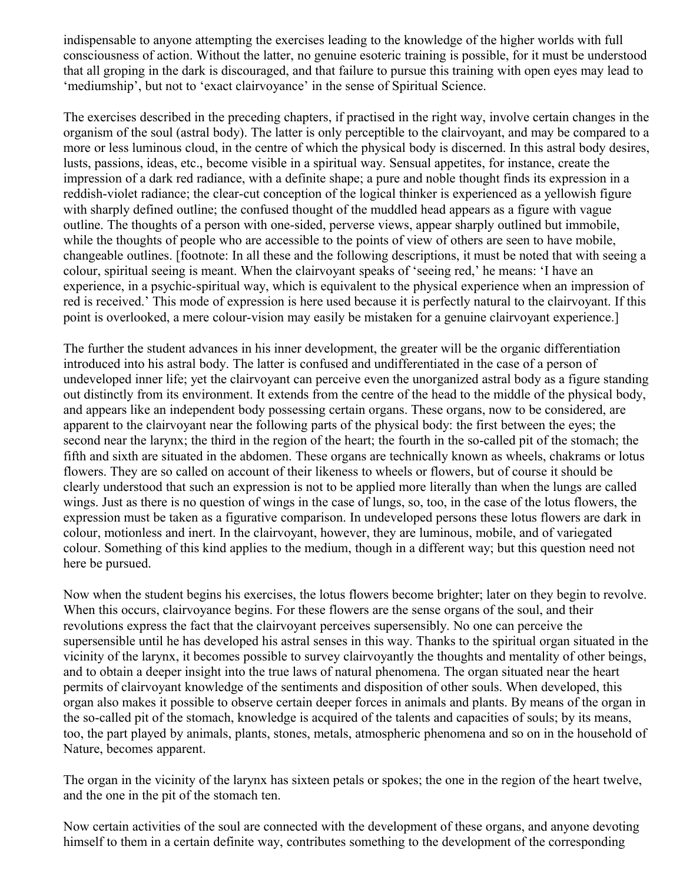indispensable to anyone attempting the exercises leading to the knowledge of the higher worlds with full consciousness of action. Without the latter, no genuine esoteric training is possible, for it must be understood that all groping in the dark is discouraged, and that failure to pursue this training with open eyes may lead to 'mediumship', but not to 'exact clairvoyance' in the sense of Spiritual Science.

The exercises described in the preceding chapters, if practised in the right way, involve certain changes in the organism of the soul (astral body). The latter is only perceptible to the clairvoyant, and may be compared to a more or less luminous cloud, in the centre of which the physical body is discerned. In this astral body desires, lusts, passions, ideas, etc., become visible in a spiritual way. Sensual appetites, for instance, create the impression of a dark red radiance, with a definite shape; a pure and noble thought finds its expression in a reddish-violet radiance; the clear-cut conception of the logical thinker is experienced as a yellowish figure with sharply defined outline; the confused thought of the muddled head appears as a figure with vague outline. The thoughts of a person with one-sided, perverse views, appear sharply outlined but immobile, while the thoughts of people who are accessible to the points of view of others are seen to have mobile, changeable outlines. [footnote: In all these and the following descriptions, it must be noted that with seeing a colour, spiritual seeing is meant. When the clairvoyant speaks of 'seeing red,' he means: 'I have an experience, in a psychic-spiritual way, which is equivalent to the physical experience when an impression of red is received.' This mode of expression is here used because it is perfectly natural to the clairvoyant. If this point is overlooked, a mere colour-vision may easily be mistaken for a genuine clairvoyant experience.]

The further the student advances in his inner development, the greater will be the organic differentiation introduced into his astral body. The latter is confused and undifferentiated in the case of a person of undeveloped inner life; yet the clairvoyant can perceive even the unorganized astral body as a figure standing out distinctly from its environment. It extends from the centre of the head to the middle of the physical body, and appears like an independent body possessing certain organs. These organs, now to be considered, are apparent to the clairvoyant near the following parts of the physical body: the first between the eyes; the second near the larynx; the third in the region of the heart; the fourth in the so-called pit of the stomach; the fifth and sixth are situated in the abdomen. These organs are technically known as wheels, chakrams or lotus flowers. They are so called on account of their likeness to wheels or flowers, but of course it should be clearly understood that such an expression is not to be applied more literally than when the lungs are called wings. Just as there is no question of wings in the case of lungs, so, too, in the case of the lotus flowers, the expression must be taken as a figurative comparison. In undeveloped persons these lotus flowers are dark in colour, motionless and inert. In the clairvoyant, however, they are luminous, mobile, and of variegated colour. Something of this kind applies to the medium, though in a different way; but this question need not here be pursued.

Now when the student begins his exercises, the lotus flowers become brighter; later on they begin to revolve. When this occurs, clairvoyance begins. For these flowers are the sense organs of the soul, and their revolutions express the fact that the clairvoyant perceives supersensibly. No one can perceive the supersensible until he has developed his astral senses in this way. Thanks to the spiritual organ situated in the vicinity of the larynx, it becomes possible to survey clairvoyantly the thoughts and mentality of other beings, and to obtain a deeper insight into the true laws of natural phenomena. The organ situated near the heart permits of clairvoyant knowledge of the sentiments and disposition of other souls. When developed, this organ also makes it possible to observe certain deeper forces in animals and plants. By means of the organ in the so-called pit of the stomach, knowledge is acquired of the talents and capacities of souls; by its means, too, the part played by animals, plants, stones, metals, atmospheric phenomena and so on in the household of Nature, becomes apparent.

The organ in the vicinity of the larynx has sixteen petals or spokes; the one in the region of the heart twelve, and the one in the pit of the stomach ten.

Now certain activities of the soul are connected with the development of these organs, and anyone devoting himself to them in a certain definite way, contributes something to the development of the corresponding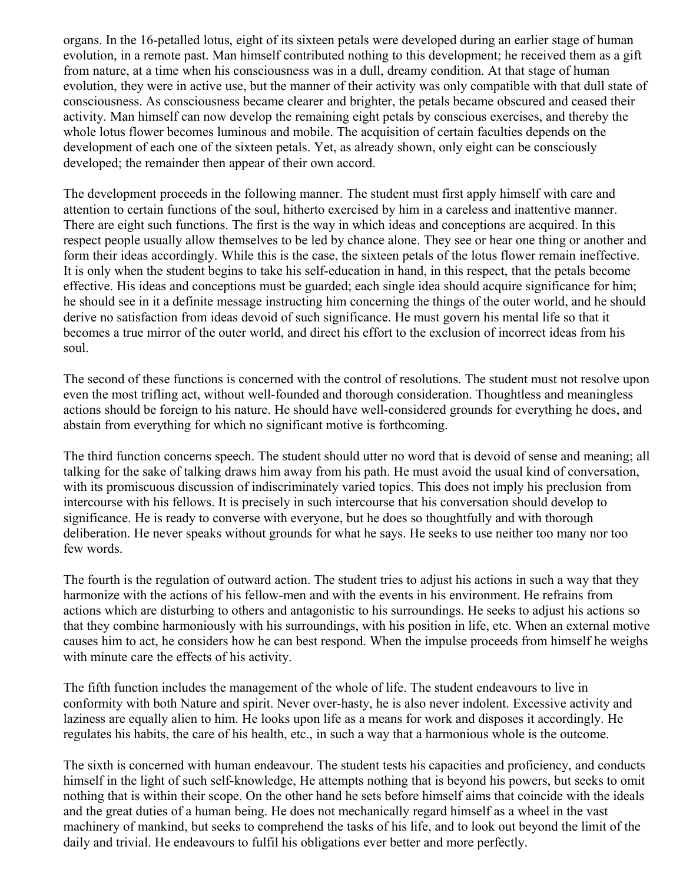organs. In the 16-petalled lotus, eight of its sixteen petals were developed during an earlier stage of human evolution, in a remote past. Man himself contributed nothing to this development; he received them as a gift from nature, at a time when his consciousness was in a dull, dreamy condition. At that stage of human evolution, they were in active use, but the manner of their activity was only compatible with that dull state of consciousness. As consciousness became clearer and brighter, the petals became obscured and ceased their activity. Man himself can now develop the remaining eight petals by conscious exercises, and thereby the whole lotus flower becomes luminous and mobile. The acquisition of certain faculties depends on the development of each one of the sixteen petals. Yet, as already shown, only eight can be consciously developed; the remainder then appear of their own accord.

The development proceeds in the following manner. The student must first apply himself with care and attention to certain functions of the soul, hitherto exercised by him in a careless and inattentive manner. There are eight such functions. The first is the way in which ideas and conceptions are acquired. In this respect people usually allow themselves to be led by chance alone. They see or hear one thing or another and form their ideas accordingly. While this is the case, the sixteen petals of the lotus flower remain ineffective. It is only when the student begins to take his self-education in hand, in this respect, that the petals become effective. His ideas and conceptions must be guarded; each single idea should acquire significance for him; he should see in it a definite message instructing him concerning the things of the outer world, and he should derive no satisfaction from ideas devoid of such significance. He must govern his mental life so that it becomes a true mirror of the outer world, and direct his effort to the exclusion of incorrect ideas from his soul.

The second of these functions is concerned with the control of resolutions. The student must not resolve upon even the most trifling act, without well-founded and thorough consideration. Thoughtless and meaningless actions should be foreign to his nature. He should have well-considered grounds for everything he does, and abstain from everything for which no significant motive is forthcoming.

The third function concerns speech. The student should utter no word that is devoid of sense and meaning; all talking for the sake of talking draws him away from his path. He must avoid the usual kind of conversation, with its promiscuous discussion of indiscriminately varied topics. This does not imply his preclusion from intercourse with his fellows. It is precisely in such intercourse that his conversation should develop to significance. He is ready to converse with everyone, but he does so thoughtfully and with thorough deliberation. He never speaks without grounds for what he says. He seeks to use neither too many nor too few words.

The fourth is the regulation of outward action. The student tries to adjust his actions in such a way that they harmonize with the actions of his fellow-men and with the events in his environment. He refrains from actions which are disturbing to others and antagonistic to his surroundings. He seeks to adjust his actions so that they combine harmoniously with his surroundings, with his position in life, etc. When an external motive causes him to act, he considers how he can best respond. When the impulse proceeds from himself he weighs with minute care the effects of his activity.

The fifth function includes the management of the whole of life. The student endeavours to live in conformity with both Nature and spirit. Never over-hasty, he is also never indolent. Excessive activity and laziness are equally alien to him. He looks upon life as a means for work and disposes it accordingly. He regulates his habits, the care of his health, etc., in such a way that a harmonious whole is the outcome.

The sixth is concerned with human endeavour. The student tests his capacities and proficiency, and conducts himself in the light of such self-knowledge, He attempts nothing that is beyond his powers, but seeks to omit nothing that is within their scope. On the other hand he sets before himself aims that coincide with the ideals and the great duties of a human being. He does not mechanically regard himself as a wheel in the vast machinery of mankind, but seeks to comprehend the tasks of his life, and to look out beyond the limit of the daily and trivial. He endeavours to fulfil his obligations ever better and more perfectly.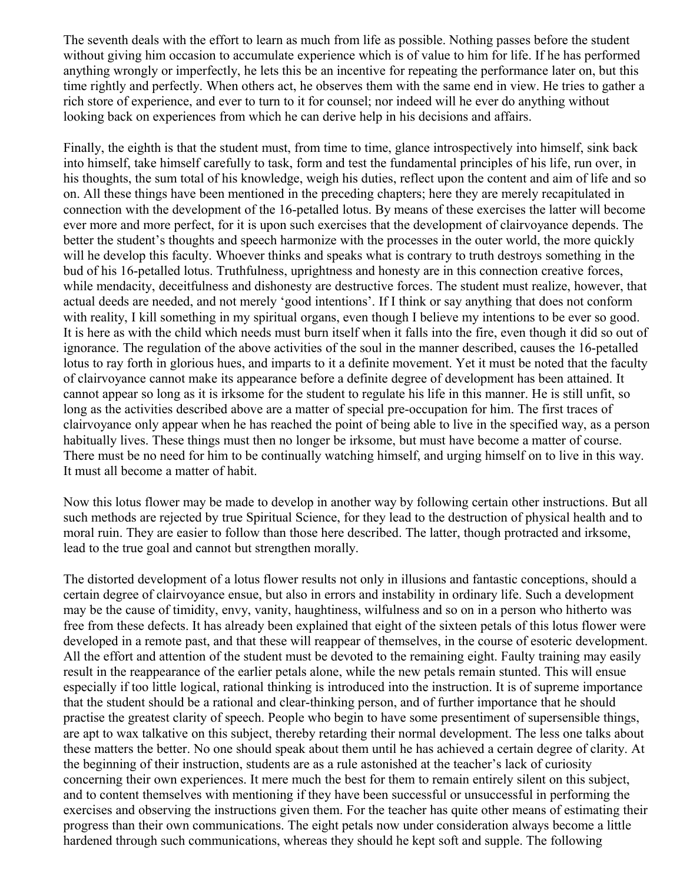The seventh deals with the effort to learn as much from life as possible. Nothing passes before the student without giving him occasion to accumulate experience which is of value to him for life. If he has performed anything wrongly or imperfectly, he lets this be an incentive for repeating the performance later on, but this time rightly and perfectly. When others act, he observes them with the same end in view. He tries to gather a rich store of experience, and ever to turn to it for counsel; nor indeed will he ever do anything without looking back on experiences from which he can derive help in his decisions and affairs.

Finally, the eighth is that the student must, from time to time, glance introspectively into himself, sink back into himself, take himself carefully to task, form and test the fundamental principles of his life, run over, in his thoughts, the sum total of his knowledge, weigh his duties, reflect upon the content and aim of life and so on. All these things have been mentioned in the preceding chapters; here they are merely recapitulated in connection with the development of the 16-petalled lotus. By means of these exercises the latter will become ever more and more perfect, for it is upon such exercises that the development of clairvoyance depends. The better the student's thoughts and speech harmonize with the processes in the outer world, the more quickly will he develop this faculty. Whoever thinks and speaks what is contrary to truth destroys something in the bud of his 16-petalled lotus. Truthfulness, uprightness and honesty are in this connection creative forces, while mendacity, deceitfulness and dishonesty are destructive forces. The student must realize, however, that actual deeds are needed, and not merely 'good intentions'. If I think or say anything that does not conform with reality, I kill something in my spiritual organs, even though I believe my intentions to be ever so good. It is here as with the child which needs must burn itself when it falls into the fire, even though it did so out of ignorance. The regulation of the above activities of the soul in the manner described, causes the 16-petalled lotus to ray forth in glorious hues, and imparts to it a definite movement. Yet it must be noted that the faculty of clairvoyance cannot make its appearance before a definite degree of development has been attained. It cannot appear so long as it is irksome for the student to regulate his life in this manner. He is still unfit, so long as the activities described above are a matter of special pre-occupation for him. The first traces of clairvoyance only appear when he has reached the point of being able to live in the specified way, as a person habitually lives. These things must then no longer be irksome, but must have become a matter of course. There must be no need for him to be continually watching himself, and urging himself on to live in this way. It must all become a matter of habit.

Now this lotus flower may be made to develop in another way by following certain other instructions. But all such methods are rejected by true Spiritual Science, for they lead to the destruction of physical health and to moral ruin. They are easier to follow than those here described. The latter, though protracted and irksome, lead to the true goal and cannot but strengthen morally.

The distorted development of a lotus flower results not only in illusions and fantastic conceptions, should a certain degree of clairvoyance ensue, but also in errors and instability in ordinary life. Such a development may be the cause of timidity, envy, vanity, haughtiness, wilfulness and so on in a person who hitherto was free from these defects. It has already been explained that eight of the sixteen petals of this lotus flower were developed in a remote past, and that these will reappear of themselves, in the course of esoteric development. All the effort and attention of the student must be devoted to the remaining eight. Faulty training may easily result in the reappearance of the earlier petals alone, while the new petals remain stunted. This will ensue especially if too little logical, rational thinking is introduced into the instruction. It is of supreme importance that the student should be a rational and clear-thinking person, and of further importance that he should practise the greatest clarity of speech. People who begin to have some presentiment of supersensible things, are apt to wax talkative on this subject, thereby retarding their normal development. The less one talks about these matters the better. No one should speak about them until he has achieved a certain degree of clarity. At the beginning of their instruction, students are as a rule astonished at the teacher's lack of curiosity concerning their own experiences. It mere much the best for them to remain entirely silent on this subject, and to content themselves with mentioning if they have been successful or unsuccessful in performing the exercises and observing the instructions given them. For the teacher has quite other means of estimating their progress than their own communications. The eight petals now under consideration always become a little hardened through such communications, whereas they should he kept soft and supple. The following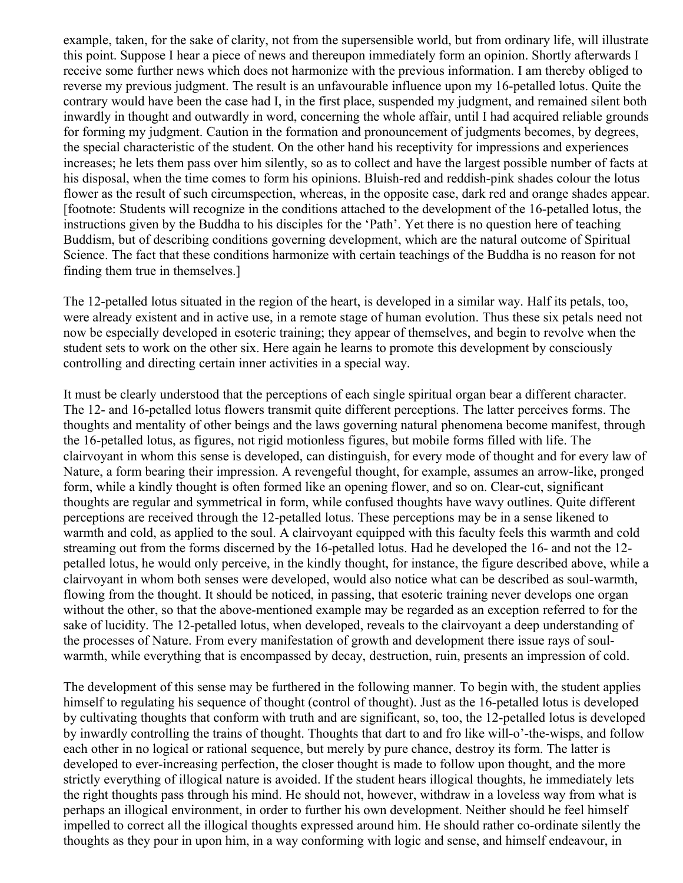example, taken, for the sake of clarity, not from the supersensible world, but from ordinary life, will illustrate this point. Suppose I hear a piece of news and thereupon immediately form an opinion. Shortly afterwards I receive some further news which does not harmonize with the previous information. I am thereby obliged to reverse my previous judgment. The result is an unfavourable influence upon my 16-petalled lotus. Quite the contrary would have been the case had I, in the first place, suspended my judgment, and remained silent both inwardly in thought and outwardly in word, concerning the whole affair, until I had acquired reliable grounds for forming my judgment. Caution in the formation and pronouncement of judgments becomes, by degrees, the special characteristic of the student. On the other hand his receptivity for impressions and experiences increases; he lets them pass over him silently, so as to collect and have the largest possible number of facts at his disposal, when the time comes to form his opinions. Bluish-red and reddish-pink shades colour the lotus flower as the result of such circumspection, whereas, in the opposite case, dark red and orange shades appear. [footnote: Students will recognize in the conditions attached to the development of the 16-petalled lotus, the instructions given by the Buddha to his disciples for the 'Path'. Yet there is no question here of teaching Buddism, but of describing conditions governing development, which are the natural outcome of Spiritual Science. The fact that these conditions harmonize with certain teachings of the Buddha is no reason for not finding them true in themselves.]

The 12-petalled lotus situated in the region of the heart, is developed in a similar way. Half its petals, too, were already existent and in active use, in a remote stage of human evolution. Thus these six petals need not now be especially developed in esoteric training; they appear of themselves, and begin to revolve when the student sets to work on the other six. Here again he learns to promote this development by consciously controlling and directing certain inner activities in a special way.

It must be clearly understood that the perceptions of each single spiritual organ bear a different character. The 12- and 16-petalled lotus flowers transmit quite different perceptions. The latter perceives forms. The thoughts and mentality of other beings and the laws governing natural phenomena become manifest, through the 16-petalled lotus, as figures, not rigid motionless figures, but mobile forms filled with life. The clairvoyant in whom this sense is developed, can distinguish, for every mode of thought and for every law of Nature, a form bearing their impression. A revengeful thought, for example, assumes an arrow-like, pronged form, while a kindly thought is often formed like an opening flower, and so on. Clear-cut, significant thoughts are regular and symmetrical in form, while confused thoughts have wavy outlines. Quite different perceptions are received through the 12-petalled lotus. These perceptions may be in a sense likened to warmth and cold, as applied to the soul. A clairvoyant equipped with this faculty feels this warmth and cold streaming out from the forms discerned by the 16-petalled lotus. Had he developed the 16- and not the 12 petalled lotus, he would only perceive, in the kindly thought, for instance, the figure described above, while a clairvoyant in whom both senses were developed, would also notice what can be described as soul-warmth, flowing from the thought. It should be noticed, in passing, that esoteric training never develops one organ without the other, so that the above-mentioned example may be regarded as an exception referred to for the sake of lucidity. The 12-petalled lotus, when developed, reveals to the clairvoyant a deep understanding of the processes of Nature. From every manifestation of growth and development there issue rays of soulwarmth, while everything that is encompassed by decay, destruction, ruin, presents an impression of cold.

The development of this sense may be furthered in the following manner. To begin with, the student applies himself to regulating his sequence of thought (control of thought). Just as the 16-petalled lotus is developed by cultivating thoughts that conform with truth and are significant, so, too, the 12-petalled lotus is developed by inwardly controlling the trains of thought. Thoughts that dart to and fro like will-o'-the-wisps, and follow each other in no logical or rational sequence, but merely by pure chance, destroy its form. The latter is developed to ever-increasing perfection, the closer thought is made to follow upon thought, and the more strictly everything of illogical nature is avoided. If the student hears illogical thoughts, he immediately lets the right thoughts pass through his mind. He should not, however, withdraw in a loveless way from what is perhaps an illogical environment, in order to further his own development. Neither should he feel himself impelled to correct all the illogical thoughts expressed around him. He should rather co-ordinate silently the thoughts as they pour in upon him, in a way conforming with logic and sense, and himself endeavour, in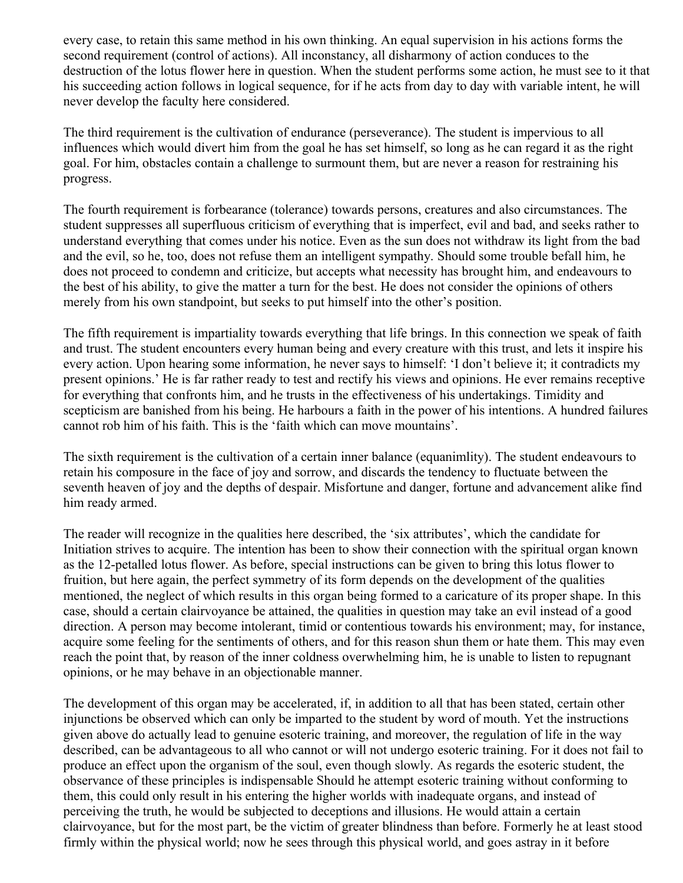every case, to retain this same method in his own thinking. An equal supervision in his actions forms the second requirement (control of actions). All inconstancy, all disharmony of action conduces to the destruction of the lotus flower here in question. When the student performs some action, he must see to it that his succeeding action follows in logical sequence, for if he acts from day to day with variable intent, he will never develop the faculty here considered.

The third requirement is the cultivation of endurance (perseverance). The student is impervious to all influences which would divert him from the goal he has set himself, so long as he can regard it as the right goal. For him, obstacles contain a challenge to surmount them, but are never a reason for restraining his progress.

The fourth requirement is forbearance (tolerance) towards persons, creatures and also circumstances. The student suppresses all superfluous criticism of everything that is imperfect, evil and bad, and seeks rather to understand everything that comes under his notice. Even as the sun does not withdraw its light from the bad and the evil, so he, too, does not refuse them an intelligent sympathy. Should some trouble befall him, he does not proceed to condemn and criticize, but accepts what necessity has brought him, and endeavours to the best of his ability, to give the matter a turn for the best. He does not consider the opinions of others merely from his own standpoint, but seeks to put himself into the other's position.

The fifth requirement is impartiality towards everything that life brings. In this connection we speak of faith and trust. The student encounters every human being and every creature with this trust, and lets it inspire his every action. Upon hearing some information, he never says to himself: 'I don't believe it; it contradicts my present opinions.' He is far rather ready to test and rectify his views and opinions. He ever remains receptive for everything that confronts him, and he trusts in the effectiveness of his undertakings. Timidity and scepticism are banished from his being. He harbours a faith in the power of his intentions. A hundred failures cannot rob him of his faith. This is the 'faith which can move mountains'.

The sixth requirement is the cultivation of a certain inner balance (equanimlity). The student endeavours to retain his composure in the face of joy and sorrow, and discards the tendency to fluctuate between the seventh heaven of joy and the depths of despair. Misfortune and danger, fortune and advancement alike find him ready armed.

The reader will recognize in the qualities here described, the 'six attributes', which the candidate for Initiation strives to acquire. The intention has been to show their connection with the spiritual organ known as the 12-petalled lotus flower. As before, special instructions can be given to bring this lotus flower to fruition, but here again, the perfect symmetry of its form depends on the development of the qualities mentioned, the neglect of which results in this organ being formed to a caricature of its proper shape. In this case, should a certain clairvoyance be attained, the qualities in question may take an evil instead of a good direction. A person may become intolerant, timid or contentious towards his environment; may, for instance, acquire some feeling for the sentiments of others, and for this reason shun them or hate them. This may even reach the point that, by reason of the inner coldness overwhelming him, he is unable to listen to repugnant opinions, or he may behave in an objectionable manner.

The development of this organ may be accelerated, if, in addition to all that has been stated, certain other injunctions be observed which can only be imparted to the student by word of mouth. Yet the instructions given above do actually lead to genuine esoteric training, and moreover, the regulation of life in the way described, can be advantageous to all who cannot or will not undergo esoteric training. For it does not fail to produce an effect upon the organism of the soul, even though slowly. As regards the esoteric student, the observance of these principles is indispensable Should he attempt esoteric training without conforming to them, this could only result in his entering the higher worlds with inadequate organs, and instead of perceiving the truth, he would be subjected to deceptions and illusions. He would attain a certain clairvoyance, but for the most part, be the victim of greater blindness than before. Formerly he at least stood firmly within the physical world; now he sees through this physical world, and goes astray in it before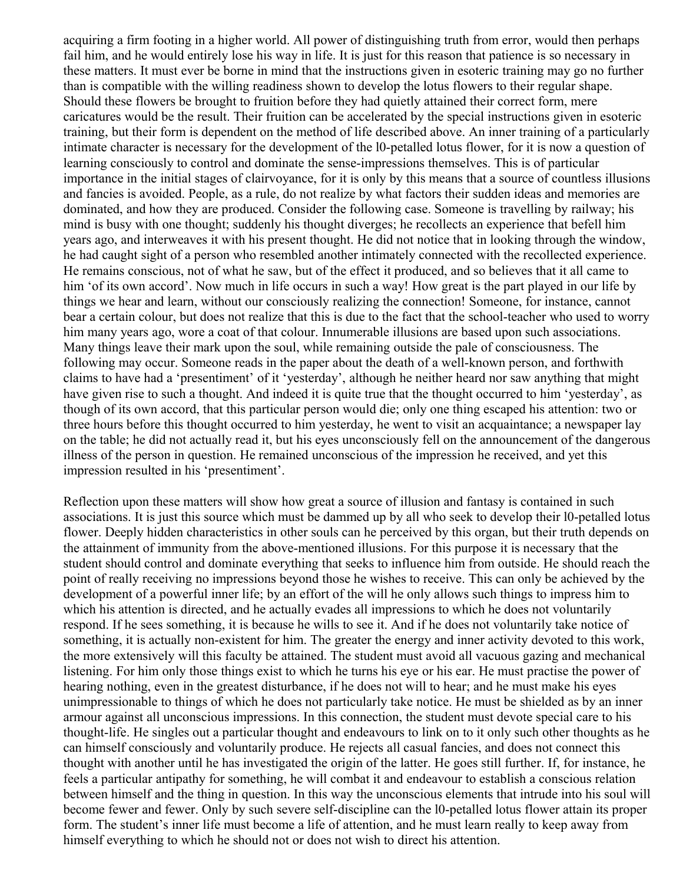acquiring a firm footing in a higher world. All power of distinguishing truth from error, would then perhaps fail him, and he would entirely lose his way in life. It is just for this reason that patience is so necessary in these matters. It must ever be borne in mind that the instructions given in esoteric training may go no further than is compatible with the willing readiness shown to develop the lotus flowers to their regular shape. Should these flowers be brought to fruition before they had quietly attained their correct form, mere caricatures would be the result. Their fruition can be accelerated by the special instructions given in esoteric training, but their form is dependent on the method of life described above. An inner training of a particularly intimate character is necessary for the development of the l0-petalled lotus flower, for it is now a question of learning consciously to control and dominate the sense-impressions themselves. This is of particular importance in the initial stages of clairvoyance, for it is only by this means that a source of countless illusions and fancies is avoided. People, as a rule, do not realize by what factors their sudden ideas and memories are dominated, and how they are produced. Consider the following case. Someone is travelling by railway; his mind is busy with one thought; suddenly his thought diverges; he recollects an experience that befell him years ago, and interweaves it with his present thought. He did not notice that in looking through the window, he had caught sight of a person who resembled another intimately connected with the recollected experience. He remains conscious, not of what he saw, but of the effect it produced, and so believes that it all came to him 'of its own accord'. Now much in life occurs in such a way! How great is the part played in our life by things we hear and learn, without our consciously realizing the connection! Someone, for instance, cannot bear a certain colour, but does not realize that this is due to the fact that the school-teacher who used to worry him many years ago, wore a coat of that colour. Innumerable illusions are based upon such associations. Many things leave their mark upon the soul, while remaining outside the pale of consciousness. The following may occur. Someone reads in the paper about the death of a well-known person, and forthwith claims to have had a 'presentiment' of it 'yesterday', although he neither heard nor saw anything that might have given rise to such a thought. And indeed it is quite true that the thought occurred to him 'vesterday', as though of its own accord, that this particular person would die; only one thing escaped his attention: two or three hours before this thought occurred to him yesterday, he went to visit an acquaintance; a newspaper lay on the table; he did not actually read it, but his eyes unconsciously fell on the announcement of the dangerous illness of the person in question. He remained unconscious of the impression he received, and yet this impression resulted in his 'presentiment'.

Reflection upon these matters will show how great a source of illusion and fantasy is contained in such associations. It is just this source which must be dammed up by all who seek to develop their l0-petalled lotus flower. Deeply hidden characteristics in other souls can he perceived by this organ, but their truth depends on the attainment of immunity from the above-mentioned illusions. For this purpose it is necessary that the student should control and dominate everything that seeks to influence him from outside. He should reach the point of really receiving no impressions beyond those he wishes to receive. This can only be achieved by the development of a powerful inner life; by an effort of the will he only allows such things to impress him to which his attention is directed, and he actually evades all impressions to which he does not voluntarily respond. If he sees something, it is because he wills to see it. And if he does not voluntarily take notice of something, it is actually non-existent for him. The greater the energy and inner activity devoted to this work, the more extensively will this faculty be attained. The student must avoid all vacuous gazing and mechanical listening. For him only those things exist to which he turns his eye or his ear. He must practise the power of hearing nothing, even in the greatest disturbance, if he does not will to hear; and he must make his eyes unimpressionable to things of which he does not particularly take notice. He must be shielded as by an inner armour against all unconscious impressions. In this connection, the student must devote special care to his thought-life. He singles out a particular thought and endeavours to link on to it only such other thoughts as he can himself consciously and voluntarily produce. He rejects all casual fancies, and does not connect this thought with another until he has investigated the origin of the latter. He goes still further. If, for instance, he feels a particular antipathy for something, he will combat it and endeavour to establish a conscious relation between himself and the thing in question. In this way the unconscious elements that intrude into his soul will become fewer and fewer. Only by such severe self-discipline can the l0-petalled lotus flower attain its proper form. The student's inner life must become a life of attention, and he must learn really to keep away from himself everything to which he should not or does not wish to direct his attention.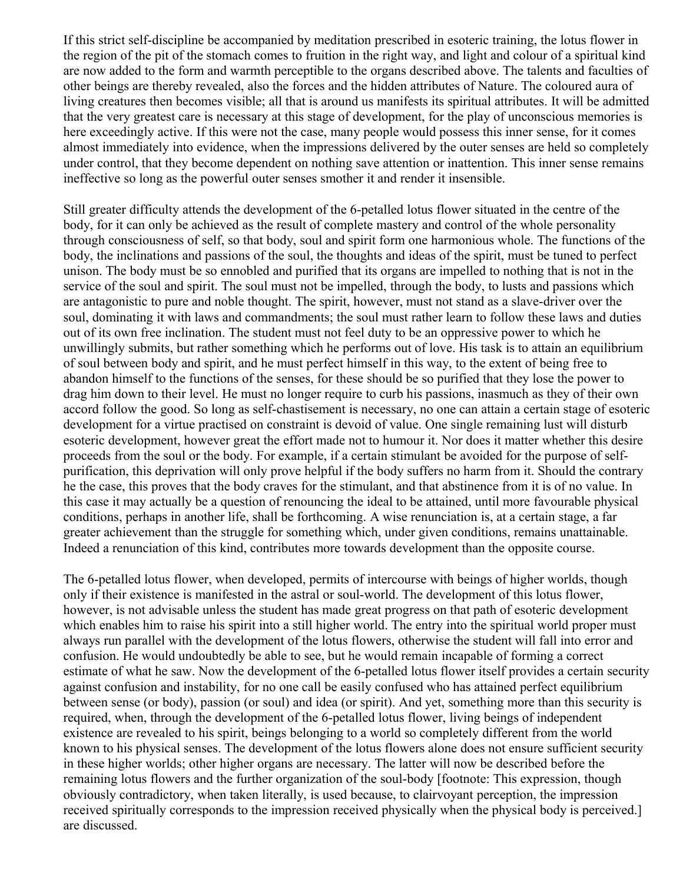If this strict self-discipline be accompanied by meditation prescribed in esoteric training, the lotus flower in the region of the pit of the stomach comes to fruition in the right way, and light and colour of a spiritual kind are now added to the form and warmth perceptible to the organs described above. The talents and faculties of other beings are thereby revealed, also the forces and the hidden attributes of Nature. The coloured aura of living creatures then becomes visible; all that is around us manifests its spiritual attributes. It will be admitted that the very greatest care is necessary at this stage of development, for the play of unconscious memories is here exceedingly active. If this were not the case, many people would possess this inner sense, for it comes almost immediately into evidence, when the impressions delivered by the outer senses are held so completely under control, that they become dependent on nothing save attention or inattention. This inner sense remains ineffective so long as the powerful outer senses smother it and render it insensible.

Still greater difficulty attends the development of the 6-petalled lotus flower situated in the centre of the body, for it can only be achieved as the result of complete mastery and control of the whole personality through consciousness of self, so that body, soul and spirit form one harmonious whole. The functions of the body, the inclinations and passions of the soul, the thoughts and ideas of the spirit, must be tuned to perfect unison. The body must be so ennobled and purified that its organs are impelled to nothing that is not in the service of the soul and spirit. The soul must not be impelled, through the body, to lusts and passions which are antagonistic to pure and noble thought. The spirit, however, must not stand as a slave-driver over the soul, dominating it with laws and commandments; the soul must rather learn to follow these laws and duties out of its own free inclination. The student must not feel duty to be an oppressive power to which he unwillingly submits, but rather something which he performs out of love. His task is to attain an equilibrium of soul between body and spirit, and he must perfect himself in this way, to the extent of being free to abandon himself to the functions of the senses, for these should be so purified that they lose the power to drag him down to their level. He must no longer require to curb his passions, inasmuch as they of their own accord follow the good. So long as self-chastisement is necessary, no one can attain a certain stage of esoteric development for a virtue practised on constraint is devoid of value. One single remaining lust will disturb esoteric development, however great the effort made not to humour it. Nor does it matter whether this desire proceeds from the soul or the body. For example, if a certain stimulant be avoided for the purpose of selfpurification, this deprivation will only prove helpful if the body suffers no harm from it. Should the contrary he the case, this proves that the body craves for the stimulant, and that abstinence from it is of no value. In this case it may actually be a question of renouncing the ideal to be attained, until more favourable physical conditions, perhaps in another life, shall be forthcoming. A wise renunciation is, at a certain stage, a far greater achievement than the struggle for something which, under given conditions, remains unattainable. Indeed a renunciation of this kind, contributes more towards development than the opposite course.

The 6-petalled lotus flower, when developed, permits of intercourse with beings of higher worlds, though only if their existence is manifested in the astral or soul-world. The development of this lotus flower, however, is not advisable unless the student has made great progress on that path of esoteric development which enables him to raise his spirit into a still higher world. The entry into the spiritual world proper must always run parallel with the development of the lotus flowers, otherwise the student will fall into error and confusion. He would undoubtedly be able to see, but he would remain incapable of forming a correct estimate of what he saw. Now the development of the 6-petalled lotus flower itself provides a certain security against confusion and instability, for no one call be easily confused who has attained perfect equilibrium between sense (or body), passion (or soul) and idea (or spirit). And yet, something more than this security is required, when, through the development of the 6-petalled lotus flower, living beings of independent existence are revealed to his spirit, beings belonging to a world so completely different from the world known to his physical senses. The development of the lotus flowers alone does not ensure sufficient security in these higher worlds; other higher organs are necessary. The latter will now be described before the remaining lotus flowers and the further organization of the soul-body [footnote: This expression, though obviously contradictory, when taken literally, is used because, to clairvoyant perception, the impression received spiritually corresponds to the impression received physically when the physical body is perceived.] are discussed.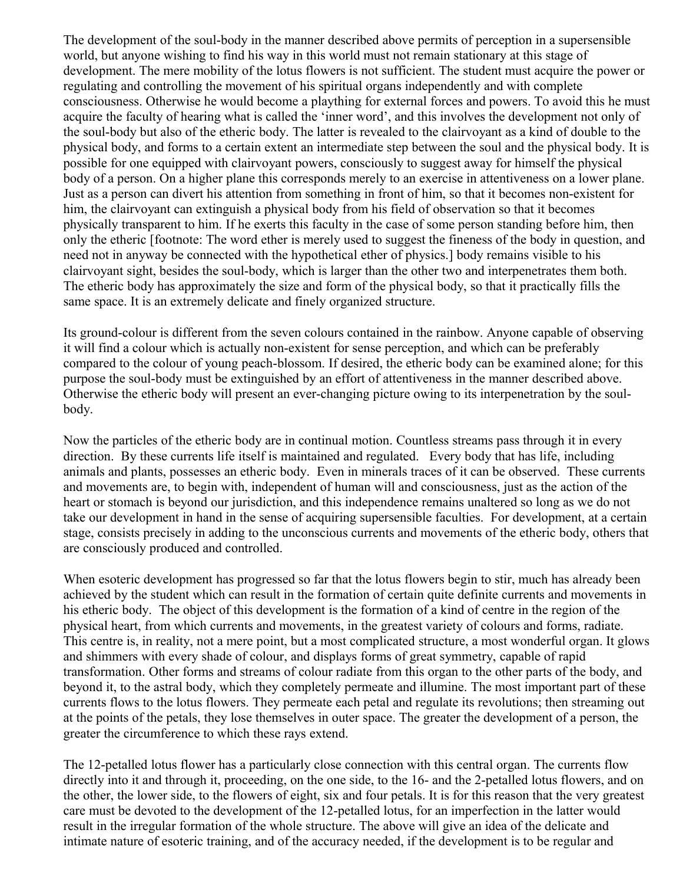The development of the soul-body in the manner described above permits of perception in a supersensible world, but anyone wishing to find his way in this world must not remain stationary at this stage of development. The mere mobility of the lotus flowers is not sufficient. The student must acquire the power or regulating and controlling the movement of his spiritual organs independently and with complete consciousness. Otherwise he would become a plaything for external forces and powers. To avoid this he must acquire the faculty of hearing what is called the 'inner word', and this involves the development not only of the soul-body but also of the etheric body. The latter is revealed to the clairvoyant as a kind of double to the physical body, and forms to a certain extent an intermediate step between the soul and the physical body. It is possible for one equipped with clairvoyant powers, consciously to suggest away for himself the physical body of a person. On a higher plane this corresponds merely to an exercise in attentiveness on a lower plane. Just as a person can divert his attention from something in front of him, so that it becomes non-existent for him, the clairvoyant can extinguish a physical body from his field of observation so that it becomes physically transparent to him. If he exerts this faculty in the case of some person standing before him, then only the etheric [footnote: The word ether is merely used to suggest the fineness of the body in question, and need not in anyway be connected with the hypothetical ether of physics.] body remains visible to his clairvoyant sight, besides the soul-body, which is larger than the other two and interpenetrates them both. The etheric body has approximately the size and form of the physical body, so that it practically fills the same space. It is an extremely delicate and finely organized structure.

Its ground-colour is different from the seven colours contained in the rainbow. Anyone capable of observing it will find a colour which is actually non-existent for sense perception, and which can be preferably compared to the colour of young peach-blossom. If desired, the etheric body can be examined alone; for this purpose the soul-body must be extinguished by an effort of attentiveness in the manner described above. Otherwise the etheric body will present an ever-changing picture owing to its interpenetration by the soulbody.

Now the particles of the etheric body are in continual motion. Countless streams pass through it in every direction. By these currents life itself is maintained and regulated. Every body that has life, including animals and plants, possesses an etheric body. Even in minerals traces of it can be observed. These currents and movements are, to begin with, independent of human will and consciousness, just as the action of the heart or stomach is beyond our jurisdiction, and this independence remains unaltered so long as we do not take our development in hand in the sense of acquiring supersensible faculties. For development, at a certain stage, consists precisely in adding to the unconscious currents and movements of the etheric body, others that are consciously produced and controlled.

When esoteric development has progressed so far that the lotus flowers begin to stir, much has already been achieved by the student which can result in the formation of certain quite definite currents and movements in his etheric body. The object of this development is the formation of a kind of centre in the region of the physical heart, from which currents and movements, in the greatest variety of colours and forms, radiate. This centre is, in reality, not a mere point, but a most complicated structure, a most wonderful organ. It glows and shimmers with every shade of colour, and displays forms of great symmetry, capable of rapid transformation. Other forms and streams of colour radiate from this organ to the other parts of the body, and beyond it, to the astral body, which they completely permeate and illumine. The most important part of these currents flows to the lotus flowers. They permeate each petal and regulate its revolutions; then streaming out at the points of the petals, they lose themselves in outer space. The greater the development of a person, the greater the circumference to which these rays extend.

The 12-petalled lotus flower has a particularly close connection with this central organ. The currents flow directly into it and through it, proceeding, on the one side, to the 16- and the 2-petalled lotus flowers, and on the other, the lower side, to the flowers of eight, six and four petals. It is for this reason that the very greatest care must be devoted to the development of the 12-petalled lotus, for an imperfection in the latter would result in the irregular formation of the whole structure. The above will give an idea of the delicate and intimate nature of esoteric training, and of the accuracy needed, if the development is to be regular and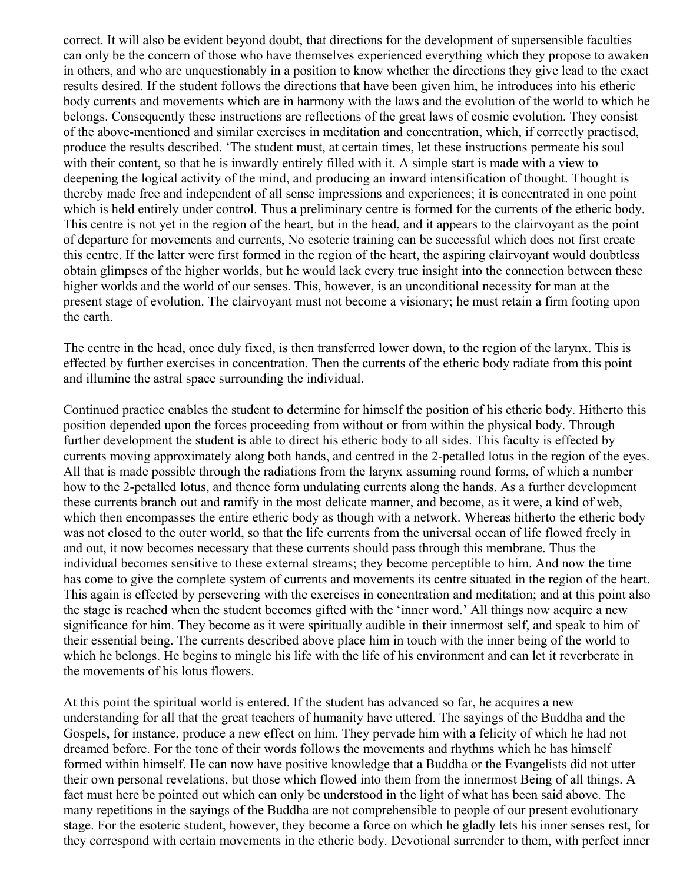correct. It will also be evident beyond doubt, that directions for the development of supersensible faculties can only be the concern of those who have themselves experienced everything which they propose to awaken in others, and who are unquestionably in a position to know whether the directions they give lead to the exact results desired. If the student follows the directions that have been given him, he introduces into his etheric body currents and movements which are in harmony with the laws and the evolution of the world to which he belongs. Consequently these instructions are reflections of the great laws of cosmic evolution. They consist of the above-mentioned and similar exercises in meditation and concentration, which, if correctly practised, produce the results described. 'The student must, at certain times, let these instructions permeate his soul with their content, so that he is inwardly entirely filled with it. A simple start is made with a view to deepening the logical activity of the mind, and producing an inward intensification of thought. Thought is thereby made free and independent of all sense impressions and experiences; it is concentrated in one point which is held entirely under control. Thus a preliminary centre is formed for the currents of the etheric body. This centre is not yet in the region of the heart, but in the head, and it appears to the clairvoyant as the point of departure for movements and currents, No esoteric training can be successful which does not first create this centre. If the latter were first formed in the region of the heart, the aspiring clairvoyant would doubtless obtain glimpses of the higher worlds, but he would lack every true insight into the connection between these higher worlds and the world of our senses. This, however, is an unconditional necessity for man at the present stage of evolution. The clairvoyant must not become a visionary; he must retain a firm footing upon the earth.

The centre in the head, once duly fixed, is then transferred lower down, to the region of the larynx. This is effected by further exercises in concentration. Then the currents of the etheric body radiate from this point and illumine the astral space surrounding the individual.

Continued practice enables the student to determine for himself the position of his etheric body. Hitherto this position depended upon the forces proceeding from without or from within the physical body. Through further development the student is able to direct his etheric body to all sides. This faculty is effected by currents moving approximately along both hands, and centred in the 2-petalled lotus in the region of the eyes. All that is made possible through the radiations from the larynx assuming round forms, of which a number how to the 2-petalled lotus, and thence form undulating currents along the hands. As a further development these currents branch out and ramify in the most delicate manner, and become, as it were, a kind of web, which then encompasses the entire etheric body as though with a network. Whereas hitherto the etheric body was not closed to the outer world, so that the life currents from the universal ocean of life flowed freely in and out, it now becomes necessary that these currents should pass through this membrane. Thus the individual becomes sensitive to these external streams; they become perceptible to him. And now the time has come to give the complete system of currents and movements its centre situated in the region of the heart. This again is effected by persevering with the exercises in concentration and meditation; and at this point also the stage is reached when the student becomes gifted with the 'inner word.' All things now acquire a new significance for him. They become as it were spiritually audible in their innermost self, and speak to him of their essential being. The currents described above place him in touch with the inner being of the world to which he belongs. He begins to mingle his life with the life of his environment and can let it reverberate in the movements of his lotus flowers.

At this point the spiritual world is entered. If the student has advanced so far, he acquires a new understanding for all that the great teachers of humanity have uttered. The sayings of the Buddha and the Gospels, for instance, produce a new effect on him. They pervade him with a felicity of which he had not dreamed before. For the tone of their words follows the movements and rhythms which he has himself formed within himself. He can now have positive knowledge that a Buddha or the Evangelists did not utter their own personal revelations, but those which flowed into them from the innermost Being of all things. A fact must here be pointed out which can only be understood in the light of what has been said above. The many repetitions in the sayings of the Buddha are not comprehensible to people of our present evolutionary stage. For the esoteric student, however, they become a force on which he gladly lets his inner senses rest, for they correspond with certain movements in the etheric body. Devotional surrender to them, with perfect inner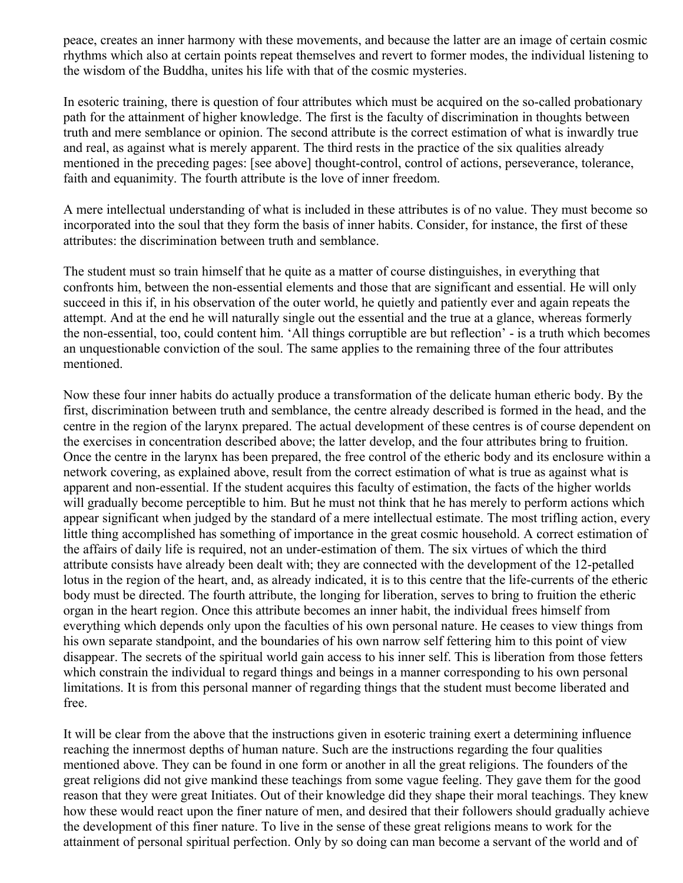peace, creates an inner harmony with these movements, and because the latter are an image of certain cosmic rhythms which also at certain points repeat themselves and revert to former modes, the individual listening to the wisdom of the Buddha, unites his life with that of the cosmic mysteries.

In esoteric training, there is question of four attributes which must be acquired on the so-called probationary path for the attainment of higher knowledge. The first is the faculty of discrimination in thoughts between truth and mere semblance or opinion. The second attribute is the correct estimation of what is inwardly true and real, as against what is merely apparent. The third rests in the practice of the six qualities already mentioned in the preceding pages: [see above] thought-control, control of actions, perseverance, tolerance, faith and equanimity. The fourth attribute is the love of inner freedom.

A mere intellectual understanding of what is included in these attributes is of no value. They must become so incorporated into the soul that they form the basis of inner habits. Consider, for instance, the first of these attributes: the discrimination between truth and semblance.

The student must so train himself that he quite as a matter of course distinguishes, in everything that confronts him, between the non-essential elements and those that are significant and essential. He will only succeed in this if, in his observation of the outer world, he quietly and patiently ever and again repeats the attempt. And at the end he will naturally single out the essential and the true at a glance, whereas formerly the non-essential, too, could content him. 'All things corruptible are but reflection' - is a truth which becomes an unquestionable conviction of the soul. The same applies to the remaining three of the four attributes mentioned.

Now these four inner habits do actually produce a transformation of the delicate human etheric body. By the first, discrimination between truth and semblance, the centre already described is formed in the head, and the centre in the region of the larynx prepared. The actual development of these centres is of course dependent on the exercises in concentration described above; the latter develop, and the four attributes bring to fruition. Once the centre in the larynx has been prepared, the free control of the etheric body and its enclosure within a network covering, as explained above, result from the correct estimation of what is true as against what is apparent and non-essential. If the student acquires this faculty of estimation, the facts of the higher worlds will gradually become perceptible to him. But he must not think that he has merely to perform actions which appear significant when judged by the standard of a mere intellectual estimate. The most trifling action, every little thing accomplished has something of importance in the great cosmic household. A correct estimation of the affairs of daily life is required, not an under-estimation of them. The six virtues of which the third attribute consists have already been dealt with; they are connected with the development of the 12-petalled lotus in the region of the heart, and, as already indicated, it is to this centre that the life-currents of the etheric body must be directed. The fourth attribute, the longing for liberation, serves to bring to fruition the etheric organ in the heart region. Once this attribute becomes an inner habit, the individual frees himself from everything which depends only upon the faculties of his own personal nature. He ceases to view things from his own separate standpoint, and the boundaries of his own narrow self fettering him to this point of view disappear. The secrets of the spiritual world gain access to his inner self. This is liberation from those fetters which constrain the individual to regard things and beings in a manner corresponding to his own personal limitations. It is from this personal manner of regarding things that the student must become liberated and free.

It will be clear from the above that the instructions given in esoteric training exert a determining influence reaching the innermost depths of human nature. Such are the instructions regarding the four qualities mentioned above. They can be found in one form or another in all the great religions. The founders of the great religions did not give mankind these teachings from some vague feeling. They gave them for the good reason that they were great Initiates. Out of their knowledge did they shape their moral teachings. They knew how these would react upon the finer nature of men, and desired that their followers should gradually achieve the development of this finer nature. To live in the sense of these great religions means to work for the attainment of personal spiritual perfection. Only by so doing can man become a servant of the world and of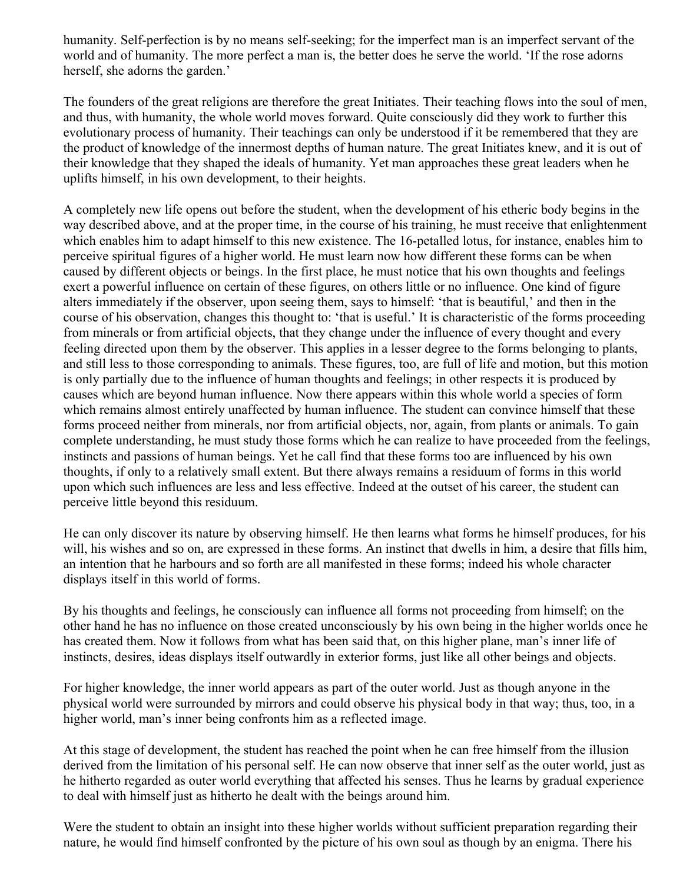humanity. Self-perfection is by no means self-seeking; for the imperfect man is an imperfect servant of the world and of humanity. The more perfect a man is, the better does he serve the world. 'If the rose adorns herself, she adorns the garden.'

The founders of the great religions are therefore the great Initiates. Their teaching flows into the soul of men, and thus, with humanity, the whole world moves forward. Quite consciously did they work to further this evolutionary process of humanity. Their teachings can only be understood if it be remembered that they are the product of knowledge of the innermost depths of human nature. The great Initiates knew, and it is out of their knowledge that they shaped the ideals of humanity. Yet man approaches these great leaders when he uplifts himself, in his own development, to their heights.

A completely new life opens out before the student, when the development of his etheric body begins in the way described above, and at the proper time, in the course of his training, he must receive that enlightenment which enables him to adapt himself to this new existence. The 16-petalled lotus, for instance, enables him to perceive spiritual figures of a higher world. He must learn now how different these forms can be when caused by different objects or beings. In the first place, he must notice that his own thoughts and feelings exert a powerful influence on certain of these figures, on others little or no influence. One kind of figure alters immediately if the observer, upon seeing them, says to himself: 'that is beautiful,' and then in the course of his observation, changes this thought to: 'that is useful.' It is characteristic of the forms proceeding from minerals or from artificial objects, that they change under the influence of every thought and every feeling directed upon them by the observer. This applies in a lesser degree to the forms belonging to plants, and still less to those corresponding to animals. These figures, too, are full of life and motion, but this motion is only partially due to the influence of human thoughts and feelings; in other respects it is produced by causes which are beyond human influence. Now there appears within this whole world a species of form which remains almost entirely unaffected by human influence. The student can convince himself that these forms proceed neither from minerals, nor from artificial objects, nor, again, from plants or animals. To gain complete understanding, he must study those forms which he can realize to have proceeded from the feelings, instincts and passions of human beings. Yet he call find that these forms too are influenced by his own thoughts, if only to a relatively small extent. But there always remains a residuum of forms in this world upon which such influences are less and less effective. Indeed at the outset of his career, the student can perceive little beyond this residuum.

He can only discover its nature by observing himself. He then learns what forms he himself produces, for his will, his wishes and so on, are expressed in these forms. An instinct that dwells in him, a desire that fills him, an intention that he harbours and so forth are all manifested in these forms; indeed his whole character displays itself in this world of forms.

By his thoughts and feelings, he consciously can influence all forms not proceeding from himself; on the other hand he has no influence on those created unconsciously by his own being in the higher worlds once he has created them. Now it follows from what has been said that, on this higher plane, man's inner life of instincts, desires, ideas displays itself outwardly in exterior forms, just like all other beings and objects.

For higher knowledge, the inner world appears as part of the outer world. Just as though anyone in the physical world were surrounded by mirrors and could observe his physical body in that way; thus, too, in a higher world, man's inner being confronts him as a reflected image.

At this stage of development, the student has reached the point when he can free himself from the illusion derived from the limitation of his personal self. He can now observe that inner self as the outer world, just as he hitherto regarded as outer world everything that affected his senses. Thus he learns by gradual experience to deal with himself just as hitherto he dealt with the beings around him.

Were the student to obtain an insight into these higher worlds without sufficient preparation regarding their nature, he would find himself confronted by the picture of his own soul as though by an enigma. There his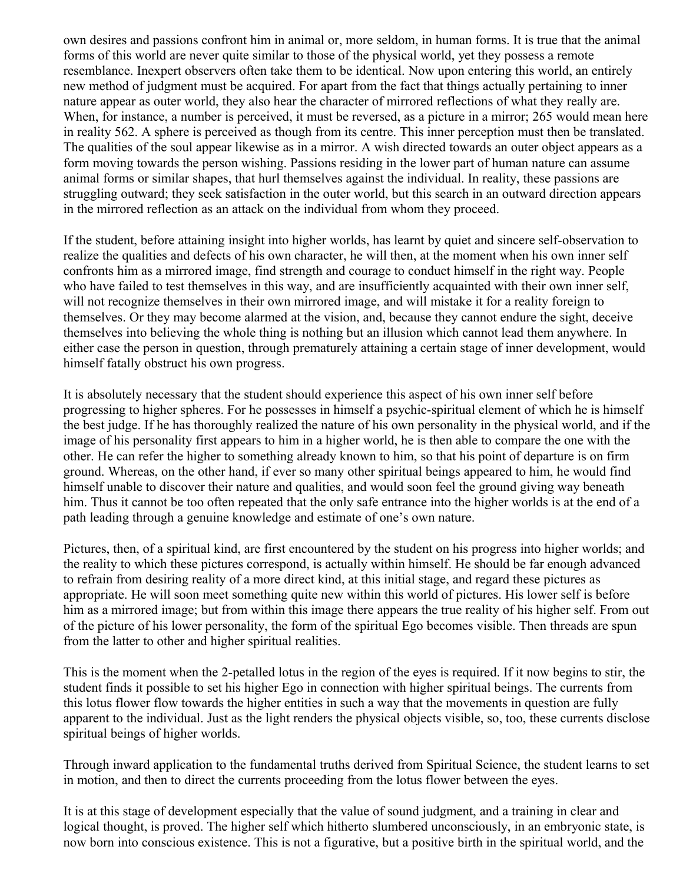own desires and passions confront him in animal or, more seldom, in human forms. It is true that the animal forms of this world are never quite similar to those of the physical world, yet they possess a remote resemblance. Inexpert observers often take them to be identical. Now upon entering this world, an entirely new method of judgment must be acquired. For apart from the fact that things actually pertaining to inner nature appear as outer world, they also hear the character of mirrored reflections of what they really are. When, for instance, a number is perceived, it must be reversed, as a picture in a mirror; 265 would mean here in reality 562. A sphere is perceived as though from its centre. This inner perception must then be translated. The qualities of the soul appear likewise as in a mirror. A wish directed towards an outer object appears as a form moving towards the person wishing. Passions residing in the lower part of human nature can assume animal forms or similar shapes, that hurl themselves against the individual. In reality, these passions are struggling outward; they seek satisfaction in the outer world, but this search in an outward direction appears in the mirrored reflection as an attack on the individual from whom they proceed.

If the student, before attaining insight into higher worlds, has learnt by quiet and sincere self-observation to realize the qualities and defects of his own character, he will then, at the moment when his own inner self confronts him as a mirrored image, find strength and courage to conduct himself in the right way. People who have failed to test themselves in this way, and are insufficiently acquainted with their own inner self, will not recognize themselves in their own mirrored image, and will mistake it for a reality foreign to themselves. Or they may become alarmed at the vision, and, because they cannot endure the sight, deceive themselves into believing the whole thing is nothing but an illusion which cannot lead them anywhere. In either case the person in question, through prematurely attaining a certain stage of inner development, would himself fatally obstruct his own progress.

It is absolutely necessary that the student should experience this aspect of his own inner self before progressing to higher spheres. For he possesses in himself a psychic-spiritual element of which he is himself the best judge. If he has thoroughly realized the nature of his own personality in the physical world, and if the image of his personality first appears to him in a higher world, he is then able to compare the one with the other. He can refer the higher to something already known to him, so that his point of departure is on firm ground. Whereas, on the other hand, if ever so many other spiritual beings appeared to him, he would find himself unable to discover their nature and qualities, and would soon feel the ground giving way beneath him. Thus it cannot be too often repeated that the only safe entrance into the higher worlds is at the end of a path leading through a genuine knowledge and estimate of one's own nature.

Pictures, then, of a spiritual kind, are first encountered by the student on his progress into higher worlds; and the reality to which these pictures correspond, is actually within himself. He should be far enough advanced to refrain from desiring reality of a more direct kind, at this initial stage, and regard these pictures as appropriate. He will soon meet something quite new within this world of pictures. His lower self is before him as a mirrored image; but from within this image there appears the true reality of his higher self. From out of the picture of his lower personality, the form of the spiritual Ego becomes visible. Then threads are spun from the latter to other and higher spiritual realities.

This is the moment when the 2-petalled lotus in the region of the eyes is required. If it now begins to stir, the student finds it possible to set his higher Ego in connection with higher spiritual beings. The currents from this lotus flower flow towards the higher entities in such a way that the movements in question are fully apparent to the individual. Just as the light renders the physical objects visible, so, too, these currents disclose spiritual beings of higher worlds.

Through inward application to the fundamental truths derived from Spiritual Science, the student learns to set in motion, and then to direct the currents proceeding from the lotus flower between the eyes.

It is at this stage of development especially that the value of sound judgment, and a training in clear and logical thought, is proved. The higher self which hitherto slumbered unconsciously, in an embryonic state, is now born into conscious existence. This is not a figurative, but a positive birth in the spiritual world, and the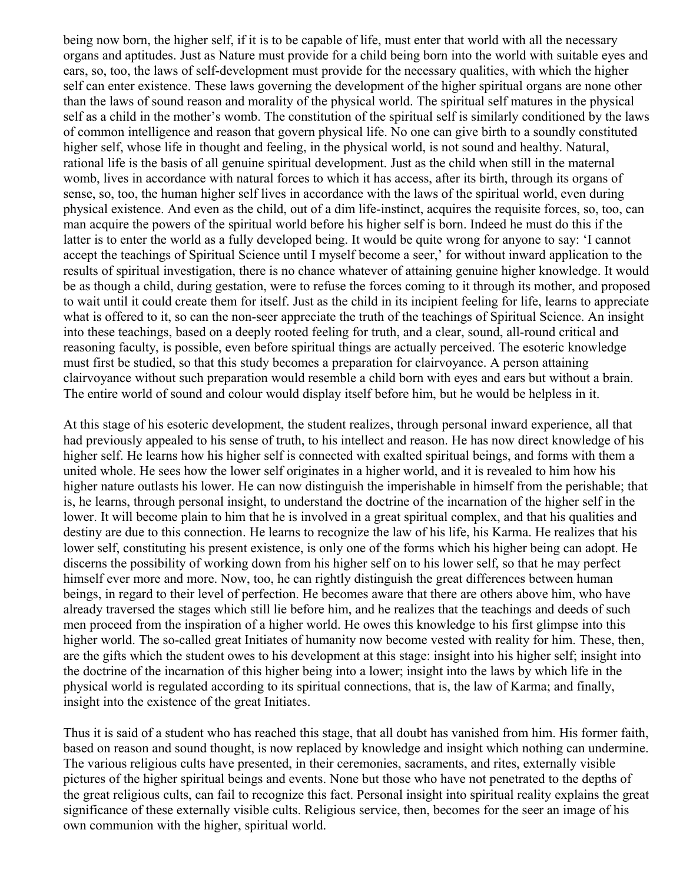being now born, the higher self, if it is to be capable of life, must enter that world with all the necessary organs and aptitudes. Just as Nature must provide for a child being born into the world with suitable eyes and ears, so, too, the laws of self-development must provide for the necessary qualities, with which the higher self can enter existence. These laws governing the development of the higher spiritual organs are none other than the laws of sound reason and morality of the physical world. The spiritual self matures in the physical self as a child in the mother's womb. The constitution of the spiritual self is similarly conditioned by the laws of common intelligence and reason that govern physical life. No one can give birth to a soundly constituted higher self, whose life in thought and feeling, in the physical world, is not sound and healthy. Natural, rational life is the basis of all genuine spiritual development. Just as the child when still in the maternal womb, lives in accordance with natural forces to which it has access, after its birth, through its organs of sense, so, too, the human higher self lives in accordance with the laws of the spiritual world, even during physical existence. And even as the child, out of a dim life-instinct, acquires the requisite forces, so, too, can man acquire the powers of the spiritual world before his higher self is born. Indeed he must do this if the latter is to enter the world as a fully developed being. It would be quite wrong for anyone to say: 'I cannot accept the teachings of Spiritual Science until I myself become a seer,' for without inward application to the results of spiritual investigation, there is no chance whatever of attaining genuine higher knowledge. It would be as though a child, during gestation, were to refuse the forces coming to it through its mother, and proposed to wait until it could create them for itself. Just as the child in its incipient feeling for life, learns to appreciate what is offered to it, so can the non-seer appreciate the truth of the teachings of Spiritual Science. An insight into these teachings, based on a deeply rooted feeling for truth, and a clear, sound, all-round critical and reasoning faculty, is possible, even before spiritual things are actually perceived. The esoteric knowledge must first be studied, so that this study becomes a preparation for clairvoyance. A person attaining clairvoyance without such preparation would resemble a child born with eyes and ears but without a brain. The entire world of sound and colour would display itself before him, but he would be helpless in it.

At this stage of his esoteric development, the student realizes, through personal inward experience, all that had previously appealed to his sense of truth, to his intellect and reason. He has now direct knowledge of his higher self. He learns how his higher self is connected with exalted spiritual beings, and forms with them a united whole. He sees how the lower self originates in a higher world, and it is revealed to him how his higher nature outlasts his lower. He can now distinguish the imperishable in himself from the perishable; that is, he learns, through personal insight, to understand the doctrine of the incarnation of the higher self in the lower. It will become plain to him that he is involved in a great spiritual complex, and that his qualities and destiny are due to this connection. He learns to recognize the law of his life, his Karma. He realizes that his lower self, constituting his present existence, is only one of the forms which his higher being can adopt. He discerns the possibility of working down from his higher self on to his lower self, so that he may perfect himself ever more and more. Now, too, he can rightly distinguish the great differences between human beings, in regard to their level of perfection. He becomes aware that there are others above him, who have already traversed the stages which still lie before him, and he realizes that the teachings and deeds of such men proceed from the inspiration of a higher world. He owes this knowledge to his first glimpse into this higher world. The so-called great Initiates of humanity now become vested with reality for him. These, then, are the gifts which the student owes to his development at this stage: insight into his higher self; insight into the doctrine of the incarnation of this higher being into a lower; insight into the laws by which life in the physical world is regulated according to its spiritual connections, that is, the law of Karma; and finally, insight into the existence of the great Initiates.

Thus it is said of a student who has reached this stage, that all doubt has vanished from him. His former faith, based on reason and sound thought, is now replaced by knowledge and insight which nothing can undermine. The various religious cults have presented, in their ceremonies, sacraments, and rites, externally visible pictures of the higher spiritual beings and events. None but those who have not penetrated to the depths of the great religious cults, can fail to recognize this fact. Personal insight into spiritual reality explains the great significance of these externally visible cults. Religious service, then, becomes for the seer an image of his own communion with the higher, spiritual world.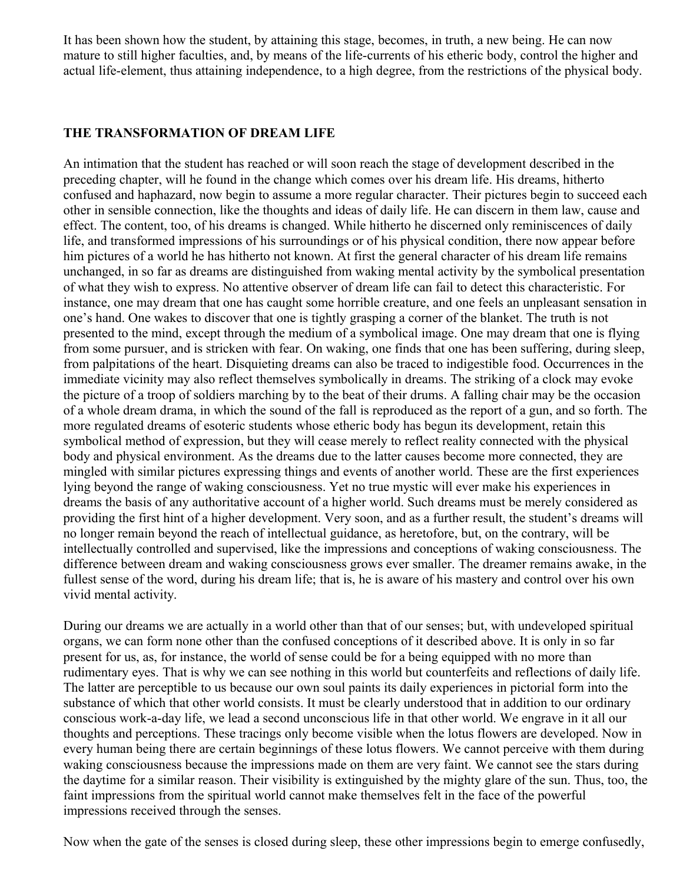It has been shown how the student, by attaining this stage, becomes, in truth, a new being. He can now mature to still higher faculties, and, by means of the life-currents of his etheric body, control the higher and actual life-element, thus attaining independence, to a high degree, from the restrictions of the physical body.

## <span id="page-47-0"></span>**THE TRANSFORMATION OF DREAM LIFE**

An intimation that the student has reached or will soon reach the stage of development described in the preceding chapter, will he found in the change which comes over his dream life. His dreams, hitherto confused and haphazard, now begin to assume a more regular character. Their pictures begin to succeed each other in sensible connection, like the thoughts and ideas of daily life. He can discern in them law, cause and effect. The content, too, of his dreams is changed. While hitherto he discerned only reminiscences of daily life, and transformed impressions of his surroundings or of his physical condition, there now appear before him pictures of a world he has hitherto not known. At first the general character of his dream life remains unchanged, in so far as dreams are distinguished from waking mental activity by the symbolical presentation of what they wish to express. No attentive observer of dream life can fail to detect this characteristic. For instance, one may dream that one has caught some horrible creature, and one feels an unpleasant sensation in one's hand. One wakes to discover that one is tightly grasping a corner of the blanket. The truth is not presented to the mind, except through the medium of a symbolical image. One may dream that one is flying from some pursuer, and is stricken with fear. On waking, one finds that one has been suffering, during sleep, from palpitations of the heart. Disquieting dreams can also be traced to indigestible food. Occurrences in the immediate vicinity may also reflect themselves symbolically in dreams. The striking of a clock may evoke the picture of a troop of soldiers marching by to the beat of their drums. A falling chair may be the occasion of a whole dream drama, in which the sound of the fall is reproduced as the report of a gun, and so forth. The more regulated dreams of esoteric students whose etheric body has begun its development, retain this symbolical method of expression, but they will cease merely to reflect reality connected with the physical body and physical environment. As the dreams due to the latter causes become more connected, they are mingled with similar pictures expressing things and events of another world. These are the first experiences lying beyond the range of waking consciousness. Yet no true mystic will ever make his experiences in dreams the basis of any authoritative account of a higher world. Such dreams must be merely considered as providing the first hint of a higher development. Very soon, and as a further result, the student's dreams will no longer remain beyond the reach of intellectual guidance, as heretofore, but, on the contrary, will be intellectually controlled and supervised, like the impressions and conceptions of waking consciousness. The difference between dream and waking consciousness grows ever smaller. The dreamer remains awake, in the fullest sense of the word, during his dream life; that is, he is aware of his mastery and control over his own vivid mental activity.

During our dreams we are actually in a world other than that of our senses; but, with undeveloped spiritual organs, we can form none other than the confused conceptions of it described above. It is only in so far present for us, as, for instance, the world of sense could be for a being equipped with no more than rudimentary eyes. That is why we can see nothing in this world but counterfeits and reflections of daily life. The latter are perceptible to us because our own soul paints its daily experiences in pictorial form into the substance of which that other world consists. It must be clearly understood that in addition to our ordinary conscious work-a-day life, we lead a second unconscious life in that other world. We engrave in it all our thoughts and perceptions. These tracings only become visible when the lotus flowers are developed. Now in every human being there are certain beginnings of these lotus flowers. We cannot perceive with them during waking consciousness because the impressions made on them are very faint. We cannot see the stars during the daytime for a similar reason. Their visibility is extinguished by the mighty glare of the sun. Thus, too, the faint impressions from the spiritual world cannot make themselves felt in the face of the powerful impressions received through the senses.

Now when the gate of the senses is closed during sleep, these other impressions begin to emerge confusedly,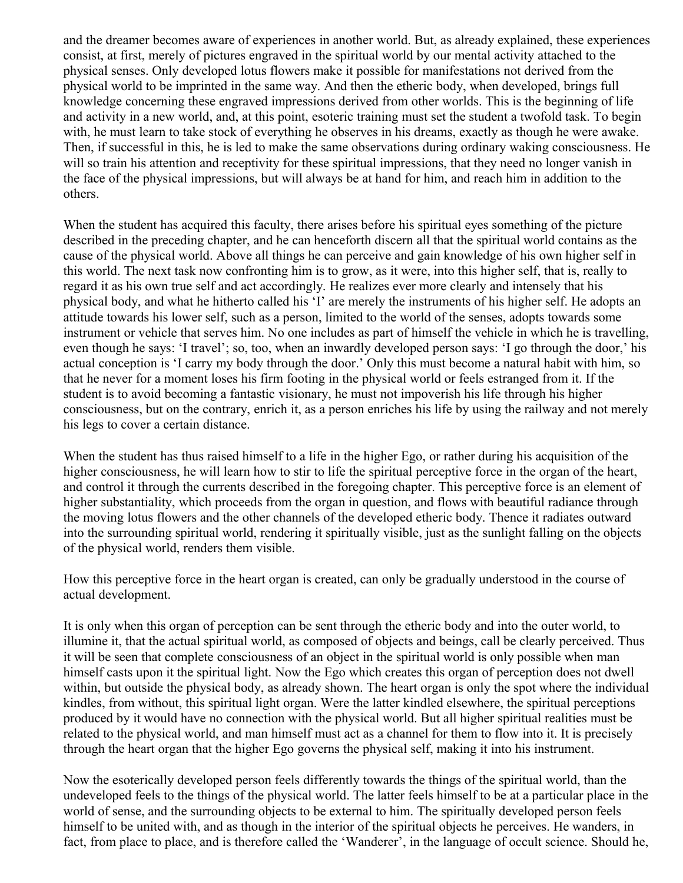and the dreamer becomes aware of experiences in another world. But, as already explained, these experiences consist, at first, merely of pictures engraved in the spiritual world by our mental activity attached to the physical senses. Only developed lotus flowers make it possible for manifestations not derived from the physical world to be imprinted in the same way. And then the etheric body, when developed, brings full knowledge concerning these engraved impressions derived from other worlds. This is the beginning of life and activity in a new world, and, at this point, esoteric training must set the student a twofold task. To begin with, he must learn to take stock of everything he observes in his dreams, exactly as though he were awake. Then, if successful in this, he is led to make the same observations during ordinary waking consciousness. He will so train his attention and receptivity for these spiritual impressions, that they need no longer vanish in the face of the physical impressions, but will always be at hand for him, and reach him in addition to the others.

When the student has acquired this faculty, there arises before his spiritual eyes something of the picture described in the preceding chapter, and he can henceforth discern all that the spiritual world contains as the cause of the physical world. Above all things he can perceive and gain knowledge of his own higher self in this world. The next task now confronting him is to grow, as it were, into this higher self, that is, really to regard it as his own true self and act accordingly. He realizes ever more clearly and intensely that his physical body, and what he hitherto called his 'I' are merely the instruments of his higher self. He adopts an attitude towards his lower self, such as a person, limited to the world of the senses, adopts towards some instrument or vehicle that serves him. No one includes as part of himself the vehicle in which he is travelling, even though he says: 'I travel'; so, too, when an inwardly developed person says: 'I go through the door,' his actual conception is 'I carry my body through the door.' Only this must become a natural habit with him, so that he never for a moment loses his firm footing in the physical world or feels estranged from it. If the student is to avoid becoming a fantastic visionary, he must not impoverish his life through his higher consciousness, but on the contrary, enrich it, as a person enriches his life by using the railway and not merely his legs to cover a certain distance.

When the student has thus raised himself to a life in the higher Ego, or rather during his acquisition of the higher consciousness, he will learn how to stir to life the spiritual perceptive force in the organ of the heart, and control it through the currents described in the foregoing chapter. This perceptive force is an element of higher substantiality, which proceeds from the organ in question, and flows with beautiful radiance through the moving lotus flowers and the other channels of the developed etheric body. Thence it radiates outward into the surrounding spiritual world, rendering it spiritually visible, just as the sunlight falling on the objects of the physical world, renders them visible.

How this perceptive force in the heart organ is created, can only be gradually understood in the course of actual development.

It is only when this organ of perception can be sent through the etheric body and into the outer world, to illumine it, that the actual spiritual world, as composed of objects and beings, call be clearly perceived. Thus it will be seen that complete consciousness of an object in the spiritual world is only possible when man himself casts upon it the spiritual light. Now the Ego which creates this organ of perception does not dwell within, but outside the physical body, as already shown. The heart organ is only the spot where the individual kindles, from without, this spiritual light organ. Were the latter kindled elsewhere, the spiritual perceptions produced by it would have no connection with the physical world. But all higher spiritual realities must be related to the physical world, and man himself must act as a channel for them to flow into it. It is precisely through the heart organ that the higher Ego governs the physical self, making it into his instrument.

Now the esoterically developed person feels differently towards the things of the spiritual world, than the undeveloped feels to the things of the physical world. The latter feels himself to be at a particular place in the world of sense, and the surrounding objects to be external to him. The spiritually developed person feels himself to be united with, and as though in the interior of the spiritual objects he perceives. He wanders, in fact, from place to place, and is therefore called the 'Wanderer', in the language of occult science. Should he,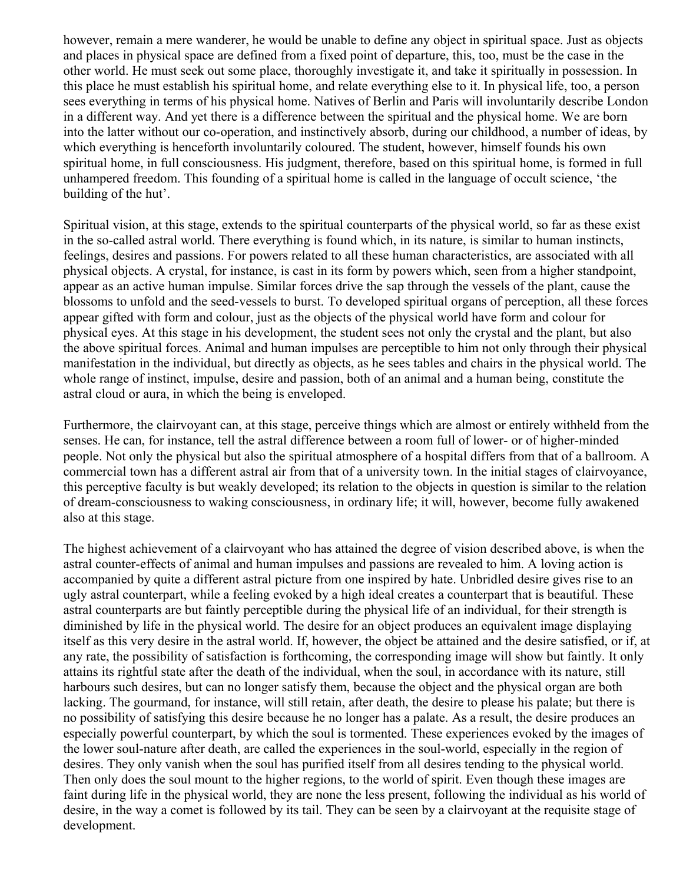however, remain a mere wanderer, he would be unable to define any object in spiritual space. Just as objects and places in physical space are defined from a fixed point of departure, this, too, must be the case in the other world. He must seek out some place, thoroughly investigate it, and take it spiritually in possession. In this place he must establish his spiritual home, and relate everything else to it. In physical life, too, a person sees everything in terms of his physical home. Natives of Berlin and Paris will involuntarily describe London in a different way. And yet there is a difference between the spiritual and the physical home. We are born into the latter without our co-operation, and instinctively absorb, during our childhood, a number of ideas, by which everything is henceforth involuntarily coloured. The student, however, himself founds his own spiritual home, in full consciousness. His judgment, therefore, based on this spiritual home, is formed in full unhampered freedom. This founding of a spiritual home is called in the language of occult science, 'the building of the hut'.

Spiritual vision, at this stage, extends to the spiritual counterparts of the physical world, so far as these exist in the so-called astral world. There everything is found which, in its nature, is similar to human instincts, feelings, desires and passions. For powers related to all these human characteristics, are associated with all physical objects. A crystal, for instance, is cast in its form by powers which, seen from a higher standpoint, appear as an active human impulse. Similar forces drive the sap through the vessels of the plant, cause the blossoms to unfold and the seed-vessels to burst. To developed spiritual organs of perception, all these forces appear gifted with form and colour, just as the objects of the physical world have form and colour for physical eyes. At this stage in his development, the student sees not only the crystal and the plant, but also the above spiritual forces. Animal and human impulses are perceptible to him not only through their physical manifestation in the individual, but directly as objects, as he sees tables and chairs in the physical world. The whole range of instinct, impulse, desire and passion, both of an animal and a human being, constitute the astral cloud or aura, in which the being is enveloped.

Furthermore, the clairvoyant can, at this stage, perceive things which are almost or entirely withheld from the senses. He can, for instance, tell the astral difference between a room full of lower- or of higher-minded people. Not only the physical but also the spiritual atmosphere of a hospital differs from that of a ballroom. A commercial town has a different astral air from that of a university town. In the initial stages of clairvoyance, this perceptive faculty is but weakly developed; its relation to the objects in question is similar to the relation of dream-consciousness to waking consciousness, in ordinary life; it will, however, become fully awakened also at this stage.

The highest achievement of a clairvoyant who has attained the degree of vision described above, is when the astral counter-effects of animal and human impulses and passions are revealed to him. A loving action is accompanied by quite a different astral picture from one inspired by hate. Unbridled desire gives rise to an ugly astral counterpart, while a feeling evoked by a high ideal creates a counterpart that is beautiful. These astral counterparts are but faintly perceptible during the physical life of an individual, for their strength is diminished by life in the physical world. The desire for an object produces an equivalent image displaying itself as this very desire in the astral world. If, however, the object be attained and the desire satisfied, or if, at any rate, the possibility of satisfaction is forthcoming, the corresponding image will show but faintly. It only attains its rightful state after the death of the individual, when the soul, in accordance with its nature, still harbours such desires, but can no longer satisfy them, because the object and the physical organ are both lacking. The gourmand, for instance, will still retain, after death, the desire to please his palate; but there is no possibility of satisfying this desire because he no longer has a palate. As a result, the desire produces an especially powerful counterpart, by which the soul is tormented. These experiences evoked by the images of the lower soul-nature after death, are called the experiences in the soul-world, especially in the region of desires. They only vanish when the soul has purified itself from all desires tending to the physical world. Then only does the soul mount to the higher regions, to the world of spirit. Even though these images are faint during life in the physical world, they are none the less present, following the individual as his world of desire, in the way a comet is followed by its tail. They can be seen by a clairvoyant at the requisite stage of development.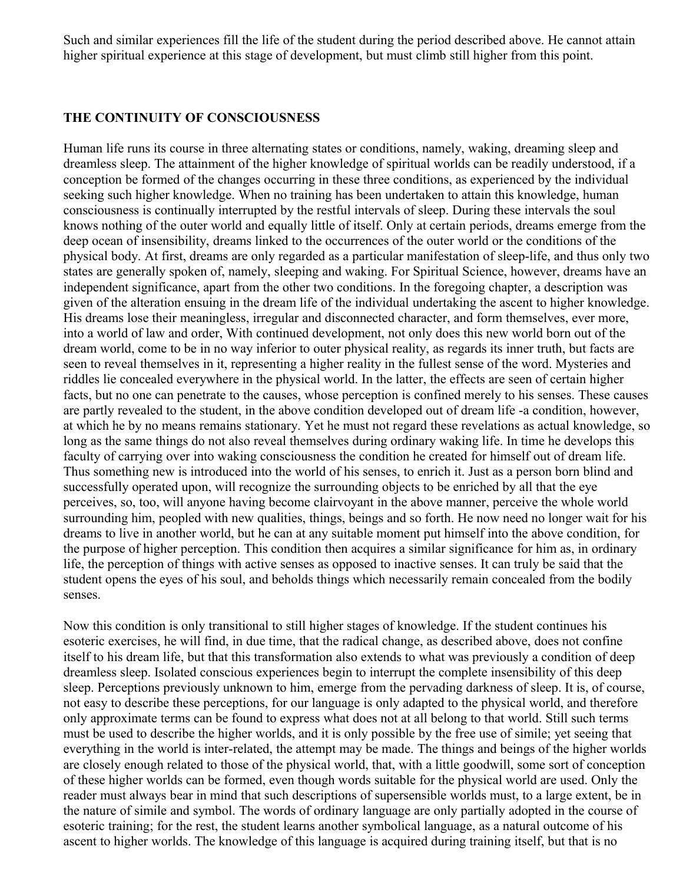Such and similar experiences fill the life of the student during the period described above. He cannot attain higher spiritual experience at this stage of development, but must climb still higher from this point.

## <span id="page-50-0"></span>**THE CONTINUITY OF CONSCIOUSNESS**

Human life runs its course in three alternating states or conditions, namely, waking, dreaming sleep and dreamless sleep. The attainment of the higher knowledge of spiritual worlds can be readily understood, if a conception be formed of the changes occurring in these three conditions, as experienced by the individual seeking such higher knowledge. When no training has been undertaken to attain this knowledge, human consciousness is continually interrupted by the restful intervals of sleep. During these intervals the soul knows nothing of the outer world and equally little of itself. Only at certain periods, dreams emerge from the deep ocean of insensibility, dreams linked to the occurrences of the outer world or the conditions of the physical body. At first, dreams are only regarded as a particular manifestation of sleep-life, and thus only two states are generally spoken of, namely, sleeping and waking. For Spiritual Science, however, dreams have an independent significance, apart from the other two conditions. In the foregoing chapter, a description was given of the alteration ensuing in the dream life of the individual undertaking the ascent to higher knowledge. His dreams lose their meaningless, irregular and disconnected character, and form themselves, ever more, into a world of law and order, With continued development, not only does this new world born out of the dream world, come to be in no way inferior to outer physical reality, as regards its inner truth, but facts are seen to reveal themselves in it, representing a higher reality in the fullest sense of the word. Mysteries and riddles lie concealed everywhere in the physical world. In the latter, the effects are seen of certain higher facts, but no one can penetrate to the causes, whose perception is confined merely to his senses. These causes are partly revealed to the student, in the above condition developed out of dream life -a condition, however, at which he by no means remains stationary. Yet he must not regard these revelations as actual knowledge, so long as the same things do not also reveal themselves during ordinary waking life. In time he develops this faculty of carrying over into waking consciousness the condition he created for himself out of dream life. Thus something new is introduced into the world of his senses, to enrich it. Just as a person born blind and successfully operated upon, will recognize the surrounding objects to be enriched by all that the eye perceives, so, too, will anyone having become clairvoyant in the above manner, perceive the whole world surrounding him, peopled with new qualities, things, beings and so forth. He now need no longer wait for his dreams to live in another world, but he can at any suitable moment put himself into the above condition, for the purpose of higher perception. This condition then acquires a similar significance for him as, in ordinary life, the perception of things with active senses as opposed to inactive senses. It can truly be said that the student opens the eyes of his soul, and beholds things which necessarily remain concealed from the bodily senses.

Now this condition is only transitional to still higher stages of knowledge. If the student continues his esoteric exercises, he will find, in due time, that the radical change, as described above, does not confine itself to his dream life, but that this transformation also extends to what was previously a condition of deep dreamless sleep. Isolated conscious experiences begin to interrupt the complete insensibility of this deep sleep. Perceptions previously unknown to him, emerge from the pervading darkness of sleep. It is, of course, not easy to describe these perceptions, for our language is only adapted to the physical world, and therefore only approximate terms can be found to express what does not at all belong to that world. Still such terms must be used to describe the higher worlds, and it is only possible by the free use of simile; yet seeing that everything in the world is inter-related, the attempt may be made. The things and beings of the higher worlds are closely enough related to those of the physical world, that, with a little goodwill, some sort of conception of these higher worlds can be formed, even though words suitable for the physical world are used. Only the reader must always bear in mind that such descriptions of supersensible worlds must, to a large extent, be in the nature of simile and symbol. The words of ordinary language are only partially adopted in the course of esoteric training; for the rest, the student learns another symbolical language, as a natural outcome of his ascent to higher worlds. The knowledge of this language is acquired during training itself, but that is no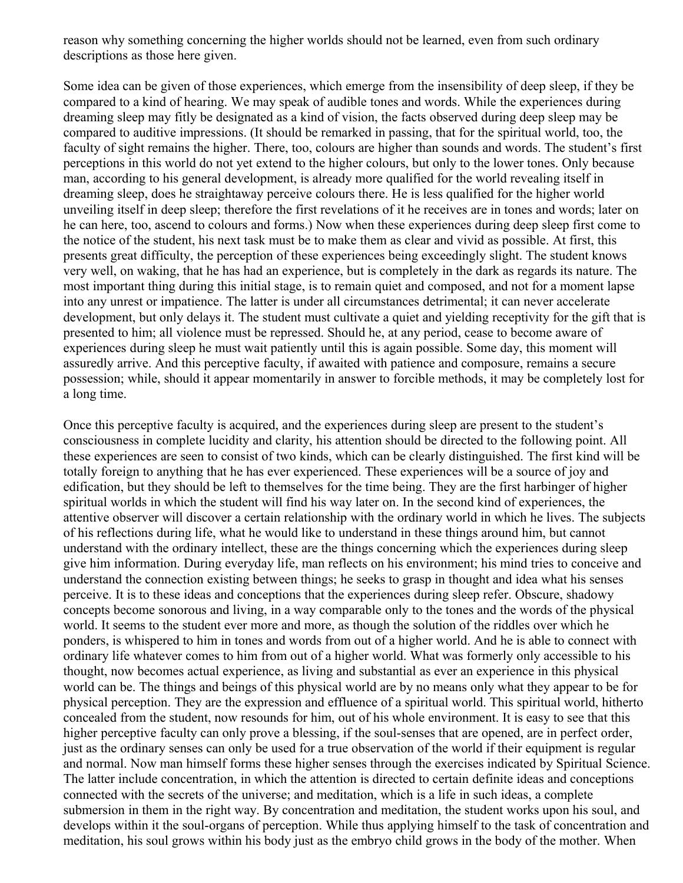reason why something concerning the higher worlds should not be learned, even from such ordinary descriptions as those here given.

Some idea can be given of those experiences, which emerge from the insensibility of deep sleep, if they be compared to a kind of hearing. We may speak of audible tones and words. While the experiences during dreaming sleep may fitly be designated as a kind of vision, the facts observed during deep sleep may be compared to auditive impressions. (It should be remarked in passing, that for the spiritual world, too, the faculty of sight remains the higher. There, too, colours are higher than sounds and words. The student's first perceptions in this world do not yet extend to the higher colours, but only to the lower tones. Only because man, according to his general development, is already more qualified for the world revealing itself in dreaming sleep, does he straightaway perceive colours there. He is less qualified for the higher world unveiling itself in deep sleep; therefore the first revelations of it he receives are in tones and words; later on he can here, too, ascend to colours and forms.) Now when these experiences during deep sleep first come to the notice of the student, his next task must be to make them as clear and vivid as possible. At first, this presents great difficulty, the perception of these experiences being exceedingly slight. The student knows very well, on waking, that he has had an experience, but is completely in the dark as regards its nature. The most important thing during this initial stage, is to remain quiet and composed, and not for a moment lapse into any unrest or impatience. The latter is under all circumstances detrimental; it can never accelerate development, but only delays it. The student must cultivate a quiet and yielding receptivity for the gift that is presented to him; all violence must be repressed. Should he, at any period, cease to become aware of experiences during sleep he must wait patiently until this is again possible. Some day, this moment will assuredly arrive. And this perceptive faculty, if awaited with patience and composure, remains a secure possession; while, should it appear momentarily in answer to forcible methods, it may be completely lost for a long time.

Once this perceptive faculty is acquired, and the experiences during sleep are present to the student's consciousness in complete lucidity and clarity, his attention should be directed to the following point. All these experiences are seen to consist of two kinds, which can be clearly distinguished. The first kind will be totally foreign to anything that he has ever experienced. These experiences will be a source of joy and edification, but they should be left to themselves for the time being. They are the first harbinger of higher spiritual worlds in which the student will find his way later on. In the second kind of experiences, the attentive observer will discover a certain relationship with the ordinary world in which he lives. The subjects of his reflections during life, what he would like to understand in these things around him, but cannot understand with the ordinary intellect, these are the things concerning which the experiences during sleep give him information. During everyday life, man reflects on his environment; his mind tries to conceive and understand the connection existing between things; he seeks to grasp in thought and idea what his senses perceive. It is to these ideas and conceptions that the experiences during sleep refer. Obscure, shadowy concepts become sonorous and living, in a way comparable only to the tones and the words of the physical world. It seems to the student ever more and more, as though the solution of the riddles over which he ponders, is whispered to him in tones and words from out of a higher world. And he is able to connect with ordinary life whatever comes to him from out of a higher world. What was formerly only accessible to his thought, now becomes actual experience, as living and substantial as ever an experience in this physical world can be. The things and beings of this physical world are by no means only what they appear to be for physical perception. They are the expression and effluence of a spiritual world. This spiritual world, hitherto concealed from the student, now resounds for him, out of his whole environment. It is easy to see that this higher perceptive faculty can only prove a blessing, if the soul-senses that are opened, are in perfect order, just as the ordinary senses can only be used for a true observation of the world if their equipment is regular and normal. Now man himself forms these higher senses through the exercises indicated by Spiritual Science. The latter include concentration, in which the attention is directed to certain definite ideas and conceptions connected with the secrets of the universe; and meditation, which is a life in such ideas, a complete submersion in them in the right way. By concentration and meditation, the student works upon his soul, and develops within it the soul-organs of perception. While thus applying himself to the task of concentration and meditation, his soul grows within his body just as the embryo child grows in the body of the mother. When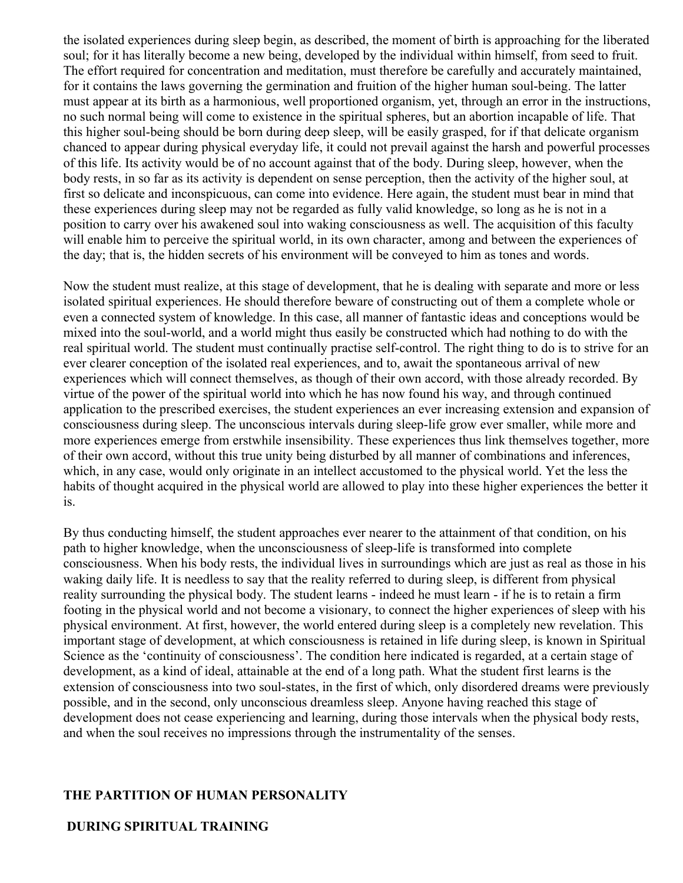the isolated experiences during sleep begin, as described, the moment of birth is approaching for the liberated soul; for it has literally become a new being, developed by the individual within himself, from seed to fruit. The effort required for concentration and meditation, must therefore be carefully and accurately maintained, for it contains the laws governing the germination and fruition of the higher human soul-being. The latter must appear at its birth as a harmonious, well proportioned organism, yet, through an error in the instructions, no such normal being will come to existence in the spiritual spheres, but an abortion incapable of life. That this higher soul-being should be born during deep sleep, will be easily grasped, for if that delicate organism chanced to appear during physical everyday life, it could not prevail against the harsh and powerful processes of this life. Its activity would be of no account against that of the body. During sleep, however, when the body rests, in so far as its activity is dependent on sense perception, then the activity of the higher soul, at first so delicate and inconspicuous, can come into evidence. Here again, the student must bear in mind that these experiences during sleep may not be regarded as fully valid knowledge, so long as he is not in a position to carry over his awakened soul into waking consciousness as well. The acquisition of this faculty will enable him to perceive the spiritual world, in its own character, among and between the experiences of the day; that is, the hidden secrets of his environment will be conveyed to him as tones and words.

Now the student must realize, at this stage of development, that he is dealing with separate and more or less isolated spiritual experiences. He should therefore beware of constructing out of them a complete whole or even a connected system of knowledge. In this case, all manner of fantastic ideas and conceptions would be mixed into the soul-world, and a world might thus easily be constructed which had nothing to do with the real spiritual world. The student must continually practise self-control. The right thing to do is to strive for an ever clearer conception of the isolated real experiences, and to, await the spontaneous arrival of new experiences which will connect themselves, as though of their own accord, with those already recorded. By virtue of the power of the spiritual world into which he has now found his way, and through continued application to the prescribed exercises, the student experiences an ever increasing extension and expansion of consciousness during sleep. The unconscious intervals during sleep-life grow ever smaller, while more and more experiences emerge from erstwhile insensibility. These experiences thus link themselves together, more of their own accord, without this true unity being disturbed by all manner of combinations and inferences, which, in any case, would only originate in an intellect accustomed to the physical world. Yet the less the habits of thought acquired in the physical world are allowed to play into these higher experiences the better it is.

By thus conducting himself, the student approaches ever nearer to the attainment of that condition, on his path to higher knowledge, when the unconsciousness of sleep-life is transformed into complete consciousness. When his body rests, the individual lives in surroundings which are just as real as those in his waking daily life. It is needless to say that the reality referred to during sleep, is different from physical reality surrounding the physical body. The student learns - indeed he must learn - if he is to retain a firm footing in the physical world and not become a visionary, to connect the higher experiences of sleep with his physical environment. At first, however, the world entered during sleep is a completely new revelation. This important stage of development, at which consciousness is retained in life during sleep, is known in Spiritual Science as the 'continuity of consciousness'. The condition here indicated is regarded, at a certain stage of development, as a kind of ideal, attainable at the end of a long path. What the student first learns is the extension of consciousness into two soul-states, in the first of which, only disordered dreams were previously possible, and in the second, only unconscious dreamless sleep. Anyone having reached this stage of development does not cease experiencing and learning, during those intervals when the physical body rests, and when the soul receives no impressions through the instrumentality of the senses.

## <span id="page-52-1"></span>**THE PARTITION OF HUMAN PERSONALITY**

### <span id="page-52-0"></span>**DURING SPIRITUAL TRAINING**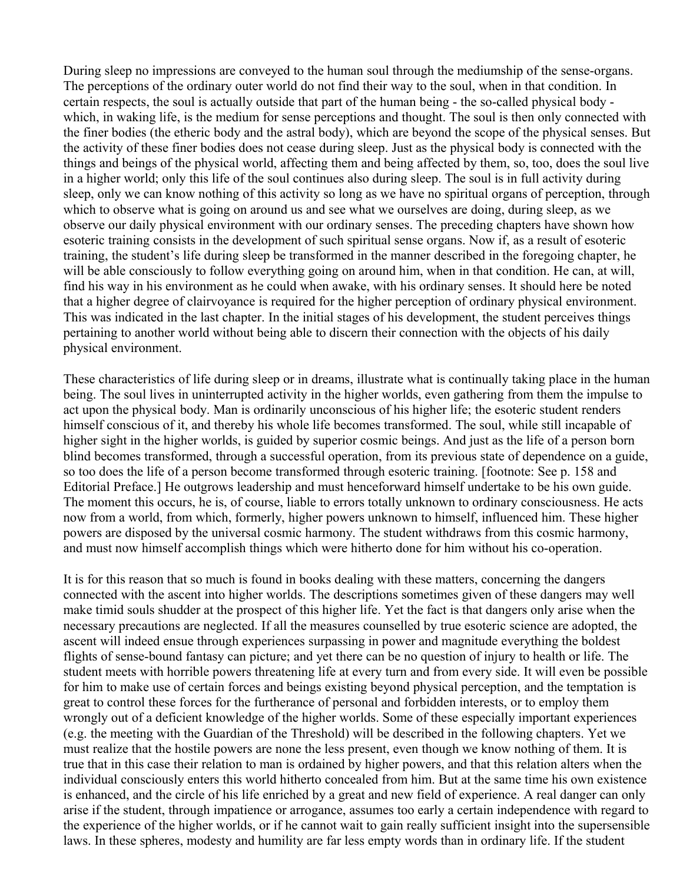During sleep no impressions are conveyed to the human soul through the mediumship of the sense-organs. The perceptions of the ordinary outer world do not find their way to the soul, when in that condition. In certain respects, the soul is actually outside that part of the human being - the so-called physical body which, in waking life, is the medium for sense perceptions and thought. The soul is then only connected with the finer bodies (the etheric body and the astral body), which are beyond the scope of the physical senses. But the activity of these finer bodies does not cease during sleep. Just as the physical body is connected with the things and beings of the physical world, affecting them and being affected by them, so, too, does the soul live in a higher world; only this life of the soul continues also during sleep. The soul is in full activity during sleep, only we can know nothing of this activity so long as we have no spiritual organs of perception, through which to observe what is going on around us and see what we ourselves are doing, during sleep, as we observe our daily physical environment with our ordinary senses. The preceding chapters have shown how esoteric training consists in the development of such spiritual sense organs. Now if, as a result of esoteric training, the student's life during sleep be transformed in the manner described in the foregoing chapter, he will be able consciously to follow everything going on around him, when in that condition. He can, at will, find his way in his environment as he could when awake, with his ordinary senses. It should here be noted that a higher degree of clairvoyance is required for the higher perception of ordinary physical environment. This was indicated in the last chapter. In the initial stages of his development, the student perceives things pertaining to another world without being able to discern their connection with the objects of his daily physical environment.

These characteristics of life during sleep or in dreams, illustrate what is continually taking place in the human being. The soul lives in uninterrupted activity in the higher worlds, even gathering from them the impulse to act upon the physical body. Man is ordinarily unconscious of his higher life; the esoteric student renders himself conscious of it, and thereby his whole life becomes transformed. The soul, while still incapable of higher sight in the higher worlds, is guided by superior cosmic beings. And just as the life of a person born blind becomes transformed, through a successful operation, from its previous state of dependence on a guide, so too does the life of a person become transformed through esoteric training. [footnote: See p. 158 and Editorial Preface.] He outgrows leadership and must henceforward himself undertake to be his own guide. The moment this occurs, he is, of course, liable to errors totally unknown to ordinary consciousness. He acts now from a world, from which, formerly, higher powers unknown to himself, influenced him. These higher powers are disposed by the universal cosmic harmony. The student withdraws from this cosmic harmony, and must now himself accomplish things which were hitherto done for him without his co-operation.

It is for this reason that so much is found in books dealing with these matters, concerning the dangers connected with the ascent into higher worlds. The descriptions sometimes given of these dangers may well make timid souls shudder at the prospect of this higher life. Yet the fact is that dangers only arise when the necessary precautions are neglected. If all the measures counselled by true esoteric science are adopted, the ascent will indeed ensue through experiences surpassing in power and magnitude everything the boldest flights of sense-bound fantasy can picture; and yet there can be no question of injury to health or life. The student meets with horrible powers threatening life at every turn and from every side. It will even be possible for him to make use of certain forces and beings existing beyond physical perception, and the temptation is great to control these forces for the furtherance of personal and forbidden interests, or to employ them wrongly out of a deficient knowledge of the higher worlds. Some of these especially important experiences (e.g. the meeting with the Guardian of the Threshold) will be described in the following chapters. Yet we must realize that the hostile powers are none the less present, even though we know nothing of them. It is true that in this case their relation to man is ordained by higher powers, and that this relation alters when the individual consciously enters this world hitherto concealed from him. But at the same time his own existence is enhanced, and the circle of his life enriched by a great and new field of experience. A real danger can only arise if the student, through impatience or arrogance, assumes too early a certain independence with regard to the experience of the higher worlds, or if he cannot wait to gain really sufficient insight into the supersensible laws. In these spheres, modesty and humility are far less empty words than in ordinary life. If the student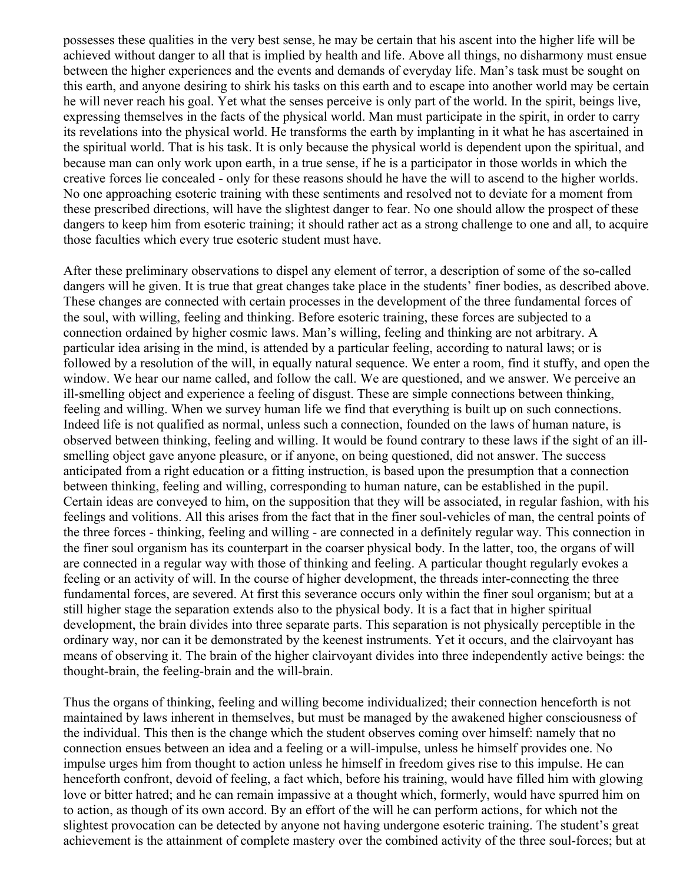possesses these qualities in the very best sense, he may be certain that his ascent into the higher life will be achieved without danger to all that is implied by health and life. Above all things, no disharmony must ensue between the higher experiences and the events and demands of everyday life. Man's task must be sought on this earth, and anyone desiring to shirk his tasks on this earth and to escape into another world may be certain he will never reach his goal. Yet what the senses perceive is only part of the world. In the spirit, beings live, expressing themselves in the facts of the physical world. Man must participate in the spirit, in order to carry its revelations into the physical world. He transforms the earth by implanting in it what he has ascertained in the spiritual world. That is his task. It is only because the physical world is dependent upon the spiritual, and because man can only work upon earth, in a true sense, if he is a participator in those worlds in which the creative forces lie concealed - only for these reasons should he have the will to ascend to the higher worlds. No one approaching esoteric training with these sentiments and resolved not to deviate for a moment from these prescribed directions, will have the slightest danger to fear. No one should allow the prospect of these dangers to keep him from esoteric training; it should rather act as a strong challenge to one and all, to acquire those faculties which every true esoteric student must have.

After these preliminary observations to dispel any element of terror, a description of some of the so-called dangers will he given. It is true that great changes take place in the students' finer bodies, as described above. These changes are connected with certain processes in the development of the three fundamental forces of the soul, with willing, feeling and thinking. Before esoteric training, these forces are subjected to a connection ordained by higher cosmic laws. Man's willing, feeling and thinking are not arbitrary. A particular idea arising in the mind, is attended by a particular feeling, according to natural laws; or is followed by a resolution of the will, in equally natural sequence. We enter a room, find it stuffy, and open the window. We hear our name called, and follow the call. We are questioned, and we answer. We perceive an ill-smelling object and experience a feeling of disgust. These are simple connections between thinking, feeling and willing. When we survey human life we find that everything is built up on such connections. Indeed life is not qualified as normal, unless such a connection, founded on the laws of human nature, is observed between thinking, feeling and willing. It would be found contrary to these laws if the sight of an illsmelling object gave anyone pleasure, or if anyone, on being questioned, did not answer. The success anticipated from a right education or a fitting instruction, is based upon the presumption that a connection between thinking, feeling and willing, corresponding to human nature, can be established in the pupil. Certain ideas are conveyed to him, on the supposition that they will be associated, in regular fashion, with his feelings and volitions. All this arises from the fact that in the finer soul-vehicles of man, the central points of the three forces - thinking, feeling and willing - are connected in a definitely regular way. This connection in the finer soul organism has its counterpart in the coarser physical body. In the latter, too, the organs of will are connected in a regular way with those of thinking and feeling. A particular thought regularly evokes a feeling or an activity of will. In the course of higher development, the threads inter-connecting the three fundamental forces, are severed. At first this severance occurs only within the finer soul organism; but at a still higher stage the separation extends also to the physical body. It is a fact that in higher spiritual development, the brain divides into three separate parts. This separation is not physically perceptible in the ordinary way, nor can it be demonstrated by the keenest instruments. Yet it occurs, and the clairvoyant has means of observing it. The brain of the higher clairvoyant divides into three independently active beings: the thought-brain, the feeling-brain and the will-brain.

Thus the organs of thinking, feeling and willing become individualized; their connection henceforth is not maintained by laws inherent in themselves, but must be managed by the awakened higher consciousness of the individual. This then is the change which the student observes coming over himself: namely that no connection ensues between an idea and a feeling or a will-impulse, unless he himself provides one. No impulse urges him from thought to action unless he himself in freedom gives rise to this impulse. He can henceforth confront, devoid of feeling, a fact which, before his training, would have filled him with glowing love or bitter hatred; and he can remain impassive at a thought which, formerly, would have spurred him on to action, as though of its own accord. By an effort of the will he can perform actions, for which not the slightest provocation can be detected by anyone not having undergone esoteric training. The student's great achievement is the attainment of complete mastery over the combined activity of the three soul-forces; but at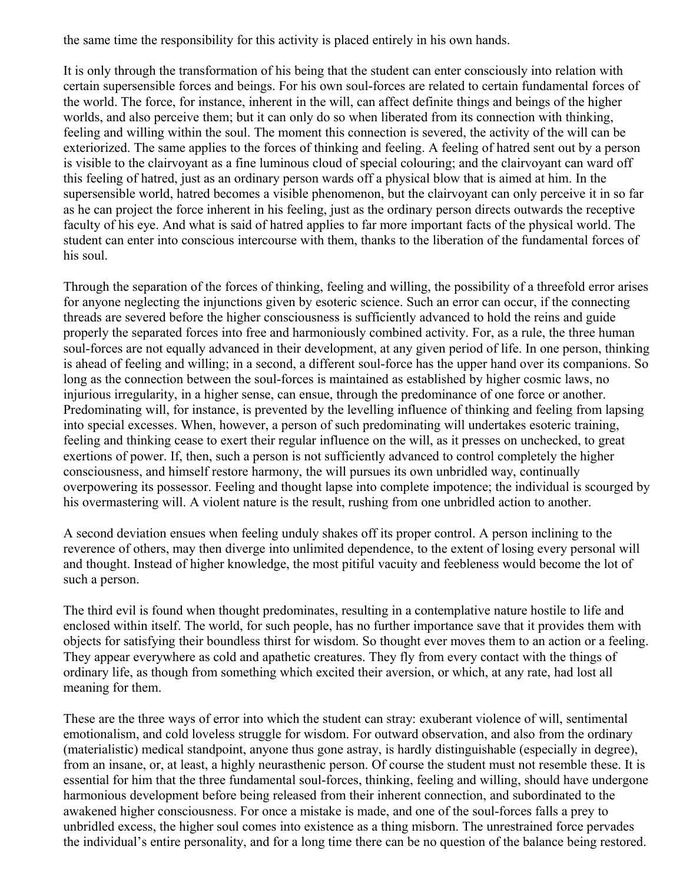the same time the responsibility for this activity is placed entirely in his own hands.

It is only through the transformation of his being that the student can enter consciously into relation with certain supersensible forces and beings. For his own soul-forces are related to certain fundamental forces of the world. The force, for instance, inherent in the will, can affect definite things and beings of the higher worlds, and also perceive them; but it can only do so when liberated from its connection with thinking, feeling and willing within the soul. The moment this connection is severed, the activity of the will can be exteriorized. The same applies to the forces of thinking and feeling. A feeling of hatred sent out by a person is visible to the clairvoyant as a fine luminous cloud of special colouring; and the clairvoyant can ward off this feeling of hatred, just as an ordinary person wards off a physical blow that is aimed at him. In the supersensible world, hatred becomes a visible phenomenon, but the clairvoyant can only perceive it in so far as he can project the force inherent in his feeling, just as the ordinary person directs outwards the receptive faculty of his eye. And what is said of hatred applies to far more important facts of the physical world. The student can enter into conscious intercourse with them, thanks to the liberation of the fundamental forces of his soul.

Through the separation of the forces of thinking, feeling and willing, the possibility of a threefold error arises for anyone neglecting the injunctions given by esoteric science. Such an error can occur, if the connecting threads are severed before the higher consciousness is sufficiently advanced to hold the reins and guide properly the separated forces into free and harmoniously combined activity. For, as a rule, the three human soul-forces are not equally advanced in their development, at any given period of life. In one person, thinking is ahead of feeling and willing; in a second, a different soul-force has the upper hand over its companions. So long as the connection between the soul-forces is maintained as established by higher cosmic laws, no injurious irregularity, in a higher sense, can ensue, through the predominance of one force or another. Predominating will, for instance, is prevented by the levelling influence of thinking and feeling from lapsing into special excesses. When, however, a person of such predominating will undertakes esoteric training, feeling and thinking cease to exert their regular influence on the will, as it presses on unchecked, to great exertions of power. If, then, such a person is not sufficiently advanced to control completely the higher consciousness, and himself restore harmony, the will pursues its own unbridled way, continually overpowering its possessor. Feeling and thought lapse into complete impotence; the individual is scourged by his overmastering will. A violent nature is the result, rushing from one unbridled action to another.

A second deviation ensues when feeling unduly shakes off its proper control. A person inclining to the reverence of others, may then diverge into unlimited dependence, to the extent of losing every personal will and thought. Instead of higher knowledge, the most pitiful vacuity and feebleness would become the lot of such a person.

The third evil is found when thought predominates, resulting in a contemplative nature hostile to life and enclosed within itself. The world, for such people, has no further importance save that it provides them with objects for satisfying their boundless thirst for wisdom. So thought ever moves them to an action or a feeling. They appear everywhere as cold and apathetic creatures. They fly from every contact with the things of ordinary life, as though from something which excited their aversion, or which, at any rate, had lost all meaning for them.

These are the three ways of error into which the student can stray: exuberant violence of will, sentimental emotionalism, and cold loveless struggle for wisdom. For outward observation, and also from the ordinary (materialistic) medical standpoint, anyone thus gone astray, is hardly distinguishable (especially in degree), from an insane, or, at least, a highly neurasthenic person. Of course the student must not resemble these. It is essential for him that the three fundamental soul-forces, thinking, feeling and willing, should have undergone harmonious development before being released from their inherent connection, and subordinated to the awakened higher consciousness. For once a mistake is made, and one of the soul-forces falls a prey to unbridled excess, the higher soul comes into existence as a thing misborn. The unrestrained force pervades the individual's entire personality, and for a long time there can be no question of the balance being restored.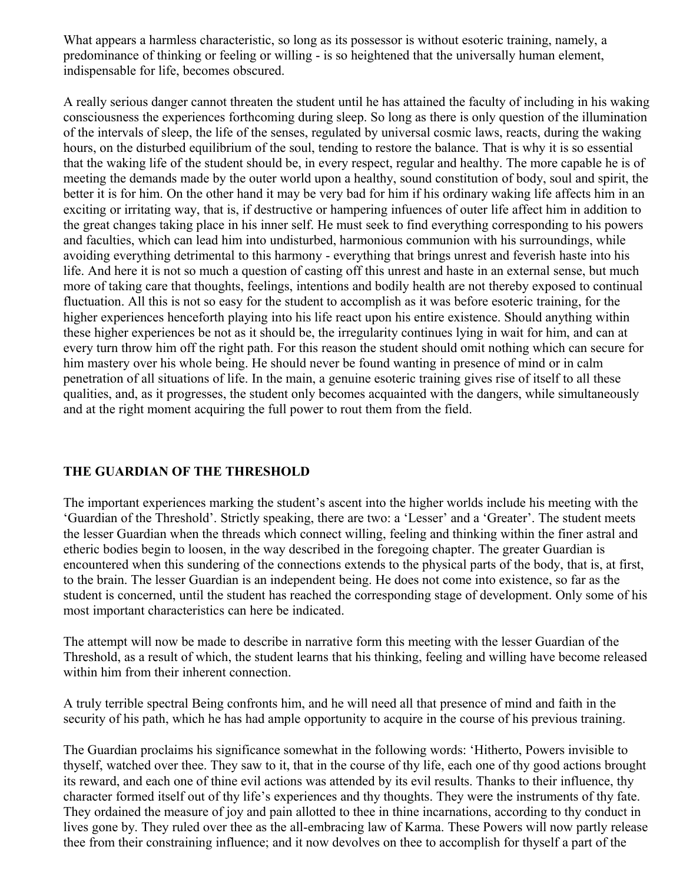What appears a harmless characteristic, so long as its possessor is without esoteric training, namely, a predominance of thinking or feeling or willing - is so heightened that the universally human element, indispensable for life, becomes obscured.

A really serious danger cannot threaten the student until he has attained the faculty of including in his waking consciousness the experiences forthcoming during sleep. So long as there is only question of the illumination of the intervals of sleep, the life of the senses, regulated by universal cosmic laws, reacts, during the waking hours, on the disturbed equilibrium of the soul, tending to restore the balance. That is why it is so essential that the waking life of the student should be, in every respect, regular and healthy. The more capable he is of meeting the demands made by the outer world upon a healthy, sound constitution of body, soul and spirit, the better it is for him. On the other hand it may be very bad for him if his ordinary waking life affects him in an exciting or irritating way, that is, if destructive or hampering infuences of outer life affect him in addition to the great changes taking place in his inner self. He must seek to find everything corresponding to his powers and faculties, which can lead him into undisturbed, harmonious communion with his surroundings, while avoiding everything detrimental to this harmony - everything that brings unrest and feverish haste into his life. And here it is not so much a question of casting off this unrest and haste in an external sense, but much more of taking care that thoughts, feelings, intentions and bodily health are not thereby exposed to continual fluctuation. All this is not so easy for the student to accomplish as it was before esoteric training, for the higher experiences henceforth playing into his life react upon his entire existence. Should anything within these higher experiences be not as it should be, the irregularity continues lying in wait for him, and can at every turn throw him off the right path. For this reason the student should omit nothing which can secure for him mastery over his whole being. He should never be found wanting in presence of mind or in calm penetration of all situations of life. In the main, a genuine esoteric training gives rise of itself to all these qualities, and, as it progresses, the student only becomes acquainted with the dangers, while simultaneously and at the right moment acquiring the full power to rout them from the field.

# <span id="page-56-0"></span>**THE GUARDIAN OF THE THRESHOLD**

The important experiences marking the student's ascent into the higher worlds include his meeting with the 'Guardian of the Threshold'. Strictly speaking, there are two: a 'Lesser' and a 'Greater'. The student meets the lesser Guardian when the threads which connect willing, feeling and thinking within the finer astral and etheric bodies begin to loosen, in the way described in the foregoing chapter. The greater Guardian is encountered when this sundering of the connections extends to the physical parts of the body, that is, at first, to the brain. The lesser Guardian is an independent being. He does not come into existence, so far as the student is concerned, until the student has reached the corresponding stage of development. Only some of his most important characteristics can here be indicated.

The attempt will now be made to describe in narrative form this meeting with the lesser Guardian of the Threshold, as a result of which, the student learns that his thinking, feeling and willing have become released within him from their inherent connection.

A truly terrible spectral Being confronts him, and he will need all that presence of mind and faith in the security of his path, which he has had ample opportunity to acquire in the course of his previous training.

The Guardian proclaims his significance somewhat in the following words: 'Hitherto, Powers invisible to thyself, watched over thee. They saw to it, that in the course of thy life, each one of thy good actions brought its reward, and each one of thine evil actions was attended by its evil results. Thanks to their influence, thy character formed itself out of thy life's experiences and thy thoughts. They were the instruments of thy fate. They ordained the measure of joy and pain allotted to thee in thine incarnations, according to thy conduct in lives gone by. They ruled over thee as the all-embracing law of Karma. These Powers will now partly release thee from their constraining influence; and it now devolves on thee to accomplish for thyself a part of the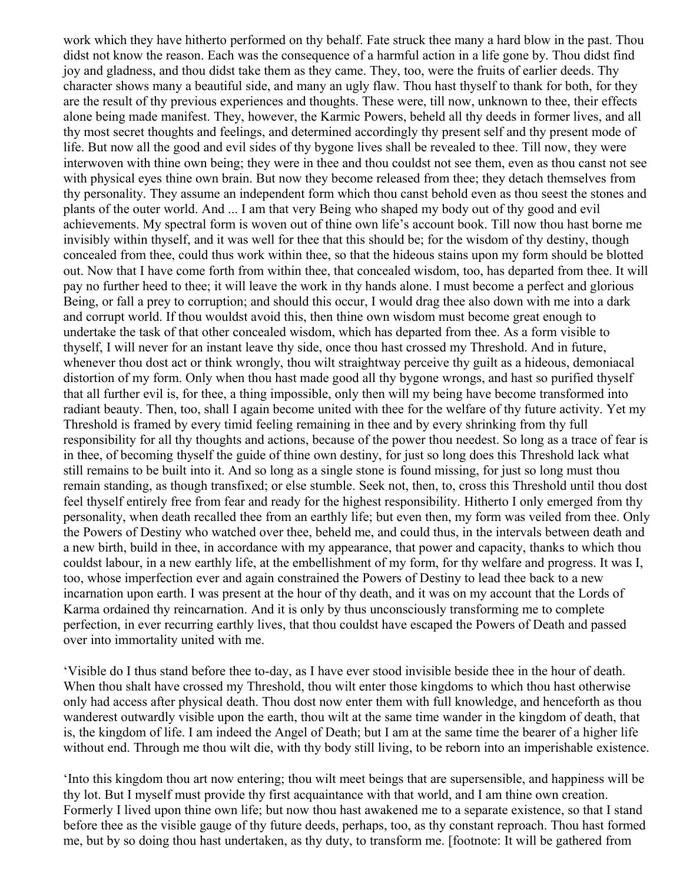work which they have hitherto performed on thy behalf. Fate struck thee many a hard blow in the past. Thou didst not know the reason. Each was the consequence of a harmful action in a life gone by. Thou didst find joy and gladness, and thou didst take them as they came. They, too, were the fruits of earlier deeds. Thy character shows many a beautiful side, and many an ugly flaw. Thou hast thyself to thank for both, for they are the result of thy previous experiences and thoughts. These were, till now, unknown to thee, their effects alone being made manifest. They, however, the Karmic Powers, beheld all thy deeds in former lives, and all thy most secret thoughts and feelings, and determined accordingly thy present self and thy present mode of life. But now all the good and evil sides of thy bygone lives shall be revealed to thee. Till now, they were interwoven with thine own being; they were in thee and thou couldst not see them, even as thou canst not see with physical eyes thine own brain. But now they become released from thee; they detach themselves from thy personality. They assume an independent form which thou canst behold even as thou seest the stones and plants of the outer world. And ... I am that very Being who shaped my body out of thy good and evil achievements. My spectral form is woven out of thine own life's account book. Till now thou hast borne me invisibly within thyself, and it was well for thee that this should be; for the wisdom of thy destiny, though concealed from thee, could thus work within thee, so that the hideous stains upon my form should be blotted out. Now that I have come forth from within thee, that concealed wisdom, too, has departed from thee. It will pay no further heed to thee; it will leave the work in thy hands alone. I must become a perfect and glorious Being, or fall a prey to corruption; and should this occur, I would drag thee also down with me into a dark and corrupt world. If thou wouldst avoid this, then thine own wisdom must become great enough to undertake the task of that other concealed wisdom, which has departed from thee. As a form visible to thyself, I will never for an instant leave thy side, once thou hast crossed my Threshold. And in future, whenever thou dost act or think wrongly, thou wilt straightway perceive thy guilt as a hideous, demoniacal distortion of my form. Only when thou hast made good all thy bygone wrongs, and hast so purified thyself that all further evil is, for thee, a thing impossible, only then will my being have become transformed into radiant beauty. Then, too, shall I again become united with thee for the welfare of thy future activity. Yet my Threshold is framed by every timid feeling remaining in thee and by every shrinking from thy full responsibility for all thy thoughts and actions, because of the power thou needest. So long as a trace of fear is in thee, of becoming thyself the guide of thine own destiny, for just so long does this Threshold lack what still remains to be built into it. And so long as a single stone is found missing, for just so long must thou remain standing, as though transfixed; or else stumble. Seek not, then, to, cross this Threshold until thou dost feel thyself entirely free from fear and ready for the highest responsibility. Hitherto I only emerged from thy personality, when death recalled thee from an earthly life; but even then, my form was veiled from thee. Only the Powers of Destiny who watched over thee, beheld me, and could thus, in the intervals between death and a new birth, build in thee, in accordance with my appearance, that power and capacity, thanks to which thou couldst labour, in a new earthly life, at the embellishment of my form, for thy welfare and progress. It was I, too, whose imperfection ever and again constrained the Powers of Destiny to lead thee back to a new incarnation upon earth. I was present at the hour of thy death, and it was on my account that the Lords of Karma ordained thy reincarnation. And it is only by thus unconsciously transforming me to complete perfection, in ever recurring earthly lives, that thou couldst have escaped the Powers of Death and passed over into immortality united with me.

'Visible do I thus stand before thee to-day, as I have ever stood invisible beside thee in the hour of death. When thou shalt have crossed my Threshold, thou wilt enter those kingdoms to which thou hast otherwise only had access after physical death. Thou dost now enter them with full knowledge, and henceforth as thou wanderest outwardly visible upon the earth, thou wilt at the same time wander in the kingdom of death, that is, the kingdom of life. I am indeed the Angel of Death; but I am at the same time the bearer of a higher life without end. Through me thou wilt die, with thy body still living, to be reborn into an imperishable existence.

'Into this kingdom thou art now entering; thou wilt meet beings that are supersensible, and happiness will be thy lot. But I myself must provide thy first acquaintance with that world, and I am thine own creation. Formerly I lived upon thine own life; but now thou hast awakened me to a separate existence, so that I stand before thee as the visible gauge of thy future deeds, perhaps, too, as thy constant reproach. Thou hast formed me, but by so doing thou hast undertaken, as thy duty, to transform me. [footnote: It will be gathered from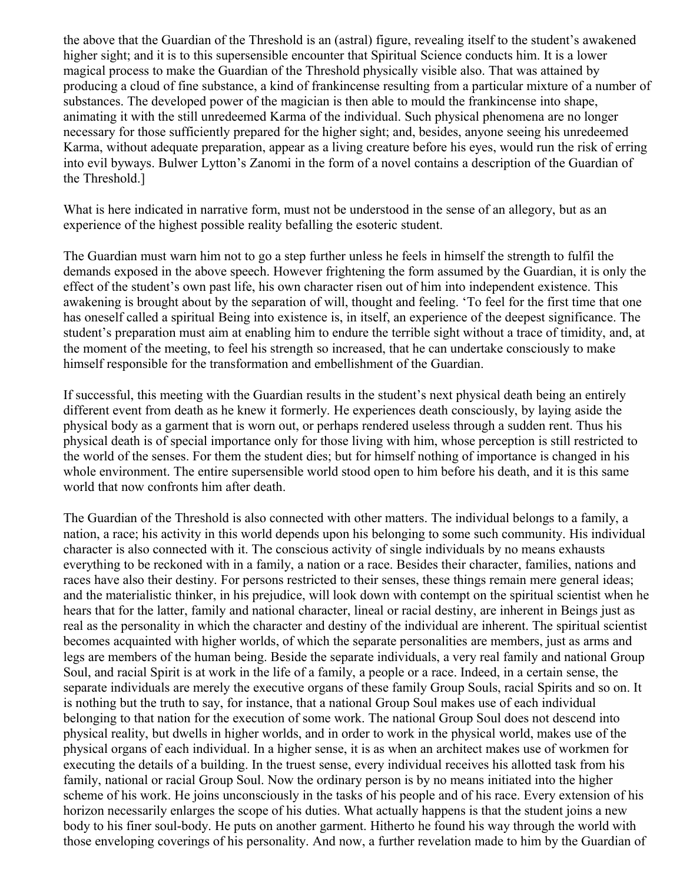the above that the Guardian of the Threshold is an (astral) figure, revealing itself to the student's awakened higher sight; and it is to this supersensible encounter that Spiritual Science conducts him. It is a lower magical process to make the Guardian of the Threshold physically visible also. That was attained by producing a cloud of fine substance, a kind of frankincense resulting from a particular mixture of a number of substances. The developed power of the magician is then able to mould the frankincense into shape, animating it with the still unredeemed Karma of the individual. Such physical phenomena are no longer necessary for those sufficiently prepared for the higher sight; and, besides, anyone seeing his unredeemed Karma, without adequate preparation, appear as a living creature before his eyes, would run the risk of erring into evil byways. Bulwer Lytton's Zanomi in the form of a novel contains a description of the Guardian of the Threshold.]

What is here indicated in narrative form, must not be understood in the sense of an allegory, but as an experience of the highest possible reality befalling the esoteric student.

The Guardian must warn him not to go a step further unless he feels in himself the strength to fulfil the demands exposed in the above speech. However frightening the form assumed by the Guardian, it is only the effect of the student's own past life, his own character risen out of him into independent existence. This awakening is brought about by the separation of will, thought and feeling. 'To feel for the first time that one has oneself called a spiritual Being into existence is, in itself, an experience of the deepest significance. The student's preparation must aim at enabling him to endure the terrible sight without a trace of timidity, and, at the moment of the meeting, to feel his strength so increased, that he can undertake consciously to make himself responsible for the transformation and embellishment of the Guardian.

If successful, this meeting with the Guardian results in the student's next physical death being an entirely different event from death as he knew it formerly. He experiences death consciously, by laying aside the physical body as a garment that is worn out, or perhaps rendered useless through a sudden rent. Thus his physical death is of special importance only for those living with him, whose perception is still restricted to the world of the senses. For them the student dies; but for himself nothing of importance is changed in his whole environment. The entire supersensible world stood open to him before his death, and it is this same world that now confronts him after death.

The Guardian of the Threshold is also connected with other matters. The individual belongs to a family, a nation, a race; his activity in this world depends upon his belonging to some such community. His individual character is also connected with it. The conscious activity of single individuals by no means exhausts everything to be reckoned with in a family, a nation or a race. Besides their character, families, nations and races have also their destiny. For persons restricted to their senses, these things remain mere general ideas; and the materialistic thinker, in his prejudice, will look down with contempt on the spiritual scientist when he hears that for the latter, family and national character, lineal or racial destiny, are inherent in Beings just as real as the personality in which the character and destiny of the individual are inherent. The spiritual scientist becomes acquainted with higher worlds, of which the separate personalities are members, just as arms and legs are members of the human being. Beside the separate individuals, a very real family and national Group Soul, and racial Spirit is at work in the life of a family, a people or a race. Indeed, in a certain sense, the separate individuals are merely the executive organs of these family Group Souls, racial Spirits and so on. It is nothing but the truth to say, for instance, that a national Group Soul makes use of each individual belonging to that nation for the execution of some work. The national Group Soul does not descend into physical reality, but dwells in higher worlds, and in order to work in the physical world, makes use of the physical organs of each individual. In a higher sense, it is as when an architect makes use of workmen for executing the details of a building. In the truest sense, every individual receives his allotted task from his family, national or racial Group Soul. Now the ordinary person is by no means initiated into the higher scheme of his work. He joins unconsciously in the tasks of his people and of his race. Every extension of his horizon necessarily enlarges the scope of his duties. What actually happens is that the student joins a new body to his finer soul-body. He puts on another garment. Hitherto he found his way through the world with those enveloping coverings of his personality. And now, a further revelation made to him by the Guardian of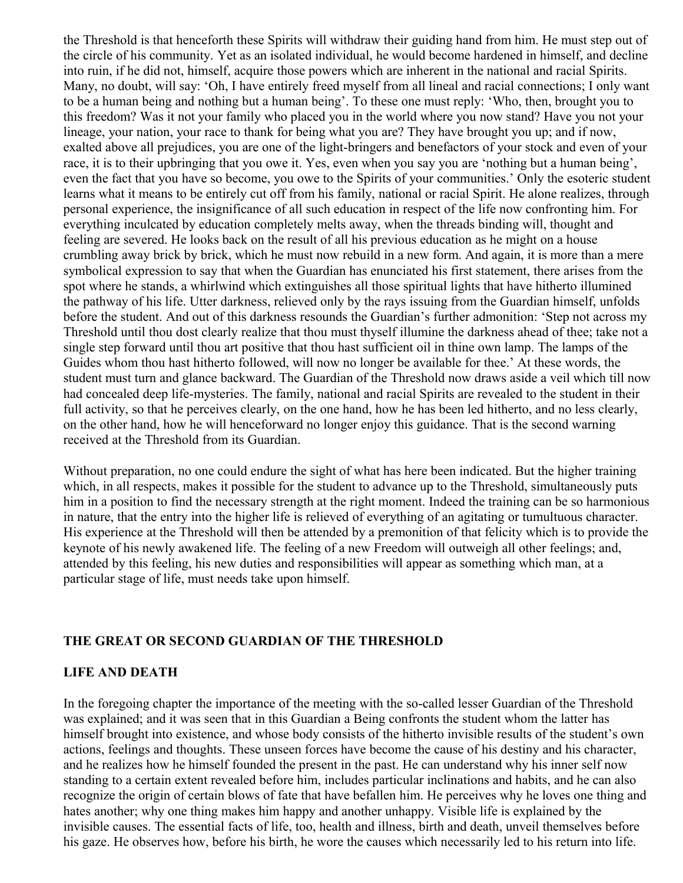the Threshold is that henceforth these Spirits will withdraw their guiding hand from him. He must step out of the circle of his community. Yet as an isolated individual, he would become hardened in himself, and decline into ruin, if he did not, himself, acquire those powers which are inherent in the national and racial Spirits. Many, no doubt, will say: 'Oh, I have entirely freed myself from all lineal and racial connections; I only want to be a human being and nothing but a human being'. To these one must reply: 'Who, then, brought you to this freedom? Was it not your family who placed you in the world where you now stand? Have you not your lineage, your nation, your race to thank for being what you are? They have brought you up; and if now, exalted above all prejudices, you are one of the light-bringers and benefactors of your stock and even of your race, it is to their upbringing that you owe it. Yes, even when you say you are 'nothing but a human being', even the fact that you have so become, you owe to the Spirits of your communities.' Only the esoteric student learns what it means to be entirely cut off from his family, national or racial Spirit. He alone realizes, through personal experience, the insignificance of all such education in respect of the life now confronting him. For everything inculcated by education completely melts away, when the threads binding will, thought and feeling are severed. He looks back on the result of all his previous education as he might on a house crumbling away brick by brick, which he must now rebuild in a new form. And again, it is more than a mere symbolical expression to say that when the Guardian has enunciated his first statement, there arises from the spot where he stands, a whirlwind which extinguishes all those spiritual lights that have hitherto illumined the pathway of his life. Utter darkness, relieved only by the rays issuing from the Guardian himself, unfolds before the student. And out of this darkness resounds the Guardian's further admonition: 'Step not across my Threshold until thou dost clearly realize that thou must thyself illumine the darkness ahead of thee; take not a single step forward until thou art positive that thou hast sufficient oil in thine own lamp. The lamps of the Guides whom thou hast hitherto followed, will now no longer be available for thee.' At these words, the student must turn and glance backward. The Guardian of the Threshold now draws aside a veil which till now had concealed deep life-mysteries. The family, national and racial Spirits are revealed to the student in their full activity, so that he perceives clearly, on the one hand, how he has been led hitherto, and no less clearly, on the other hand, how he will henceforward no longer enjoy this guidance. That is the second warning received at the Threshold from its Guardian.

Without preparation, no one could endure the sight of what has here been indicated. But the higher training which, in all respects, makes it possible for the student to advance up to the Threshold, simultaneously puts him in a position to find the necessary strength at the right moment. Indeed the training can be so harmonious in nature, that the entry into the higher life is relieved of everything of an agitating or tumultuous character. His experience at the Threshold will then be attended by a premonition of that felicity which is to provide the keynote of his newly awakened life. The feeling of a new Freedom will outweigh all other feelings; and, attended by this feeling, his new duties and responsibilities will appear as something which man, at a particular stage of life, must needs take upon himself.

## <span id="page-59-0"></span>**THE GREAT OR SECOND GUARDIAN OF THE THRESHOLD**

## **LIFE AND DEATH**

In the foregoing chapter the importance of the meeting with the so-called lesser Guardian of the Threshold was explained; and it was seen that in this Guardian a Being confronts the student whom the latter has himself brought into existence, and whose body consists of the hitherto invisible results of the student's own actions, feelings and thoughts. These unseen forces have become the cause of his destiny and his character, and he realizes how he himself founded the present in the past. He can understand why his inner self now standing to a certain extent revealed before him, includes particular inclinations and habits, and he can also recognize the origin of certain blows of fate that have befallen him. He perceives why he loves one thing and hates another; why one thing makes him happy and another unhappy. Visible life is explained by the invisible causes. The essential facts of life, too, health and illness, birth and death, unveil themselves before his gaze. He observes how, before his birth, he wore the causes which necessarily led to his return into life.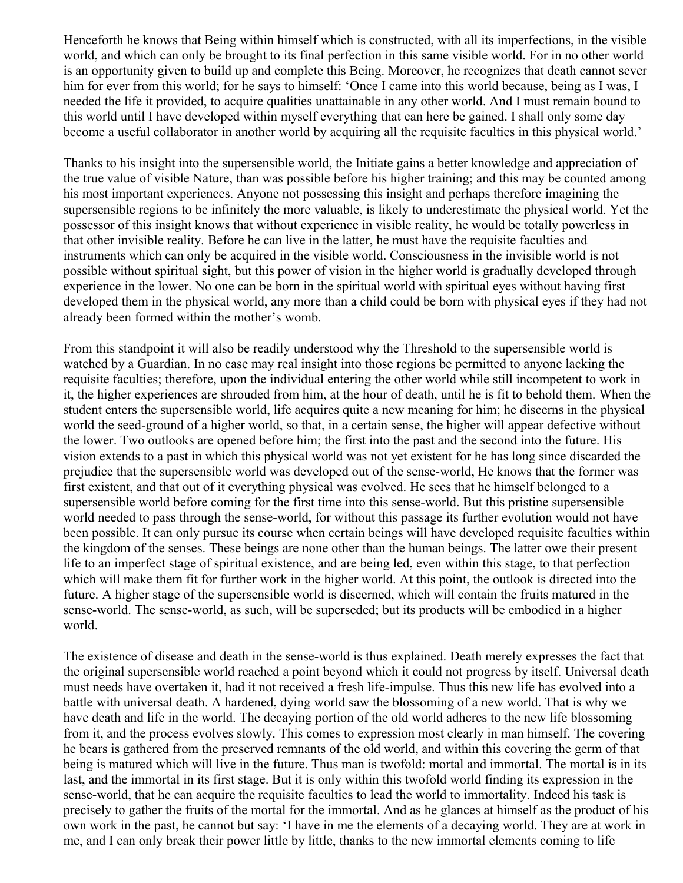Henceforth he knows that Being within himself which is constructed, with all its imperfections, in the visible world, and which can only be brought to its final perfection in this same visible world. For in no other world is an opportunity given to build up and complete this Being. Moreover, he recognizes that death cannot sever him for ever from this world; for he says to himself: 'Once I came into this world because, being as I was, I needed the life it provided, to acquire qualities unattainable in any other world. And I must remain bound to this world until I have developed within myself everything that can here be gained. I shall only some day become a useful collaborator in another world by acquiring all the requisite faculties in this physical world.'

Thanks to his insight into the supersensible world, the Initiate gains a better knowledge and appreciation of the true value of visible Nature, than was possible before his higher training; and this may be counted among his most important experiences. Anyone not possessing this insight and perhaps therefore imagining the supersensible regions to be infinitely the more valuable, is likely to underestimate the physical world. Yet the possessor of this insight knows that without experience in visible reality, he would be totally powerless in that other invisible reality. Before he can live in the latter, he must have the requisite faculties and instruments which can only be acquired in the visible world. Consciousness in the invisible world is not possible without spiritual sight, but this power of vision in the higher world is gradually developed through experience in the lower. No one can be born in the spiritual world with spiritual eyes without having first developed them in the physical world, any more than a child could be born with physical eyes if they had not already been formed within the mother's womb.

From this standpoint it will also be readily understood why the Threshold to the supersensible world is watched by a Guardian. In no case may real insight into those regions be permitted to anyone lacking the requisite faculties; therefore, upon the individual entering the other world while still incompetent to work in it, the higher experiences are shrouded from him, at the hour of death, until he is fit to behold them. When the student enters the supersensible world, life acquires quite a new meaning for him; he discerns in the physical world the seed-ground of a higher world, so that, in a certain sense, the higher will appear defective without the lower. Two outlooks are opened before him; the first into the past and the second into the future. His vision extends to a past in which this physical world was not yet existent for he has long since discarded the prejudice that the supersensible world was developed out of the sense-world, He knows that the former was first existent, and that out of it everything physical was evolved. He sees that he himself belonged to a supersensible world before coming for the first time into this sense-world. But this pristine supersensible world needed to pass through the sense-world, for without this passage its further evolution would not have been possible. It can only pursue its course when certain beings will have developed requisite faculties within the kingdom of the senses. These beings are none other than the human beings. The latter owe their present life to an imperfect stage of spiritual existence, and are being led, even within this stage, to that perfection which will make them fit for further work in the higher world. At this point, the outlook is directed into the future. A higher stage of the supersensible world is discerned, which will contain the fruits matured in the sense-world. The sense-world, as such, will be superseded; but its products will be embodied in a higher world.

The existence of disease and death in the sense-world is thus explained. Death merely expresses the fact that the original supersensible world reached a point beyond which it could not progress by itself. Universal death must needs have overtaken it, had it not received a fresh life-impulse. Thus this new life has evolved into a battle with universal death. A hardened, dying world saw the blossoming of a new world. That is why we have death and life in the world. The decaying portion of the old world adheres to the new life blossoming from it, and the process evolves slowly. This comes to expression most clearly in man himself. The covering he bears is gathered from the preserved remnants of the old world, and within this covering the germ of that being is matured which will live in the future. Thus man is twofold: mortal and immortal. The mortal is in its last, and the immortal in its first stage. But it is only within this twofold world finding its expression in the sense-world, that he can acquire the requisite faculties to lead the world to immortality. Indeed his task is precisely to gather the fruits of the mortal for the immortal. And as he glances at himself as the product of his own work in the past, he cannot but say: 'I have in me the elements of a decaying world. They are at work in me, and I can only break their power little by little, thanks to the new immortal elements coming to life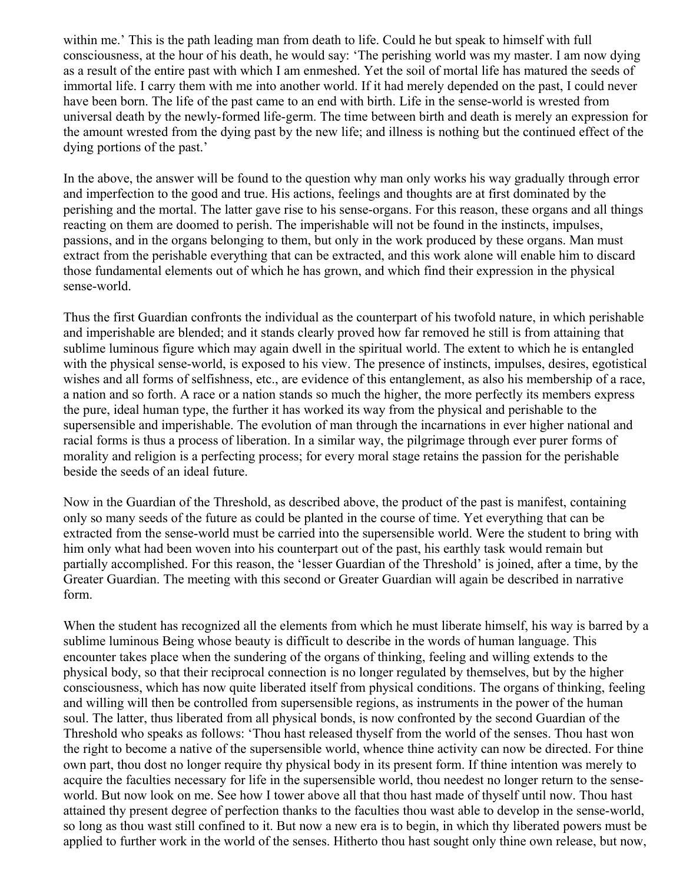within me.' This is the path leading man from death to life. Could he but speak to himself with full consciousness, at the hour of his death, he would say: 'The perishing world was my master. I am now dying as a result of the entire past with which I am enmeshed. Yet the soil of mortal life has matured the seeds of immortal life. I carry them with me into another world. If it had merely depended on the past, I could never have been born. The life of the past came to an end with birth. Life in the sense-world is wrested from universal death by the newly-formed life-germ. The time between birth and death is merely an expression for the amount wrested from the dying past by the new life; and illness is nothing but the continued effect of the dying portions of the past.'

In the above, the answer will be found to the question why man only works his way gradually through error and imperfection to the good and true. His actions, feelings and thoughts are at first dominated by the perishing and the mortal. The latter gave rise to his sense-organs. For this reason, these organs and all things reacting on them are doomed to perish. The imperishable will not be found in the instincts, impulses, passions, and in the organs belonging to them, but only in the work produced by these organs. Man must extract from the perishable everything that can be extracted, and this work alone will enable him to discard those fundamental elements out of which he has grown, and which find their expression in the physical sense-world.

Thus the first Guardian confronts the individual as the counterpart of his twofold nature, in which perishable and imperishable are blended; and it stands clearly proved how far removed he still is from attaining that sublime luminous figure which may again dwell in the spiritual world. The extent to which he is entangled with the physical sense-world, is exposed to his view. The presence of instincts, impulses, desires, egotistical wishes and all forms of selfishness, etc., are evidence of this entanglement, as also his membership of a race, a nation and so forth. A race or a nation stands so much the higher, the more perfectly its members express the pure, ideal human type, the further it has worked its way from the physical and perishable to the supersensible and imperishable. The evolution of man through the incarnations in ever higher national and racial forms is thus a process of liberation. In a similar way, the pilgrimage through ever purer forms of morality and religion is a perfecting process; for every moral stage retains the passion for the perishable beside the seeds of an ideal future.

Now in the Guardian of the Threshold, as described above, the product of the past is manifest, containing only so many seeds of the future as could be planted in the course of time. Yet everything that can be extracted from the sense-world must be carried into the supersensible world. Were the student to bring with him only what had been woven into his counterpart out of the past, his earthly task would remain but partially accomplished. For this reason, the 'lesser Guardian of the Threshold' is joined, after a time, by the Greater Guardian. The meeting with this second or Greater Guardian will again be described in narrative form.

When the student has recognized all the elements from which he must liberate himself, his way is barred by a sublime luminous Being whose beauty is difficult to describe in the words of human language. This encounter takes place when the sundering of the organs of thinking, feeling and willing extends to the physical body, so that their reciprocal connection is no longer regulated by themselves, but by the higher consciousness, which has now quite liberated itself from physical conditions. The organs of thinking, feeling and willing will then be controlled from supersensible regions, as instruments in the power of the human soul. The latter, thus liberated from all physical bonds, is now confronted by the second Guardian of the Threshold who speaks as follows: 'Thou hast released thyself from the world of the senses. Thou hast won the right to become a native of the supersensible world, whence thine activity can now be directed. For thine own part, thou dost no longer require thy physical body in its present form. If thine intention was merely to acquire the faculties necessary for life in the supersensible world, thou needest no longer return to the senseworld. But now look on me. See how I tower above all that thou hast made of thyself until now. Thou hast attained thy present degree of perfection thanks to the faculties thou wast able to develop in the sense-world, so long as thou wast still confined to it. But now a new era is to begin, in which thy liberated powers must be applied to further work in the world of the senses. Hitherto thou hast sought only thine own release, but now,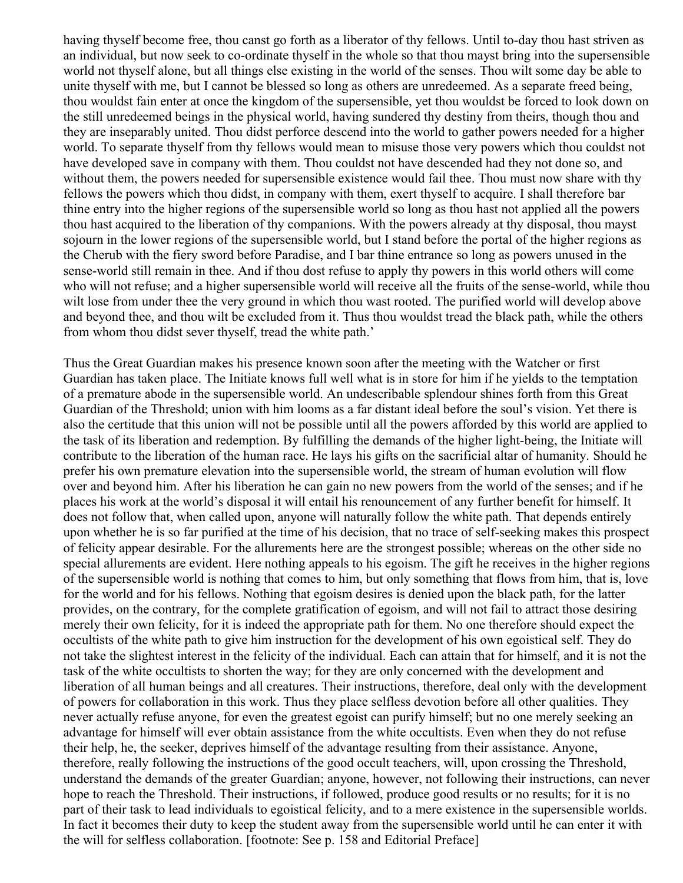having thyself become free, thou canst go forth as a liberator of thy fellows. Until to-day thou hast striven as an individual, but now seek to co-ordinate thyself in the whole so that thou mayst bring into the supersensible world not thyself alone, but all things else existing in the world of the senses. Thou wilt some day be able to unite thyself with me, but I cannot be blessed so long as others are unredeemed. As a separate freed being, thou wouldst fain enter at once the kingdom of the supersensible, yet thou wouldst be forced to look down on the still unredeemed beings in the physical world, having sundered thy destiny from theirs, though thou and they are inseparably united. Thou didst perforce descend into the world to gather powers needed for a higher world. To separate thyself from thy fellows would mean to misuse those very powers which thou couldst not have developed save in company with them. Thou couldst not have descended had they not done so, and without them, the powers needed for supersensible existence would fail thee. Thou must now share with thy fellows the powers which thou didst, in company with them, exert thyself to acquire. I shall therefore bar thine entry into the higher regions of the supersensible world so long as thou hast not applied all the powers thou hast acquired to the liberation of thy companions. With the powers already at thy disposal, thou mayst sojourn in the lower regions of the supersensible world, but I stand before the portal of the higher regions as the Cherub with the fiery sword before Paradise, and I bar thine entrance so long as powers unused in the sense-world still remain in thee. And if thou dost refuse to apply thy powers in this world others will come who will not refuse; and a higher supersensible world will receive all the fruits of the sense-world, while thou wilt lose from under thee the very ground in which thou wast rooted. The purified world will develop above and beyond thee, and thou wilt be excluded from it. Thus thou wouldst tread the black path, while the others from whom thou didst sever thyself, tread the white path.'

Thus the Great Guardian makes his presence known soon after the meeting with the Watcher or first Guardian has taken place. The Initiate knows full well what is in store for him if he yields to the temptation of a premature abode in the supersensible world. An undescribable splendour shines forth from this Great Guardian of the Threshold; union with him looms as a far distant ideal before the soul's vision. Yet there is also the certitude that this union will not be possible until all the powers afforded by this world are applied to the task of its liberation and redemption. By fulfilling the demands of the higher light-being, the Initiate will contribute to the liberation of the human race. He lays his gifts on the sacrificial altar of humanity. Should he prefer his own premature elevation into the supersensible world, the stream of human evolution will flow over and beyond him. After his liberation he can gain no new powers from the world of the senses; and if he places his work at the world's disposal it will entail his renouncement of any further benefit for himself. It does not follow that, when called upon, anyone will naturally follow the white path. That depends entirely upon whether he is so far purified at the time of his decision, that no trace of self-seeking makes this prospect of felicity appear desirable. For the allurements here are the strongest possible; whereas on the other side no special allurements are evident. Here nothing appeals to his egoism. The gift he receives in the higher regions of the supersensible world is nothing that comes to him, but only something that flows from him, that is, love for the world and for his fellows. Nothing that egoism desires is denied upon the black path, for the latter provides, on the contrary, for the complete gratification of egoism, and will not fail to attract those desiring merely their own felicity, for it is indeed the appropriate path for them. No one therefore should expect the occultists of the white path to give him instruction for the development of his own egoistical self. They do not take the slightest interest in the felicity of the individual. Each can attain that for himself, and it is not the task of the white occultists to shorten the way; for they are only concerned with the development and liberation of all human beings and all creatures. Their instructions, therefore, deal only with the development of powers for collaboration in this work. Thus they place selfless devotion before all other qualities. They never actually refuse anyone, for even the greatest egoist can purify himself; but no one merely seeking an advantage for himself will ever obtain assistance from the white occultists. Even when they do not refuse their help, he, the seeker, deprives himself of the advantage resulting from their assistance. Anyone, therefore, really following the instructions of the good occult teachers, will, upon crossing the Threshold, understand the demands of the greater Guardian; anyone, however, not following their instructions, can never hope to reach the Threshold. Their instructions, if followed, produce good results or no results; for it is no part of their task to lead individuals to egoistical felicity, and to a mere existence in the supersensible worlds. In fact it becomes their duty to keep the student away from the supersensible world until he can enter it with the will for selfless collaboration. [footnote: See p. 158 and Editorial Preface]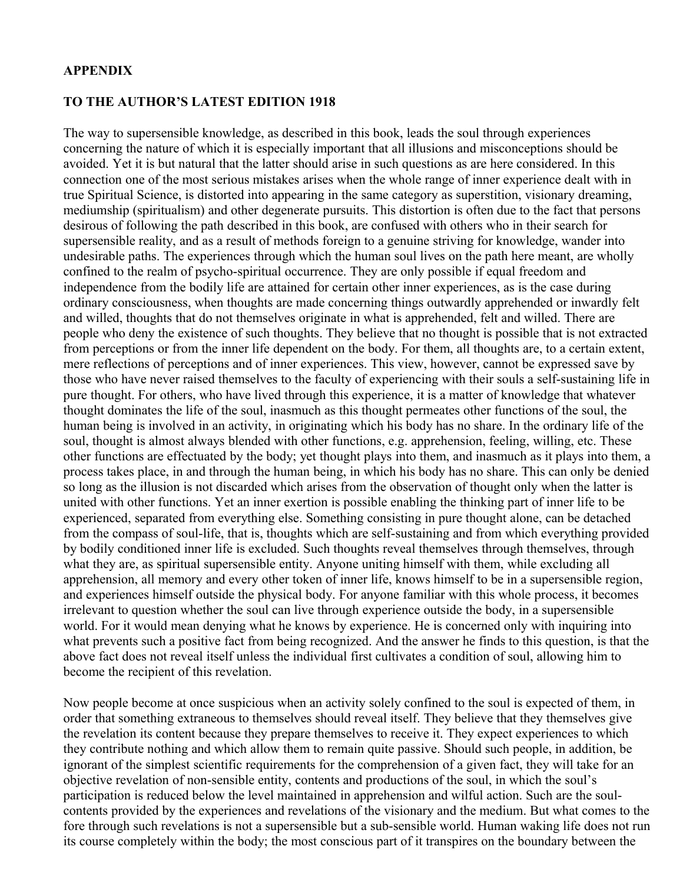#### <span id="page-63-0"></span>**APPENDIX**

### **TO THE AUTHOR'S LATEST EDITION 1918**

The way to supersensible knowledge, as described in this book, leads the soul through experiences concerning the nature of which it is especially important that all illusions and misconceptions should be avoided. Yet it is but natural that the latter should arise in such questions as are here considered. In this connection one of the most serious mistakes arises when the whole range of inner experience dealt with in true Spiritual Science, is distorted into appearing in the same category as superstition, visionary dreaming, mediumship (spiritualism) and other degenerate pursuits. This distortion is often due to the fact that persons desirous of following the path described in this book, are confused with others who in their search for supersensible reality, and as a result of methods foreign to a genuine striving for knowledge, wander into undesirable paths. The experiences through which the human soul lives on the path here meant, are wholly confined to the realm of psycho-spiritual occurrence. They are only possible if equal freedom and independence from the bodily life are attained for certain other inner experiences, as is the case during ordinary consciousness, when thoughts are made concerning things outwardly apprehended or inwardly felt and willed, thoughts that do not themselves originate in what is apprehended, felt and willed. There are people who deny the existence of such thoughts. They believe that no thought is possible that is not extracted from perceptions or from the inner life dependent on the body. For them, all thoughts are, to a certain extent, mere reflections of perceptions and of inner experiences. This view, however, cannot be expressed save by those who have never raised themselves to the faculty of experiencing with their souls a self-sustaining life in pure thought. For others, who have lived through this experience, it is a matter of knowledge that whatever thought dominates the life of the soul, inasmuch as this thought permeates other functions of the soul, the human being is involved in an activity, in originating which his body has no share. In the ordinary life of the soul, thought is almost always blended with other functions, e.g. apprehension, feeling, willing, etc. These other functions are effectuated by the body; yet thought plays into them, and inasmuch as it plays into them, a process takes place, in and through the human being, in which his body has no share. This can only be denied so long as the illusion is not discarded which arises from the observation of thought only when the latter is united with other functions. Yet an inner exertion is possible enabling the thinking part of inner life to be experienced, separated from everything else. Something consisting in pure thought alone, can be detached from the compass of soul-life, that is, thoughts which are self-sustaining and from which everything provided by bodily conditioned inner life is excluded. Such thoughts reveal themselves through themselves, through what they are, as spiritual supersensible entity. Anyone uniting himself with them, while excluding all apprehension, all memory and every other token of inner life, knows himself to be in a supersensible region, and experiences himself outside the physical body. For anyone familiar with this whole process, it becomes irrelevant to question whether the soul can live through experience outside the body, in a supersensible world. For it would mean denying what he knows by experience. He is concerned only with inquiring into what prevents such a positive fact from being recognized. And the answer he finds to this question, is that the above fact does not reveal itself unless the individual first cultivates a condition of soul, allowing him to become the recipient of this revelation.

Now people become at once suspicious when an activity solely confined to the soul is expected of them, in order that something extraneous to themselves should reveal itself. They believe that they themselves give the revelation its content because they prepare themselves to receive it. They expect experiences to which they contribute nothing and which allow them to remain quite passive. Should such people, in addition, be ignorant of the simplest scientific requirements for the comprehension of a given fact, they will take for an objective revelation of non-sensible entity, contents and productions of the soul, in which the soul's participation is reduced below the level maintained in apprehension and wilful action. Such are the soulcontents provided by the experiences and revelations of the visionary and the medium. But what comes to the fore through such revelations is not a supersensible but a sub-sensible world. Human waking life does not run its course completely within the body; the most conscious part of it transpires on the boundary between the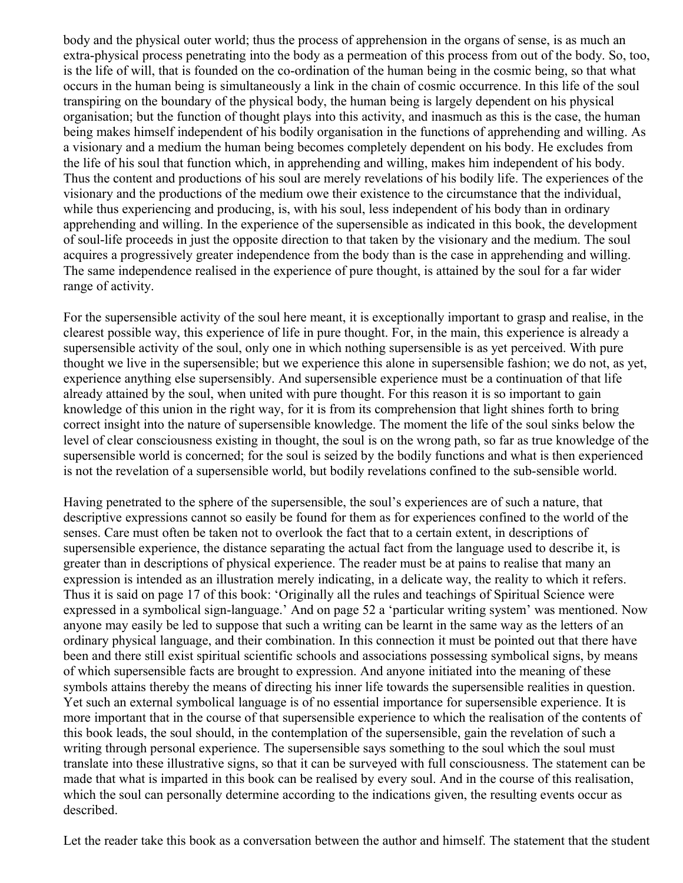body and the physical outer world; thus the process of apprehension in the organs of sense, is as much an extra-physical process penetrating into the body as a permeation of this process from out of the body. So, too, is the life of will, that is founded on the co-ordination of the human being in the cosmic being, so that what occurs in the human being is simultaneously a link in the chain of cosmic occurrence. In this life of the soul transpiring on the boundary of the physical body, the human being is largely dependent on his physical organisation; but the function of thought plays into this activity, and inasmuch as this is the case, the human being makes himself independent of his bodily organisation in the functions of apprehending and willing. As a visionary and a medium the human being becomes completely dependent on his body. He excludes from the life of his soul that function which, in apprehending and willing, makes him independent of his body. Thus the content and productions of his soul are merely revelations of his bodily life. The experiences of the visionary and the productions of the medium owe their existence to the circumstance that the individual, while thus experiencing and producing, is, with his soul, less independent of his body than in ordinary apprehending and willing. In the experience of the supersensible as indicated in this book, the development of soul-life proceeds in just the opposite direction to that taken by the visionary and the medium. The soul acquires a progressively greater independence from the body than is the case in apprehending and willing. The same independence realised in the experience of pure thought, is attained by the soul for a far wider range of activity.

For the supersensible activity of the soul here meant, it is exceptionally important to grasp and realise, in the clearest possible way, this experience of life in pure thought. For, in the main, this experience is already a supersensible activity of the soul, only one in which nothing supersensible is as yet perceived. With pure thought we live in the supersensible; but we experience this alone in supersensible fashion; we do not, as yet, experience anything else supersensibly. And supersensible experience must be a continuation of that life already attained by the soul, when united with pure thought. For this reason it is so important to gain knowledge of this union in the right way, for it is from its comprehension that light shines forth to bring correct insight into the nature of supersensible knowledge. The moment the life of the soul sinks below the level of clear consciousness existing in thought, the soul is on the wrong path, so far as true knowledge of the supersensible world is concerned; for the soul is seized by the bodily functions and what is then experienced is not the revelation of a supersensible world, but bodily revelations confined to the sub-sensible world.

Having penetrated to the sphere of the supersensible, the soul's experiences are of such a nature, that descriptive expressions cannot so easily be found for them as for experiences confined to the world of the senses. Care must often be taken not to overlook the fact that to a certain extent, in descriptions of supersensible experience, the distance separating the actual fact from the language used to describe it, is greater than in descriptions of physical experience. The reader must be at pains to realise that many an expression is intended as an illustration merely indicating, in a delicate way, the reality to which it refers. Thus it is said on page 17 of this book: 'Originally all the rules and teachings of Spiritual Science were expressed in a symbolical sign-language.' And on page 52 a 'particular writing system' was mentioned. Now anyone may easily be led to suppose that such a writing can be learnt in the same way as the letters of an ordinary physical language, and their combination. In this connection it must be pointed out that there have been and there still exist spiritual scientific schools and associations possessing symbolical signs, by means of which supersensible facts are brought to expression. And anyone initiated into the meaning of these symbols attains thereby the means of directing his inner life towards the supersensible realities in question. Yet such an external symbolical language is of no essential importance for supersensible experience. It is more important that in the course of that supersensible experience to which the realisation of the contents of this book leads, the soul should, in the contemplation of the supersensible, gain the revelation of such a writing through personal experience. The supersensible says something to the soul which the soul must translate into these illustrative signs, so that it can be surveyed with full consciousness. The statement can be made that what is imparted in this book can be realised by every soul. And in the course of this realisation, which the soul can personally determine according to the indications given, the resulting events occur as described.

Let the reader take this book as a conversation between the author and himself. The statement that the student